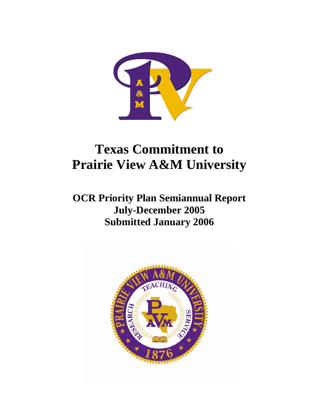

# **Texas Commitment to Prairie View A&M University**

**OCR Priority Plan Semiannual Report July-December 2005 Submitted January 2006** 

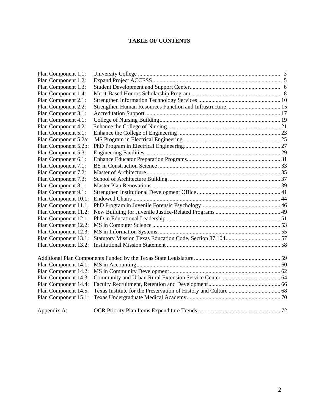## **TABLE OF CONTENTS**

| Plan Component 1.1:  |  |
|----------------------|--|
| Plan Component 1.2:  |  |
| Plan Component 1.3:  |  |
| Plan Component 1.4:  |  |
| Plan Component 2.1:  |  |
| Plan Component 2.2:  |  |
| Plan Component 3.1:  |  |
| Plan Component 4.1:  |  |
| Plan Component 4.2:  |  |
| Plan Component 5.1:  |  |
| Plan Component 5.2a: |  |
| Plan Component 5.2b: |  |
| Plan Component 5.3:  |  |
| Plan Component 6.1:  |  |
| Plan Component 7.1:  |  |
| Plan Component 7.2:  |  |
| Plan Component 7.3:  |  |
| Plan Component 8.1:  |  |
| Plan Component 9.1:  |  |
| Plan Component 10.1: |  |
| Plan Component 11.1: |  |
| Plan Component 11.2: |  |
| Plan Component 12.1: |  |
| Plan Component 12.2: |  |
| Plan Component 12.3: |  |
| Plan Component 13.1: |  |
| Plan Component 13.2: |  |
|                      |  |
| Plan Component 14.1: |  |
| Plan Component 14.2: |  |
| Plan Component 14.3: |  |
| Plan Component 14.4: |  |
| Plan Component 14.5: |  |
| Plan Component 15.1: |  |
| Appendix A:          |  |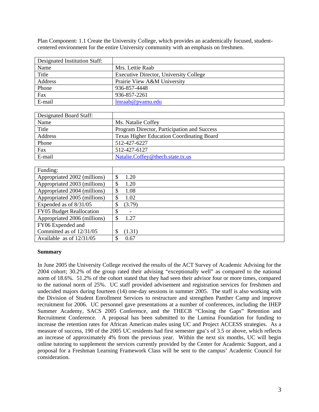Plan Component: 1.1 Create the University College, which provides an academically focused, studentcentered environment for the entire University community with an emphasis on freshmen.

| Designated Institution Staff: |                                        |
|-------------------------------|----------------------------------------|
| Name                          | Mrs. Lettie Raab                       |
| Title                         | Executive Director, University College |
| Address                       | Prairie View A&M University            |
| Phone                         | 936-857-4448                           |
| Fax                           | 936-857-2261                           |
| E-mail                        | lmraab@pvamu.edu                       |

| Designated Board Staff: |                                                  |
|-------------------------|--------------------------------------------------|
| Name                    | Ms. Natalie Coffey                               |
| Title                   | Program Director, Participation and Success      |
| Address                 | <b>Texas Higher Education Coordinating Board</b> |
| Phone                   | 512-427-6227                                     |
| Fax                     | 512-427-6127                                     |
| E-mail                  | Natalie.Coffey@thecb.state.tx.us                 |

| Funding:                     |                                   |
|------------------------------|-----------------------------------|
| Appropriated 2002 (millions) | $\boldsymbol{\mathsf{S}}$<br>1.20 |
| Appropriated 2003 (millions) | \$<br>1.20                        |
| Appropriated 2004 (millions) | \$<br>1.08                        |
| Appropriated 2005 (millions) | \$<br>1.02                        |
| Expended as of 8/31/05       | (3.79)<br>S                       |
| FY05 Budget Reallocation     | \$                                |
| Appropriated 2006 (millions) | \$<br>1.27                        |
| FY06 Expended and            |                                   |
| Committed as of 12/31/05     | (1.31)                            |
| Available as of $12/31/05$   | 0.67                              |

#### **Summary**

In June 2005 the University College received the results of the ACT Survey of Academic Advising for the 2004 cohort; 30.2% of the group rated their advising "exceptionally well" as compared to the national norm of 18.6%. 51.2% of the cohort stated that they had seen their advisor four or more times, compared to the national norm of 25%. UC staff provided advisement and registration services for freshmen and undecided majors during fourteen (14) one-day sessions in summer 2005. The staff is also working with the Division of Student Enrollment Services to restructure and strengthen Panther Camp and improve recruitment for 2006. UC personnel gave presentations at a number of conferences, including the IHEP Summer Academy, SACS 2005 Conference, and the THECB "Closing the Gaps" Retention and Recruitment Conference. A proposal has been submitted to the Lumina Foundation for funding to increase the retention rates for African American males using UC and Project ACCESS strategies. As a measure of success, 190 of the 2005 UC residents had first semester gpa's of 3.5 or above, which reflects an increase of approximately 4% from the previous year. Within the next six months, UC will begin online tutoring to supplement the services currently provided by the Center for Academic Support, and a proposal for a Freshman Learning Framework Class will be sent to the campus' Academic Council for consideration.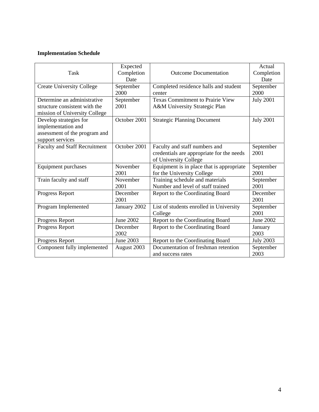| Task                                                                                              | Expected<br>Completion<br>Date | <b>Outcome Documentation</b>                                                                        | Actual<br>Completion<br>Date |
|---------------------------------------------------------------------------------------------------|--------------------------------|-----------------------------------------------------------------------------------------------------|------------------------------|
| <b>Create University College</b>                                                                  | September<br>2000              | Completed residence halls and student<br>center                                                     | September<br>2000            |
| Determine an administrative<br>structure consistent with the<br>mission of University College     | September<br>2001              | <b>Texas Commitment to Prairie View</b><br>A&M University Strategic Plan                            | <b>July 2001</b>             |
| Develop strategies for<br>implementation and<br>assessment of the program and<br>support services | October 2001                   | <b>Strategic Planning Document</b>                                                                  | <b>July 2001</b>             |
| <b>Faculty and Staff Recruitment</b>                                                              | October 2001                   | Faculty and staff numbers and<br>credentials are appropriate for the needs<br>of University College | September<br>2001            |
| Equipment purchases                                                                               | November<br>2001               | Equipment is in place that is appropriate<br>for the University College                             | September<br>2001            |
| Train faculty and staff                                                                           | November<br>2001               | Training schedule and materials<br>Number and level of staff trained                                | September<br>2001            |
| Progress Report                                                                                   | December<br>2001               | Report to the Coordinating Board                                                                    | December<br>2001             |
| Program Implemented                                                                               | January 2002                   | List of students enrolled in University<br>College                                                  | September<br>2001            |
| Progress Report                                                                                   | June 2002                      | Report to the Coordinating Board                                                                    | June 2002                    |
| Progress Report                                                                                   | December<br>2002               | Report to the Coordinating Board                                                                    | January<br>2003              |
| Progress Report                                                                                   | June 2003                      | Report to the Coordinating Board                                                                    | <b>July 2003</b>             |
| Component fully implemented                                                                       | August 2003                    | Documentation of freshman retention<br>and success rates                                            | September<br>2003            |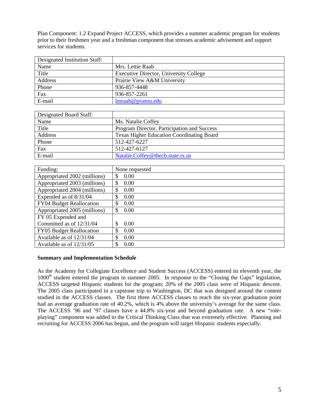Plan Component: 1.2 Expand Project ACCESS, which provides a summer academic program for students prior to their freshmen year and a freshman component that stresses academic advisement and support services for students.

| Designated Institution Staff: |                                        |
|-------------------------------|----------------------------------------|
| Name                          | Mrs. Lettie Raab                       |
| Title                         | Executive Director, University College |
| Address                       | Prairie View A&M University            |
| Phone                         | 936-857-4448                           |
| Fax                           | 936-857-2261                           |
| E-mail                        | lmraab@pvamu.edu                       |

| Designated Board Staff: |                                                  |
|-------------------------|--------------------------------------------------|
| Name                    | Ms. Natalie Coffey                               |
| Title                   | Program Director, Participation and Success      |
| Address                 | <b>Texas Higher Education Coordinating Board</b> |
| Phone                   | 512-427-6227                                     |
| Fax                     | 512-427-6127                                     |
| E-mail                  | Natalie.Coffey@thecb.state.tx.us                 |

| Funding:                     | None requested |
|------------------------------|----------------|
| Appropriated 2002 (millions) | 0.00<br>\$     |
| Appropriated 2003 (millions) | \$<br>0.00     |
| Appropriated 2004 (millions) | \$<br>0.00     |
| Expended as of 8/31/04       | \$<br>0.00     |
| FY04 Budget Reallocation     | \$<br>0.00     |
| Appropriated 2005 (millions) | \$<br>0.00     |
| FY 05 Expended and           |                |
| Committed as of 12/31/04     | 0.00<br>\$     |
| FY05 Budget Reallocation     | \$<br>0.00     |
| Available as of 12/31/04     | 0.00<br>\$.    |
| Available as of $12/31/05$   | \$<br>0.00     |

#### **Summary and Implementation Schedule**

As the Academy for Collegiate Excellence and Student Success (ACCESS) entered its eleventh year, the 1000<sup>th</sup> student entered the program in summer 2005. In response to the "Closing the Gaps" legislation, ACCESS targeted Hispanic students for the program; 20% of the 2005 class were of Hispanic descent. The 2005 class participated in a capstone trip to Washington, DC that was designed around the content studied in the ACCESS classes. The first three ACCESS classes to reach the six-year graduation point had an average graduation rate of 40.2%, which is 4% above the university's average for the same class. The ACCESS '96 and '97 classes have a 44.8% six-year and beyond graduation rate. A new "roleplaying" component was added to the Critical Thinking Class that was extremely effective. Planning and recruiting for ACCESS 2006 has begun, and the program will target Hispanic students especially.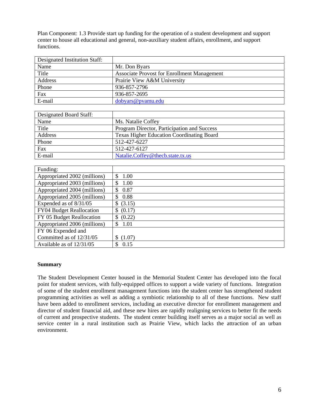Plan Component: 1.3 Provide start up funding for the operation of a student development and support center to house all educational and general, non-auxiliary student affairs, enrollment, and support functions.

| Designated Institution Staff: |                                                    |
|-------------------------------|----------------------------------------------------|
| Name                          | Mr. Don Byars                                      |
| Title                         | <b>Associate Provost for Enrollment Management</b> |
| Address                       | Prairie View A&M University                        |
| Phone                         | 936-857-2796                                       |
| Fax                           | 936-857-2695                                       |
| E-mail                        | dobyars@pyamu.edu                                  |

| Designated Board Staff: |                                                  |
|-------------------------|--------------------------------------------------|
| Name                    | Ms. Natalie Coffey                               |
| Title                   | Program Director, Participation and Success      |
| Address                 | <b>Texas Higher Education Coordinating Board</b> |
| Phone                   | 512-427-6227                                     |
| Fax                     | 512-427-6127                                     |
| E-mail                  | Natalie.Coffey@thecb.state.tx.us                 |

| Funding:                     |                       |
|------------------------------|-----------------------|
| Appropriated 2002 (millions) | 1.00<br>\$.           |
| Appropriated 2003 (millions) | 1.00<br>-S            |
| Appropriated 2004 (millions) | 0.87<br>-S            |
| Appropriated 2005 (millions) | 0.88<br>-S            |
| Expended as of 8/31/05       | \$ (3.15)             |
| FY04 Budget Reallocation     | \$ (0.17)             |
| FY 05 Budget Reallocation    | \$ (0.22)             |
| Appropriated 2006 (millions) | 1.01<br><sup>\$</sup> |
| FY 06 Expended and           |                       |
| Committed as of 12/31/05     | (1.07)                |
| Available as of 12/31/05     | 0.15                  |

#### **Summary**

The Student Development Center housed in the Memorial Student Center has developed into the focal point for student services, with fully-equipped offices to support a wide variety of functions. Integration of some of the student enrollment management functions into the student center has strengthened student programming activities as well as adding a symbiotic relationship to all of these functions. New staff have been added to enrollment services, including an executive director for enrollment management and director of student financial aid, and these new hires are rapidly realigning services to better fit the needs of current and prospective students. The student center building itself serves as a major social as well as service center in a rural institution such as Prairie View, which lacks the attraction of an urban environment.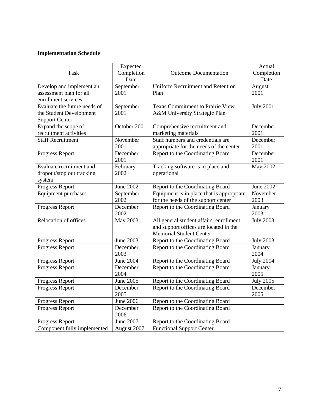| <b>Task</b>                                                                      | Expected<br>Completion | <b>Outcome Documentation</b>                                                                                        | Actual<br>Completion |
|----------------------------------------------------------------------------------|------------------------|---------------------------------------------------------------------------------------------------------------------|----------------------|
|                                                                                  | Date                   |                                                                                                                     | Date                 |
| Develop and implement an<br>assessment plan for all<br>enrollment services       | September<br>2001      | <b>Uniform Recruitment and Retention</b><br>Plan                                                                    | August<br>2001       |
| Evaluate the future needs of<br>the Student Development<br><b>Support Center</b> | September<br>2001      | <b>Texas Commitment to Prairie View</b><br>A&M University Strategic Plan                                            | <b>July 2001</b>     |
| Expand the scope of<br>recruitment activities                                    | October 2001           | Comprehensive recruitment and<br>marketing materials                                                                | December<br>2001     |
| <b>Staff Recruitment</b>                                                         | November<br>2001       | Staff numbers and credentials are<br>appropriate for the needs of the center                                        | December<br>2001     |
| Progress Report                                                                  | December<br>2001       | Report to the Coordinating Board                                                                                    | December<br>2001     |
| Evaluate recruitment and<br>dropout/stop out tracking<br>system                  | February<br>2002       | Tracking software is in place and<br>operational                                                                    | <b>May 2002</b>      |
| Progress Report                                                                  | <b>June 2002</b>       | Report to the Coordinating Board                                                                                    | June 2002            |
| Equipment purchases                                                              | September<br>2002      | Equipment is in place that is appropriate<br>for the needs of the support center                                    | November<br>2003     |
| Progress Report                                                                  | December<br>2002       | Report to the Coordinating Board                                                                                    | January<br>2003      |
| Relocation of offices                                                            | <b>May 2003</b>        | All general student affairs, enrollment<br>and support offices are located in the<br><b>Memorial Student Center</b> | <b>July 2003</b>     |
| Progress Report                                                                  | June 2003              | Report to the Coordinating Board                                                                                    | <b>July 2003</b>     |
| Progress Report                                                                  | December<br>2003       | Report to the Coordinating Board                                                                                    | January<br>2004      |
| Progress Report                                                                  | <b>June 2004</b>       | Report to the Coordinating Board                                                                                    | <b>July 2004</b>     |
| Progress Report                                                                  | December<br>2004       | Report to the Coordinating Board                                                                                    | January<br>2005      |
| Progress Report                                                                  | <b>June 2005</b>       | Report to the Coordinating Board                                                                                    | <b>July 2005</b>     |
| Progress Report                                                                  | December<br>2005       | Report to the Coordinating Board                                                                                    | December<br>2005     |
| Progress Report                                                                  | <b>June 2006</b>       | Report to the Coordinating Board                                                                                    |                      |
| Progress Report                                                                  | December<br>2006       | Report to the Coordinating Board                                                                                    |                      |
| Progress Report                                                                  | <b>June 2007</b>       | Report to the Coordinating Board                                                                                    |                      |
| Component fully implemented                                                      | August 2007            | <b>Functional Support Center</b>                                                                                    |                      |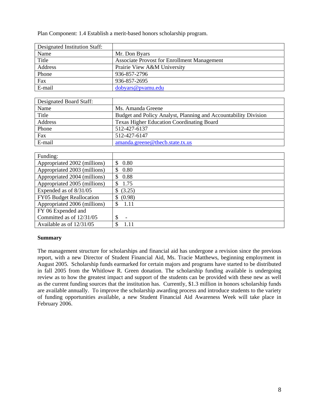Plan Component: 1.4 Establish a merit-based honors scholarship program.

| Designated Institution Staff: |                                                    |
|-------------------------------|----------------------------------------------------|
| Name                          | Mr. Don Byars                                      |
| Title                         | <b>Associate Provost for Enrollment Management</b> |
| Address                       | Prairie View A&M University                        |
| Phone                         | 936-857-2796                                       |
| Fax                           | 936-857-2695                                       |
| E-mail                        | dobyars@pvamu.edu                                  |

| Designated Board Staff: |                                                                 |
|-------------------------|-----------------------------------------------------------------|
| Name                    | Ms. Amanda Greene                                               |
| Title                   | Budget and Policy Analyst, Planning and Accountability Division |
| Address                 | <b>Texas Higher Education Coordinating Board</b>                |
| Phone                   | 512-427-6137                                                    |
| Fax                     | 512-427-6147                                                    |
| E-mail                  | amanda.greene@thecb.state.tx.us                                 |

| Funding:                        |                                |
|---------------------------------|--------------------------------|
| Appropriated 2002 (millions)    | 0.80<br>S                      |
| Appropriated 2003 (millions)    | 0.80<br>\$.                    |
| Appropriated 2004 (millions)    | 0.88<br>\$                     |
| Appropriated 2005 (millions)    | 1.75<br>\$.                    |
| Expended as of 8/31/05          | (3.25)                         |
| <b>FY05</b> Budget Reallocation | (0.98)<br>S                    |
| Appropriated 2006 (millions)    | 1.11<br>\$                     |
| FY 06 Expended and              |                                |
| Committed as of 12/31/05        | \$<br>$\overline{\phantom{a}}$ |
| Available as of 12/31/05        | 1.11<br>S                      |

## **Summary**

The management structure for scholarships and financial aid has undergone a revision since the previous report, with a new Director of Student Financial Aid, Ms. Tracie Matthews, beginning employment in August 2005. Scholarship funds earmarked for certain majors and programs have started to be distributed in fall 2005 from the Whitlowe R. Green donation. The scholarship funding available is undergoing review as to how the greatest impact and support of the students can be provided with these new as well as the current funding sources that the institution has. Currently, \$1.3 million in honors scholarship funds are available annually. To improve the scholarship awarding process and introduce students to the variety of funding opportunities available, a new Student Financial Aid Awareness Week will take place in February 2006.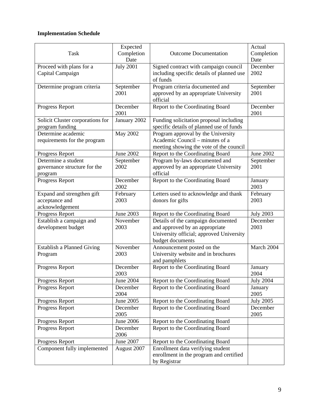|                                   | Expected         |                                           | Actual           |
|-----------------------------------|------------------|-------------------------------------------|------------------|
| <b>Task</b>                       | Completion       | <b>Outcome Documentation</b>              | Completion       |
|                                   | Date             |                                           | Date             |
| Proceed with plans for a          | <b>July 2001</b> | Signed contract with campaign council     | December         |
| Capital Campaign                  |                  | including specific details of planned use | 2002             |
|                                   |                  | of funds                                  |                  |
| Determine program criteria        | September        | Program criteria documented and           | September        |
|                                   | 2001             | approved by an appropriate University     | 2001             |
|                                   |                  | official                                  |                  |
| Progress Report                   | December         | Report to the Coordinating Board          | December         |
|                                   | 2001             |                                           | 2001             |
| Solicit Cluster corporations for  | January 2002     | Funding solicitation proposal including   |                  |
| program funding                   |                  | specific details of planned use of funds  |                  |
| Determine academic                | <b>May 2002</b>  | Program approval by the University        |                  |
| requirements for the program      |                  | Academic Council – minutes of a           |                  |
|                                   |                  | meeting showing the vote of the council   |                  |
| Progress Report                   | <b>June 2002</b> | Report to the Coordinating Board          | <b>June 2002</b> |
| Determine a student               | September        | Program by-laws documented and            | September        |
| governance structure for the      | 2002             | approved by an appropriate University     | 2001             |
| program                           |                  | official                                  |                  |
| Progress Report                   | December         | Report to the Coordinating Board          | January          |
|                                   | 2002             |                                           | 2003             |
| Expand and strengthen gift        | February         | Letters used to acknowledge and thank     | February         |
| acceptance and                    | 2003             | donors for gifts                          | 2003             |
| acknowledgement                   |                  |                                           |                  |
| Progress Report                   | June 2003        | Report to the Coordinating Board          | <b>July 2003</b> |
| Establish a campaign and          | November         | Details of the campaign documented        | December         |
| development budget                | 2003             | and approved by an appropriate            | 2003             |
|                                   |                  | University official; approved University  |                  |
|                                   |                  | budget documents                          |                  |
| <b>Establish a Planned Giving</b> | November         | Announcement posted on the                | March 2004       |
| Program                           | 2003             | University website and in brochures       |                  |
|                                   |                  | and pamphlets                             |                  |
| Progress Report                   | December         | Report to the Coordinating Board          | January          |
|                                   | 2003             |                                           | 2004             |
| Progress Report                   | <b>June 2004</b> | Report to the Coordinating Board          | <b>July 2004</b> |
| Progress Report                   | December         | Report to the Coordinating Board          | January          |
|                                   | 2004             |                                           | 2005             |
| Progress Report                   | June 2005        | Report to the Coordinating Board          | <b>July 2005</b> |
| Progress Report                   | December         | Report to the Coordinating Board          | December         |
|                                   | 2005             |                                           | 2005             |
| Progress Report                   | June 2006        | Report to the Coordinating Board          |                  |
| Progress Report                   | December         | Report to the Coordinating Board          |                  |
|                                   | 2006             |                                           |                  |
| Progress Report                   | June 2007        | Report to the Coordinating Board          |                  |
| Component fully implemented       | August 2007      | Enrollment data verifying student         |                  |
|                                   |                  | enrollment in the program and certified   |                  |
|                                   |                  | by Registrar                              |                  |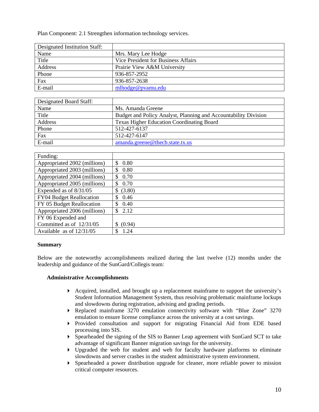Plan Component: 2.1 Strengthen information technology services.

| Designated Institution Staff: |                                     |
|-------------------------------|-------------------------------------|
| Name                          | Mrs. Mary Lee Hodge                 |
| Title                         | Vice President for Business Affairs |
| Address                       | Prairie View A&M University         |
| Phone                         | 936-857-2952                        |
| Fax                           | 936-857-2638                        |
| E-mail                        | mlhodge@pvamu.edu                   |

| Designated Board Staff: |                                                                 |
|-------------------------|-----------------------------------------------------------------|
| Name                    | Ms. Amanda Greene                                               |
| Title                   | Budget and Policy Analyst, Planning and Accountability Division |
| Address                 | <b>Texas Higher Education Coordinating Board</b>                |
| Phone                   | 512-427-6137                                                    |
| Fax                     | 512-427-6147                                                    |
| E-mail                  | amanda.greene@thecb.state.tx.us                                 |

| Funding:                        |              |
|---------------------------------|--------------|
| Appropriated 2002 (millions)    | \$<br>0.80   |
| Appropriated 2003 (millions)    | 0.80<br>\$   |
| Appropriated 2004 (millions)    | 0.70<br>S    |
| Appropriated 2005 (millions)    | 0.70<br>S    |
| Expended as of 8/31/05          | (3.80)<br>\$ |
| <b>FY04 Budget Reallocation</b> | 0.46<br>\$   |
| FY 05 Budget Reallocation       | \$<br>0.40   |
| Appropriated 2006 (millions)    | 2.12<br>\$.  |
| FY 06 Expended and              |              |
| Committed as of 12/31/05        | (0.94)<br>S  |
| Available as of $12/31/05$      | 1.24<br>S    |

#### **Summary**

Below are the noteworthy accomplishments realized during the last twelve (12) months under the leadership and guidance of the SunGard/Collegis team:

#### **Administrative Accomplishments**

- $\blacktriangleright$  Acquired, installed, and brought up a replacement mainframe to support the university's Student Information Management System, thus resolving problematic mainframe lockups and slowdowns during registration, advising and grading periods.
- Replaced mainframe 3270 emulation connectivity software with "Blue Zone" 3270 emulation to ensure license compliance across the university at a cost savings.
- Provided consultation and support for migrating Financial Aid from EDE based processing into SIS.
- Spearheaded the signing of the SIS to Banner Leap agreement with SunGard SCT to take advantage of significant Banner migration savings for the university.
- Upgraded the web for student and web for faculty hardware platforms to eliminate slowdowns and server crashes in the student administrative system environment.
- $\triangleright$  Spearheaded a power distribution upgrade for cleaner, more reliable power to mission critical computer resources.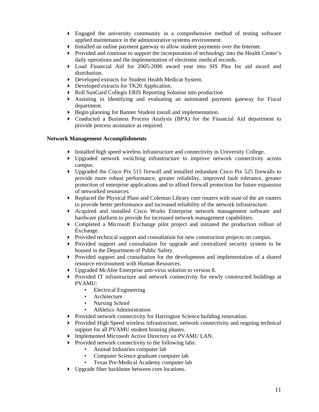- Engaged the university community in a comprehensive method of testing software applied maintenance in the administrative systems environment.
- Installed an online payment gateway to allow student payments over the Internet.
- Provided and continue to support the incorporation of technology into the Health Center's daily operations and the implementation of electronic medical records.
- Load Financial Aid for 2005-2006 award year into SIS Plus for aid award and distribution.
- Developed extracts for Student Health Medicat System.
- Developed extracts for TK20 Application.
- Roll SunGard Collegis ERIS Reporting Solution into production
- Assisting in identifying and evaluating an automated payment gateway for Fiscal department.
- Begin planning for Banner Student install and implementation.
- Conducted a Business Process Analysis (BPA) for the Financial Aid department to provide process assistance as required.

#### **Network Management Accomplishments**

- Installed high speed wireless infrastructure and connectivity in University College.
- Upgraded network switching infrastructure to improve network connectivity across campus.
- Upgraded the Cisco Pix 515 firewall and installed redundant Cisco Pix 525 firewalls to provide more robust performance, greater reliability, improved fault tolerance, greater protection of enterprise applications and to afford firewall protection for future expansion of networked resources.
- Replaced the Physical Plant and Coleman Library core routers with state of the art routers to provide better performance and increased reliability of the network infrastructure.
- Acquired and installed Cisco Works Enterprise network management software and hardware platform to provide for increased network management capabilities.
- Completed a Microsoft Exchange pilot project and initiated the production rollout of Exchange.
- Provided technical support and consultation for new construction projects on campus.
- Provided support and consultation for upgrade and centralized security system to be housed in the Department of Public Safety.
- Provided support and consultation for the development and implementation of a shared resource environment with Human Resources.
- Upgraded McAfee Enterprise anti-virus solution to version 8.
- Provided IT infrastructure and network connectivity for newly constructed buildings at PVAMU:
	- Electrical Engineering
	- **Architecture**
	- Nursing School
	- Athletics Administration
- **Provided network connectivity for Harrington Science building renovation.**
- Provided High Speed wireless infrastructure, network connectivity and ongoing technical support for all PVAMU student housing phases.
- Implemented Microsoft Active Directory on PVAMU LAN.
- $\triangleright$  Provided network connectivity to the following labs:
	- Animal Industries computer lab
	- Computer Science graduate computer lab
	- Texas Pre-Medical Academy computer lab
- Upgrade fiber backbone between core locations.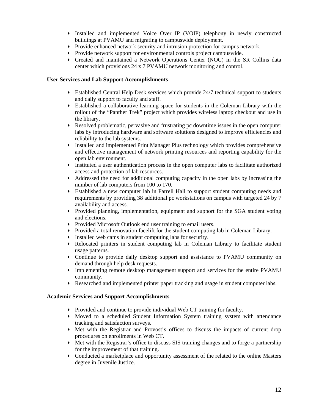- Installed and implemented Voice Over IP (VOIP) telephony in newly constructed buildings at PVAMU and migrating to campuswide deployment.
- Provide enhanced network security and intrusion protection for campus network.
- **Provide network support for environmental controls project campuswide.**
- Created and maintained a Network Operations Center (NOC) in the SR Collins data center which provisions 24 x 7 PVAMU network monitoring and control.

#### **User Services and Lab Support Accomplishments**

- Established Central Help Desk services which provide 24/7 technical support to students and daily support to faculty and staff.
- Established a collaborative learning space for students in the Coleman Library with the rollout of the "Panther Trek" project which provides wireless laptop checkout and use in the library.
- Resolved problematic, pervasive and frustrating pc downtime issues in the open computer labs by introducing hardware and software solutions designed to improve efficiencies and reliability to the lab systems.
- Installed and implemented Print Manager Plus technology which provides comprehensive and effective management of network printing resources and reporting capability for the open lab environment.
- Instituted a user authentication process in the open computer labs to facilitate authorized access and protection of lab resources.
- $\blacktriangleright$  Addressed the need for additional computing capacity in the open labs by increasing the number of lab computers from 100 to 170.
- Established a new computer lab in Farrell Hall to support student computing needs and requirements by providing 38 additional pc workstations on campus with targeted 24 by 7 availability and access.
- Provided planning, implementation, equipment and support for the SGA student voting and elections.
- **Provided Microsoft Outlook end user training to email users.**
- $\triangleright$  Provided a total renovation facelift for the student computing lab in Coleman Library.
- Installed web cams in student computing labs for security.
- Relocated printers in student computing lab in Coleman Library to facilitate student usage patterns.
- Continue to provide daily desktop support and assistance to PVAMU community on demand through help desk requests.
- Implementing remote desktop management support and services for the entire PVAMU community.
- Researched and implemented printer paper tracking and usage in student computer labs.

#### **Academic Services and Support Accomplishments**

- Provided and continue to provide individual Web CT training for faculty.
- Moved to a scheduled Student Information System training system with attendance tracking and satisfaction surveys.
- $\blacktriangleright$  Met with the Registrar and Provost's offices to discuss the impacts of current drop procedures on enrollments in Web CT.
- Met with the Registrar's office to discuss SIS training changes and to forge a partnership for the improvement of that training.
- Conducted a marketplace and opportunity assessment of the related to the online Masters degree in Juvenile Justice.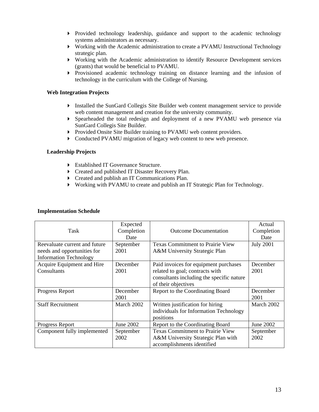- $\triangleright$  Provided technology leadership, guidance and support to the academic technology systems administrators as necessary.
- Working with the Academic administration to create a PVAMU Instructional Technology strategic plan.
- Working with the Academic administration to identify Resource Development services (grants) that would be beneficial to PVAMU.
- Provisioned academic technology training on distance learning and the infusion of technology in the curriculum with the College of Nursing.

#### **Web Integration Projects**

- Installed the SunGard Collegis Site Builder web content management service to provide web content management and creation for the university community.
- Spearheaded the total redesign and deployment of a new PVAMU web presence via SunGard Collegis Site Builder.
- **Provided Onsite Site Builder training to PVAMU web content providers.**
- Conducted PVAMU migration of legacy web content to new web presence.

#### **Leadership Projects**

- Established IT Governance Structure.
- ▶ Created and published IT Disaster Recovery Plan.
- Created and publish an IT Communications Plan.
- Working with PVAMU to create and publish an IT Strategic Plan for Technology.

| Task                                                                                          | Expected<br>Completion<br>Date | <b>Outcome Documentation</b>                                                                                                                 | Actual<br>Completion<br>Date |
|-----------------------------------------------------------------------------------------------|--------------------------------|----------------------------------------------------------------------------------------------------------------------------------------------|------------------------------|
| Reevaluate current and future<br>needs and opportunities for<br><b>Information Technology</b> | September<br>2001              | <b>Texas Commitment to Prairie View</b><br>A&M University Strategic Plan                                                                     | <b>July 2001</b>             |
| Acquire Equipment and Hire<br>Consultants                                                     | December<br>2001               | Paid invoices for equipment purchases<br>related to goal; contracts with<br>consultants including the specific nature<br>of their objectives | December<br>2001             |
| Progress Report                                                                               | December<br>2001               | Report to the Coordinating Board                                                                                                             | December<br>2001             |
| <b>Staff Recruitment</b>                                                                      | March 2002                     | Written justification for hiring<br>individuals for Information Technology<br>positions                                                      | March 2002                   |
| Progress Report                                                                               | June 2002                      | Report to the Coordinating Board                                                                                                             | June 2002                    |
| Component fully implemented                                                                   | September<br>2002              | <b>Texas Commitment to Prairie View</b><br>A&M University Strategic Plan with<br>accomplishments identified                                  | September<br>2002            |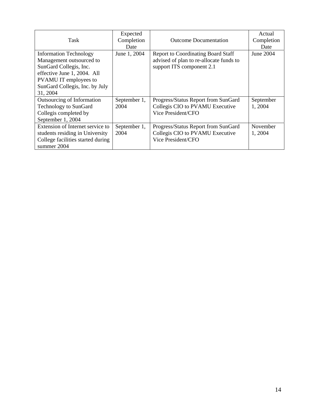| Task                                                                                                                                                                                      | Expected<br>Completion<br>Date | <b>Outcome Documentation</b>                                                                                      | Actual<br>Completion<br>Date |
|-------------------------------------------------------------------------------------------------------------------------------------------------------------------------------------------|--------------------------------|-------------------------------------------------------------------------------------------------------------------|------------------------------|
| <b>Information Technology</b><br>Management outsourced to<br>SunGard Collegis, Inc.<br>effective June 1, 2004. All<br>PVAMU IT employees to<br>SunGard Collegis, Inc. by July<br>31, 2004 | June 1, 2004                   | <b>Report to Coordinating Board Staff</b><br>advised of plan to re-allocate funds to<br>support ITS component 2.1 | June 2004                    |
| Outsourcing of Information<br><b>Technology to SunGard</b><br>Collegis completed by<br>September 1, 2004                                                                                  | September 1,<br>2004           | Progress/Status Report from SunGard<br>Collegis CIO to PVAMU Executive<br>Vice President/CFO                      | September<br>1, 2004         |
| Extension of Internet service to<br>students residing in University<br>College facilities started during<br>summer 2004                                                                   | September 1,<br>2004           | Progress/Status Report from SunGard<br>Collegis CIO to PVAMU Executive<br>Vice President/CFO                      | November<br>1, 2004          |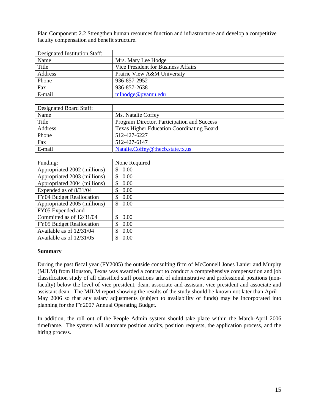Plan Component: 2.2 Strengthen human resources function and infrastructure and develop a competitive faculty compensation and benefit structure.

| Designated Institution Staff: |                                     |
|-------------------------------|-------------------------------------|
| Name                          | Mrs. Mary Lee Hodge                 |
| Title                         | Vice President for Business Affairs |
| Address                       | Prairie View A&M University         |
| Phone                         | 936-857-2952                        |
| Fax                           | 936-857-2638                        |
| E-mail                        | mlhodge@pvamu.edu                   |

| Designated Board Staff: |                                                  |
|-------------------------|--------------------------------------------------|
| Name                    | Ms. Natalie Coffey                               |
| Title                   | Program Director, Participation and Success      |
| Address                 | <b>Texas Higher Education Coordinating Board</b> |
| Phone                   | 512-427-6227                                     |
| Fax                     | 512-427-6147                                     |
| E-mail                  | Natalie.Coffey@thecb.state.tx.us                 |

| Funding:                     | None Required |
|------------------------------|---------------|
| Appropriated 2002 (millions) | 0.00<br>\$.   |
| Appropriated 2003 (millions) | 0.00<br>\$.   |
| Appropriated 2004 (millions) | 0.00<br>\$    |
| Expended as of 8/31/04       | 0.00<br>\$    |
| FY04 Budget Reallocation     | 0.00<br>S     |
| Appropriated 2005 (millions) | 0.00<br>\$.   |
| FY05 Expended and            |               |
| Committed as of 12/31/04     | $0.00\,$      |
| FY05 Budget Reallocation     | 0.00<br>S.    |
| Available as of 12/31/04     | 0.00<br>S     |
| Available as of 12/31/05     | 0.00          |

#### **Summary**

During the past fiscal year (FY2005) the outside consulting firm of McConnell Jones Lanier and Murphy (MJLM) from Houston, Texas was awarded a contract to conduct a comprehensive compensation and job classification study of all classified staff positions and of administrative and professional positions (nonfaculty) below the level of vice president, dean, associate and assistant vice president and associate and assistant dean. The MJLM report showing the results of the study should be known not later than April – May 2006 so that any salary adjustments (subject to availability of funds) may be incorporated into planning for the FY2007 Annual Operating Budget.

In addition, the roll out of the People Admin system should take place within the March-April 2006 timeframe. The system will automate position audits, position requests, the application process, and the hiring process.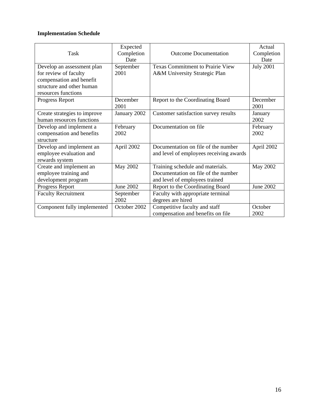|                              | Expected     |                                         | Actual           |
|------------------------------|--------------|-----------------------------------------|------------------|
| Task                         | Completion   | <b>Outcome Documentation</b>            | Completion       |
|                              | Date         |                                         | Date             |
| Develop an assessment plan   | September    | <b>Texas Commitment to Prairie View</b> | <b>July 2001</b> |
| for review of faculty        | 2001         | A&M University Strategic Plan           |                  |
| compensation and benefit     |              |                                         |                  |
| structure and other human    |              |                                         |                  |
| resources functions          |              |                                         |                  |
| Progress Report              | December     | Report to the Coordinating Board        | December         |
|                              | 2001         |                                         | 2001             |
| Create strategies to improve | January 2002 | Customer satisfaction survey results    | January          |
| human resources functions    |              |                                         | 2002             |
| Develop and implement a      | February     | Documentation on file                   | February         |
| compensation and benefits    | 2002         |                                         | 2002             |
| structure                    |              |                                         |                  |
| Develop and implement an     | April 2002   | Documentation on file of the number     | April 2002       |
| employee evaluation and      |              | and level of employees receiving awards |                  |
| rewards system               |              |                                         |                  |
| Create and implement an      | May 2002     | Training schedule and materials.        | <b>May 2002</b>  |
| employee training and        |              | Documentation on file of the number     |                  |
| development program          |              | and level of employees trained          |                  |
| Progress Report              | June 2002    | Report to the Coordinating Board        | <b>June 2002</b> |
| <b>Faculty Recruitment</b>   | September    | Faculty with appropriate terminal       |                  |
|                              | 2002         | degrees are hired                       |                  |
| Component fully implemented  | October 2002 | Competitive faculty and staff           | October          |
|                              |              | compensation and benefits on file       | 2002             |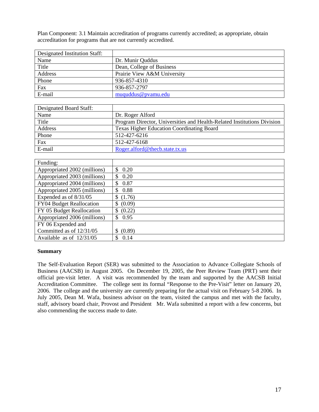Plan Component: 3.1 Maintain accreditation of programs currently accredited; as appropriate, obtain accreditation for programs that are not currently accredited.

| Designated Institution Staff: |                             |
|-------------------------------|-----------------------------|
| Name                          | Dr. Munir Quddus            |
| Title                         | Dean, College of Business   |
| Address                       | Prairie View A&M University |
| Phone                         | 936-857-4310                |
| Fax                           | 936-857-2797                |
| E-mail                        | muquddus@pyamu.edu          |

| Designated Board Staff: |                                                                         |
|-------------------------|-------------------------------------------------------------------------|
| Name                    | Dr. Roger Alford                                                        |
| Title                   | Program Director, Universities and Health-Related Institutions Division |
| Address                 | <b>Texas Higher Education Coordinating Board</b>                        |
| Phone                   | 512-427-6216                                                            |
| Fax                     | 512-427-6168                                                            |
| E-mail                  | Roger.alford@thecb.state.tx.us                                          |

| Funding:                        |                       |
|---------------------------------|-----------------------|
| Appropriated 2002 (millions)    | 0.20<br>\$.           |
| Appropriated 2003 (millions)    | 0.20                  |
| Appropriated 2004 (millions)    | 0.87                  |
| Appropriated 2005 (millions)    | 0.88<br><sup>\$</sup> |
| Expended as of 8/31/05          | \$(1.76)              |
| <b>FY04 Budget Reallocation</b> | (0.09)<br>S           |
| FY 05 Budget Reallocation       | \$ (0.22)             |
| Appropriated 2006 (millions)    | 0.95<br>S.            |
| FY 06 Expended and              |                       |
| Committed as of 12/31/05        | (0.89)                |
| Available as of $12/31/05$      | 0.14                  |

#### **Summary**

The Self-Evaluation Report (SER) was submitted to the Association to Advance Collegiate Schools of Business (AACSB) in August 2005. On December 19, 2005, the Peer Review Team (PRT) sent their official pre-visit letter. A visit was recommended by the team and supported by the AACSB Initial Accreditation Committee. The college sent its formal "Response to the Pre-Visit" letter on January 20, 2006. The college and the university are currently preparing for the actual visit on February 5-8 2006. In July 2005, Dean M. Wafa, business advisor on the team, visited the campus and met with the faculty, staff, advisory board chair, Provost and President Mr. Wafa submitted a report with a few concerns, but also commending the success made to date.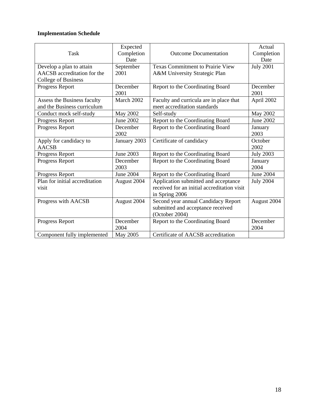| <b>Task</b>                                                                           | Expected<br>Completion<br>Date | <b>Outcome Documentation</b>                                                                          | Actual<br>Completion<br>Date |
|---------------------------------------------------------------------------------------|--------------------------------|-------------------------------------------------------------------------------------------------------|------------------------------|
| Develop a plan to attain<br>AACSB accreditation for the<br><b>College of Business</b> | September<br>2001              | <b>Texas Commitment to Prairie View</b><br>A&M University Strategic Plan                              | <b>July 2001</b>             |
| Progress Report                                                                       | December<br>2001               | Report to the Coordinating Board                                                                      | December<br>2001             |
| Assess the Business faculty<br>and the Business curriculum                            | March 2002                     | Faculty and curricula are in place that<br>meet accreditation standards                               | April 2002                   |
| Conduct mock self-study                                                               | May 2002                       | Self-study                                                                                            | May 2002                     |
| Progress Report                                                                       | June 2002                      | Report to the Coordinating Board                                                                      | June 2002                    |
| Progress Report                                                                       | December<br>2002               | Report to the Coordinating Board                                                                      | January<br>2003              |
| Apply for candidacy to<br><b>AACSB</b>                                                | January 2003                   | Certificate of candidacy                                                                              | October<br>2002              |
| Progress Report                                                                       | June 2003                      | Report to the Coordinating Board                                                                      | <b>July 2003</b>             |
| Progress Report                                                                       | December<br>2003               | Report to the Coordinating Board                                                                      | January<br>2004              |
| Progress Report                                                                       | June 2004                      | Report to the Coordinating Board                                                                      | <b>June 2004</b>             |
| Plan for initial accreditation<br>visit                                               | August 2004                    | Application submitted and acceptance<br>received for an initial accreditation visit<br>in Spring 2006 | <b>July 2004</b>             |
| Progress with AACSB                                                                   | August 2004                    | Second year annual Candidacy Report<br>submitted and acceptance received<br>(October 2004)            | August 2004                  |
| Progress Report                                                                       | December<br>2004               | Report to the Coordinating Board                                                                      | December<br>2004             |
| Component fully implemented                                                           | May 2005                       | Certificate of AACSB accreditation                                                                    |                              |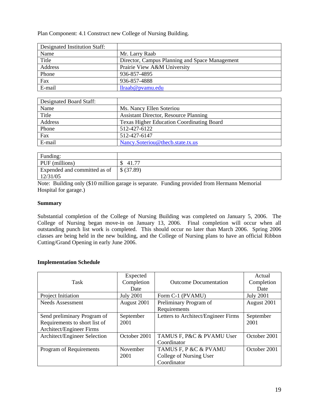Plan Component: 4.1 Construct new College of Nursing Building.

| Designated Institution Staff: |                                                |
|-------------------------------|------------------------------------------------|
| Name                          | Mr. Larry Raab                                 |
| Title                         | Director, Campus Planning and Space Management |
| Address                       | Prairie View A&M University                    |
| Phone                         | 936-857-4895                                   |
| Fax                           | 936-857-4888                                   |
| E-mail                        | $llr$ aab $@p$ vamu.edu                        |

| Designated Board Staff: |                                                  |
|-------------------------|--------------------------------------------------|
| Name                    | Ms. Nancy Ellen Soteriou                         |
| Title                   | <b>Assistant Director, Resource Planning</b>     |
| Address                 | <b>Texas Higher Education Coordinating Board</b> |
| Phone                   | 512-427-6122                                     |
| Fax                     | 512-427-6147                                     |
| E-mail                  | Nancy.Soteriou@thecb.state.tx.us                 |

| Funding:                                 |            |
|------------------------------------------|------------|
| PUF (millions)                           | 41.77      |
| Expended and committed as of<br>12/31/05 | \$ (37.89) |

Note: Building only (\$10 million garage is separate. Funding provided from Hermann Memorial Hospital for garage.)

### **Summary**

Substantial completion of the College of Nursing Building was completed on January 5, 2006. The College of Nursing began move-in on January 13, 2006. Final completion will occur when all outstanding punch list work is completed. This should occur no later than March 2006. Spring 2006 classes are being held in the new building, and the College of Nursing plans to have an official Ribbon Cutting/Grand Opening in early June 2006.

| Task                                                                                     | Expected<br>Completion<br>Date | <b>Outcome Documentation</b>                                    | Actual<br>Completion<br>Date |
|------------------------------------------------------------------------------------------|--------------------------------|-----------------------------------------------------------------|------------------------------|
| Project Initiation                                                                       | <b>July 2001</b>               | Form C-1 (PVAMU)                                                | <b>July 2001</b>             |
| <b>Needs Assessment</b>                                                                  | August 2001                    | Preliminary Program of<br>Requirements                          | August 2001                  |
| Send preliminary Program of<br>Requirements to short list of<br>Architect/Engineer Firms | September<br>2001              | Letters to Architect/Engineer Firms                             | September<br>2001            |
| Architect/Engineer Selection                                                             | October 2001                   | TAMUS F, P&C & PVAMU User<br>Coordinator                        | October 2001                 |
| Program of Requirements                                                                  | November<br>2001               | TAMUS F, P &C & PVAMU<br>College of Nursing User<br>Coordinator | October 2001                 |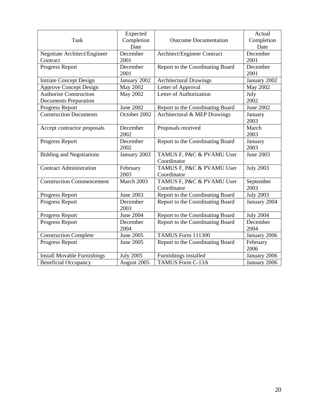| <b>Task</b>                                                   | Expected<br>Completion<br>Date | <b>Outcome Documentation</b>             | Actual<br>Completion<br>Date |
|---------------------------------------------------------------|--------------------------------|------------------------------------------|------------------------------|
| Negotiate Architect/Engineer<br>Contract                      | December<br>2001               | Architect/Engineer Contract              | December<br>2001             |
| Progress Report                                               | December<br>2001               | Report to the Coordinating Board         | December<br>2001             |
| <b>Initiate Concept Design</b>                                | January 2002                   | <b>Architectural Drawings</b>            | January 2002                 |
| <b>Approve Concept Design</b>                                 | <b>May 2002</b>                | Letter of Approval                       | <b>May 2002</b>              |
| <b>Authorize Construction</b><br><b>Documents Preparation</b> | May 2002                       | Letter of Authorization                  | July<br>2002                 |
| Progress Report                                               | <b>June 2002</b>               | Report to the Coordinating Board         | <b>June 2002</b>             |
| <b>Construction Documents</b>                                 | October 2002                   | Architectural & MEP Drawings             | January<br>2003              |
| Accept contractor proposals                                   | December<br>2002               | Proposals received                       | March<br>2003                |
| Progress Report                                               | December<br>2002               | Report to the Coordinating Board         | January<br>2003              |
| <b>Bidding and Negotiations</b>                               | January 2003                   | TAMUS F, P&C & PVAMU User<br>Coordinator | June 2003                    |
| <b>Contract Administration</b>                                | February<br>2003               | TAMUS F, P&C & PVAMU User<br>Coordinator | <b>July 2003</b>             |
| <b>Construction Commencement</b>                              | March 2003                     | TAMUS F, P&C & PVAMU User<br>Coordinator | September<br>2003            |
| Progress Report                                               | June 2003                      | Report to the Coordinating Board         | <b>July 2003</b>             |
| Progress Report                                               | December<br>2003               | Report to the Coordinating Board         | January 2004                 |
| Progress Report                                               | <b>June 2004</b>               | Report to the Coordinating Board         | <b>July 2004</b>             |
| Progress Report                                               | December<br>2004               | Report to the Coordinating Board         | December<br>2004             |
| <b>Construction Complete</b>                                  | June 2005                      | TAMUS Form 111300                        | January 2006                 |
| Progress Report                                               | June 2005                      | Report to the Coordinating Board         | February<br>2006             |
| <b>Install Movable Furnishings</b>                            | <b>July 2005</b>               | Furnishings installed                    | January 2006                 |
| <b>Beneficial Occupancy</b>                                   | August 2005                    | <b>TAMUS Form C-13A</b>                  | January 2006                 |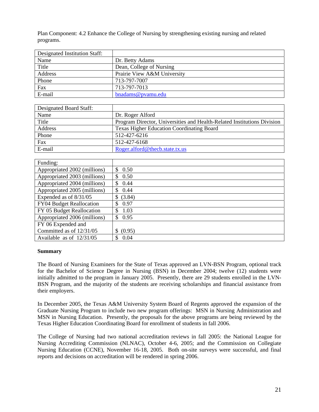Plan Component: 4.2 Enhance the College of Nursing by strengthening existing nursing and related programs.

| Designated Institution Staff: |                             |
|-------------------------------|-----------------------------|
| Name                          | Dr. Betty Adams             |
| Title                         | Dean, College of Nursing    |
| Address                       | Prairie View A&M University |
| Phone                         | 713-797-7007                |
| Fax                           | 713-797-7013                |
| E-mail                        | bnadams@pvamu.edu           |

| Designated Board Staff: |                                                                         |
|-------------------------|-------------------------------------------------------------------------|
| Name                    | Dr. Roger Alford                                                        |
| Title                   | Program Director, Universities and Health-Related Institutions Division |
| Address                 | <b>Texas Higher Education Coordinating Board</b>                        |
| Phone                   | 512-427-6216                                                            |
| Fax                     | 512-427-6168                                                            |
| E-mail                  | Roger.alford@thecb.state.tx.us                                          |

| Funding:                     |              |
|------------------------------|--------------|
| Appropriated 2002 (millions) | \$.<br>0.50  |
| Appropriated 2003 (millions) | 0.50         |
| Appropriated 2004 (millions) | 0.44         |
| Appropriated 2005 (millions) | 0.44         |
| Expended as of 8/31/05       | (3.84)<br>\$ |
| FY04 Budget Reallocation     | 0.97         |
| FY 05 Budget Reallocation    | 1.03<br>\$.  |
| Appropriated 2006 (millions) | 0.95<br>\$   |
| FY 06 Expended and           |              |
| Committed as of 12/31/05     | (0.95)       |
| Available as of $12/31/05$   | 0.04         |

#### **Summary**

The Board of Nursing Examiners for the State of Texas approved an LVN-BSN Program, optional track for the Bachelor of Science Degree in Nursing (BSN) in December 2004; twelve (12) students were initially admitted to the program in January 2005. Presently, there are 29 students enrolled in the LVN-BSN Program, and the majority of the students are receiving scholarships and financial assistance from their employers.

In December 2005, the Texas A&M University System Board of Regents approved the expansion of the Graduate Nursing Program to include two new program offerings: MSN in Nursing Administration and MSN in Nursing Education. Presently, the proposals for the above programs are being reviewed by the Texas Higher Education Coordinating Board for enrollment of students in fall 2006.

The College of Nursing had two national accreditation reviews in fall 2005: the National League for Nursing Accrediting Commission (NLNAC), October 4-6, 2005; and the Commission on Collegiate Nursing Education (CCNE), November 16-18, 2005. Both on-site surveys were successful, and final reports and decisions on accreditation will be rendered in spring 2006.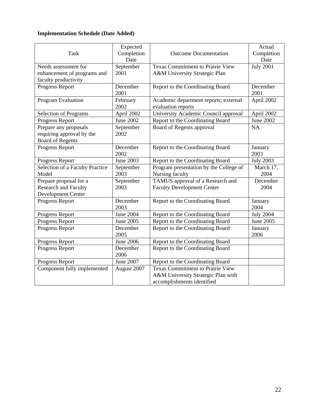# **Implementation Schedule (Date Added)**

|                                        | Expected         |                                         | Actual           |
|----------------------------------------|------------------|-----------------------------------------|------------------|
| <b>Task</b>                            | Completion       | <b>Outcome Documentation</b>            | Completion       |
|                                        | Date             |                                         | Date             |
| Needs assessment for                   | September        | <b>Texas Commitment to Prairie View</b> | <b>July 2001</b> |
| enhancement of programs and            | 2001             | A&M University Strategic Plan           |                  |
| faculty productivity                   |                  |                                         |                  |
| Progress Report                        | December         | Report to the Coordinating Board        | December         |
|                                        | 2001             |                                         | 2001             |
| Program Evaluation                     | February         | Academic department reports; external   | April 2002       |
|                                        | 2002             | evaluation reports                      |                  |
| <b>Selection of Programs</b>           | April 2002       | University Academic Council approval    | April 2002       |
| Progress Report                        | <b>June 2002</b> | Report to the Coordinating Board        | <b>June 2002</b> |
| Prepare any proposals                  | September        | Board of Regents approval               | <b>NA</b>        |
| requiring approval by the              | 2002             |                                         |                  |
| <b>Board of Regents</b>                |                  |                                         |                  |
| Progress Report                        | December         | Report to the Coordinating Board        | January          |
|                                        | 2002             |                                         | 2003             |
| Progress Report                        | <b>June 2003</b> | Report to the Coordinating Board        | <b>July 2003</b> |
| <b>Selection of a Faculty Practice</b> | September        | Program presentation by the College of  | March 17,        |
| Model                                  | 2003             | Nursing faculty                         | 2004             |
| Prepare proposal for a                 | September        | TAMUS approval of a Research and        | December         |
| <b>Research and Faculty</b>            | 2003             | <b>Faculty Development Center</b>       | 2004             |
| Development Center                     |                  |                                         |                  |
| Progress Report                        | December         | Report to the Coordinating Board        | January          |
|                                        | 2003             |                                         | 2004             |
| Progress Report                        | June 2004        | Report to the Coordinating Board        | <b>July 2004</b> |
| Progress Report                        | June 2005        | Report to the Coordinating Board        | June 2005        |
| Progress Report                        | December         | Report to the Coordinating Board        | January          |
|                                        | 2005             |                                         | 2006             |
| Progress Report                        | <b>June 2006</b> | Report to the Coordinating Board        |                  |
| Progress Report                        | December         | Report to the Coordinating Board        |                  |
|                                        | 2006             |                                         |                  |
| Progress Report                        | June 2007        | Report to the Coordinating Board        |                  |
| Component fully implemented            | August 2007      | <b>Texas Commitment to Prairie View</b> |                  |
|                                        |                  | A&M University Strategic Plan with      |                  |
|                                        |                  | accomplishments identified              |                  |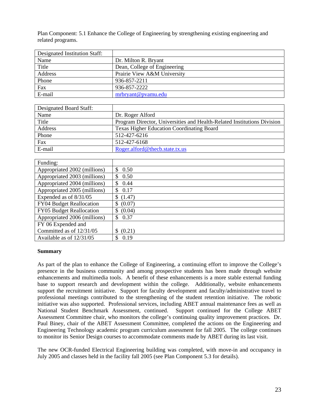Plan Component: 5.1 Enhance the College of Engineering by strengthening existing engineering and related programs.

| Designated Institution Staff: |                              |
|-------------------------------|------------------------------|
| Name                          | Dr. Milton R. Bryant         |
| Title                         | Dean, College of Engineering |
| Address                       | Prairie View A&M University  |
| Phone                         | 936-857-2211                 |
| Fax                           | 936-857-2222                 |
| E-mail                        | mrbryant@pvamu.edu           |

| Designated Board Staff: |                                                                         |
|-------------------------|-------------------------------------------------------------------------|
| Name                    | Dr. Roger Alford                                                        |
| Title                   | Program Director, Universities and Health-Related Institutions Division |
| Address                 | <b>Texas Higher Education Coordinating Board</b>                        |
| Phone                   | 512-427-6216                                                            |
| Fax                     | 512-427-6168                                                            |
| E-mail                  | Roger.alford@thecb.state.tx.us                                          |

| Funding:                     |               |
|------------------------------|---------------|
| Appropriated 2002 (millions) | 0.50<br>\$.   |
| Appropriated 2003 (millions) | 0.50<br>\$.   |
| Appropriated 2004 (millions) | 0.44<br>\$.   |
| Appropriated 2005 (millions) | 0.17<br>\$.   |
| Expended as of 8/31/05       | (1.47)<br>\$  |
| FY04 Budget Reallocation     | (0.07)<br>S   |
| FY05 Budget Reallocation     | (0.04)<br>\$. |
| Appropriated 2006 (millions) | 0.37<br>\$.   |
| FY 06 Expended and           |               |
| Committed as of 12/31/05     | (0.21)        |
| Available as of $12/31/05$   | 0.19          |

#### **Summary**

As part of the plan to enhance the College of Engineering, a continuing effort to improve the College's presence in the business community and among prospective students has been made through website enhancements and multimedia tools. A benefit of these enhancements is a more stable external funding base to support research and development within the college. Additionally, website enhancements support the recruitment initiative. Support for faculty development and faculty/administrative travel to professional meetings contributed to the strengthening of the student retention initiative. The robotic initiative was also supported. Professional services, including ABET annual maintenance fees as well as National Student Benchmark Assessment, continued. Support continued for the College ABET Assessment Committee chair, who monitors the college's continuing quality improvement practices. Dr. Paul Biney, chair of the ABET Assessment Committee, completed the actions on the Engineering and Engineering Technology academic program curriculum assessment for fall 2005. The college continues to monitor its Senior Design courses to accommodate comments made by ABET during its last visit.

The new OCR-funded Electrical Engineering building was completed, with move-in and occupancy in July 2005 and classes held in the facility fall 2005 (see Plan Component 5.3 for details).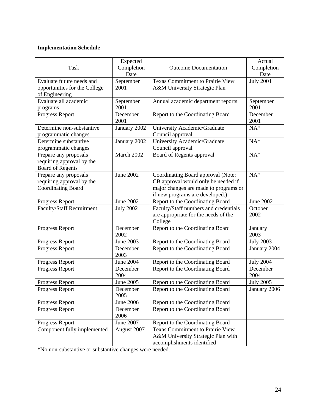| Task                                                                            | Expected<br>Completion<br>Date | <b>Outcome Documentation</b>                                                                                                                          | Actual<br>Completion<br>Date |
|---------------------------------------------------------------------------------|--------------------------------|-------------------------------------------------------------------------------------------------------------------------------------------------------|------------------------------|
| Evaluate future needs and<br>opportunities for the College<br>of Engineering    | September<br>2001              | <b>Texas Commitment to Prairie View</b><br>A&M University Strategic Plan                                                                              | <b>July 2001</b>             |
| Evaluate all academic<br>programs                                               | September<br>2001              | Annual academic department reports                                                                                                                    | September<br>2001            |
| Progress Report                                                                 | December<br>2001               | Report to the Coordinating Board                                                                                                                      | December<br>2001             |
| Determine non-substantive<br>programmatic changes                               | January 2002                   | University Academic/Graduate<br>Council approval                                                                                                      | $NA*$                        |
| Determine substantive<br>programmatic changes                                   | January 2002                   | University Academic/Graduate<br>Council approval                                                                                                      | $NA*$                        |
| Prepare any proposals<br>requiring approval by the<br><b>Board of Regents</b>   | March 2002                     | Board of Regents approval                                                                                                                             | $NA*$                        |
| Prepare any proposals<br>requiring approval by the<br><b>Coordinating Board</b> | June 2002                      | Coordinating Board approval (Note:<br>CB approval would only be needed if<br>major changes are made to programs or<br>if new programs are developed.) | $NA*$                        |
| Progress Report                                                                 | June 2002                      | Report to the Coordinating Board                                                                                                                      | June 2002                    |
| <b>Faculty/Staff Recruitment</b>                                                | <b>July 2002</b>               | Faculty/Staff numbers and credentials<br>are appropriate for the needs of the<br>College                                                              | October<br>2002              |
| Progress Report                                                                 | December<br>2002               | Report to the Coordinating Board                                                                                                                      | January<br>2003              |
| Progress Report                                                                 | June 2003                      | Report to the Coordinating Board                                                                                                                      | <b>July 2003</b>             |
| Progress Report                                                                 | December<br>2003               | Report to the Coordinating Board                                                                                                                      | January 2004                 |
| Progress Report                                                                 | June 2004                      | Report to the Coordinating Board                                                                                                                      | <b>July 2004</b>             |
| Progress Report                                                                 | December<br>2004               | Report to the Coordinating Board                                                                                                                      | December<br>2004             |
| Progress Report                                                                 | June 2005                      | Report to the Coordinating Board                                                                                                                      | <b>July 2005</b>             |
| Progress Report                                                                 | December<br>2005               | Report to the Coordinating Board                                                                                                                      | January 2006                 |
| Progress Report                                                                 | <b>June 2006</b>               | Report to the Coordinating Board                                                                                                                      |                              |
| Progress Report                                                                 | December<br>2006               | Report to the Coordinating Board                                                                                                                      |                              |
| Progress Report                                                                 | June 2007                      | Report to the Coordinating Board                                                                                                                      |                              |
| Component fully implemented                                                     | August 2007                    | <b>Texas Commitment to Prairie View</b><br>A&M University Strategic Plan with<br>accomplishments identified                                           |                              |

\*No non-substantive or substantive changes were needed.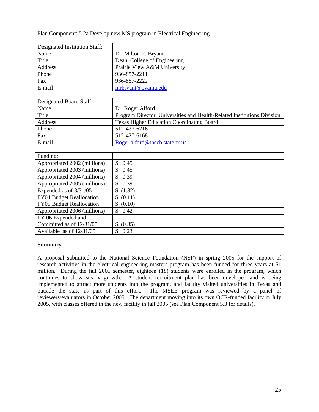Plan Component: 5.2a Develop new MS program in Electrical Engineering.

| Designated Institution Staff: |                              |
|-------------------------------|------------------------------|
| Name                          | Dr. Milton R. Bryant         |
| Title                         | Dean, College of Engineering |
| Address                       | Prairie View A&M University  |
| Phone                         | 936-857-2211                 |
| Fax                           | 936-857-2222                 |
| E-mail                        | mrbryant@pvamu.edu           |

| Designated Board Staff: |                                                                         |
|-------------------------|-------------------------------------------------------------------------|
| Name                    | Dr. Roger Alford                                                        |
| Title                   | Program Director, Universities and Health-Related Institutions Division |
| Address                 | <b>Texas Higher Education Coordinating Board</b>                        |
| Phone                   | 512-427-6216                                                            |
| Fax                     | 512-427-6168                                                            |
| E-mail                  | Roger.alford@thecb.state.tx.us                                          |

| Funding:                     |             |
|------------------------------|-------------|
| Appropriated 2002 (millions) | 0.45<br>\$  |
| Appropriated 2003 (millions) | 0.45<br>\$  |
| Appropriated 2004 (millions) | 0.39<br>S   |
| Appropriated 2005 (millions) | 0.39<br>S   |
| Expended as of 8/31/05       | \$(1.32)    |
| FY04 Budget Reallocation     | \$ (0.11)   |
| FY05 Budget Reallocation     | \$ (0.10)   |
| Appropriated 2006 (millions) | 0.42<br>\$. |
| FY 06 Expended and           |             |
| Committed as of 12/31/05     | (0.35)      |
| Available as of 12/31/05     | 0.23        |

#### **Summary**

A proposal submitted to the National Science Foundation (NSF) in spring 2005 for the support of research activities in the electrical engineering masters program has been funded for three years at \$1 million. During the fall 2005 semester, eighteen (18) students were enrolled in the program, which continues to show steady growth. A student recruitment plan has been developed and is being implemented to attract more students into the program, and faculty visited universities in Texas and outside the state as part of this effort. The MSEE program was reviewed by a panel of reviewers/evaluators in October 2005. The department moving into its own OCR-funded facility in July 2005, with classes offered in the new facility in fall 2005 (see Plan Component 5.3 for details).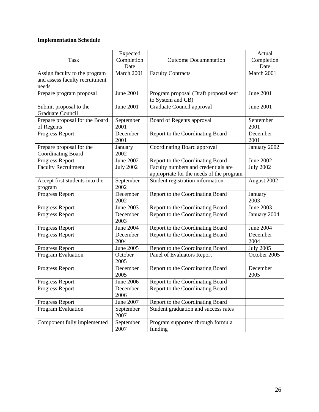| <b>Task</b>                                                              | Expected<br>Completion<br>Date | <b>Outcome Documentation</b>                                                    | Actual<br>Completion<br>Date |
|--------------------------------------------------------------------------|--------------------------------|---------------------------------------------------------------------------------|------------------------------|
| Assign faculty to the program<br>and assess faculty recruitment<br>needs | March 2001                     | <b>Faculty Contracts</b>                                                        | March 2001                   |
| Prepare program proposal                                                 | June 2001                      | Program proposal (Draft proposal sent<br>to System and CB)                      | June 2001                    |
| Submit proposal to the<br><b>Graduate Council</b>                        | <b>June 2001</b>               | Graduate Council approval                                                       | <b>June 2001</b>             |
| Prepare proposal for the Board<br>of Regents                             | September<br>2001              | Board of Regents approval                                                       | September<br>2001            |
| Progress Report                                                          | December<br>2001               | Report to the Coordinating Board                                                | December<br>2001             |
| Prepare proposal for the<br><b>Coordinating Board</b>                    | January<br>2002                | Coordinating Board approval                                                     | January 2002                 |
| Progress Report                                                          | <b>June 2002</b>               | Report to the Coordinating Board                                                | June 2002                    |
| <b>Faculty Recruitment</b>                                               | <b>July 2002</b>               | Faculty numbers and credentials are<br>appropriate for the needs of the program | <b>July 2002</b>             |
| Accept first students into the<br>program                                | September<br>2002              | Student registration information                                                | August 2002                  |
| Progress Report                                                          | December<br>2002               | Report to the Coordinating Board                                                | January<br>2003              |
| Progress Report                                                          | June 2003                      | Report to the Coordinating Board                                                | June 2003                    |
| Progress Report                                                          | December<br>2003               | Report to the Coordinating Board                                                | January 2004                 |
| Progress Report                                                          | <b>June 2004</b>               | Report to the Coordinating Board                                                | <b>June 2004</b>             |
| Progress Report                                                          | December<br>2004               | Report to the Coordinating Board                                                | December<br>2004             |
| Progress Report                                                          | June 2005                      | Report to the Coordinating Board                                                | <b>July 2005</b>             |
| Program Evaluation                                                       | October<br>2005                | Panel of Evaluators Report                                                      | October 2005                 |
| Progress Report                                                          | December<br>2005               | Report to the Coordinating Board                                                | December<br>2005             |
| Progress Report                                                          | <b>June 2006</b>               | Report to the Coordinating Board                                                |                              |
| Progress Report                                                          | December<br>2006               | Report to the Coordinating Board                                                |                              |
| Progress Report                                                          | <b>June 2007</b>               | Report to the Coordinating Board                                                |                              |
| Program Evaluation                                                       | September<br>2007              | Student graduation and success rates                                            |                              |
| Component fully implemented                                              | September<br>2007              | Program supported through formula<br>funding                                    |                              |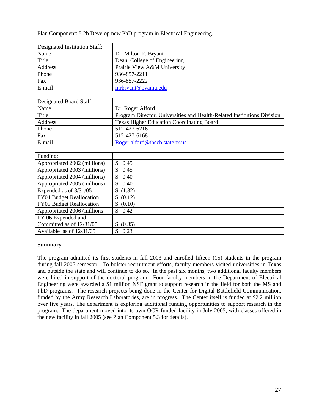Plan Component: 5.2b Develop new PhD program in Electrical Engineering.

| Designated Institution Staff: |                              |
|-------------------------------|------------------------------|
| Name                          | Dr. Milton R. Bryant         |
| Title                         | Dean, College of Engineering |
| Address                       | Prairie View A&M University  |
| Phone                         | 936-857-2211                 |
| Fax                           | 936-857-2222                 |
| E-mail                        | mrbryant@pvamu.edu           |

| Designated Board Staff: |                                                                         |
|-------------------------|-------------------------------------------------------------------------|
| Name                    | Dr. Roger Alford                                                        |
| Title                   | Program Director, Universities and Health-Related Institutions Division |
| Address                 | <b>Texas Higher Education Coordinating Board</b>                        |
| Phone                   | 512-427-6216                                                            |
| Fax                     | 512-427-6168                                                            |
| E-mail                  | Roger.alford@thecb.state.tx.us                                          |

| Funding:                     |                       |
|------------------------------|-----------------------|
| Appropriated 2002 (millions) | \$<br>0.45            |
| Appropriated 2003 (millions) | 0.45<br>\$            |
| Appropriated 2004 (millions) | 0.40<br>\$.           |
| Appropriated 2005 (millions) | 0.40<br><sup>\$</sup> |
| Expended as of 8/31/05       | \$(1.32)              |
| FY04 Budget Reallocation     | \$ (0.12)             |
| FY05 Budget Reallocation     | \$ (0.10)             |
| Appropriated 2006 (millions  | \$0.42                |
| FY 06 Expended and           |                       |
| Committed as of 12/31/05     | (0.35)<br>S           |
| Available as of 12/31/05     | 0.23                  |

#### **Summary**

The program admitted its first students in fall 2003 and enrolled fifteen (15) students in the program during fall 2005 semester. To bolster recruitment efforts, faculty members visited universities in Texas and outside the state and will continue to do so. In the past six months, two additional faculty members were hired in support of the doctoral program. Four faculty members in the Department of Electrical Engineering were awarded a \$1 million NSF grant to support research in the field for both the MS and PhD programs. The research projects being done in the Center for Digital Battlefield Communication, funded by the Army Research Laboratories, are in progress. The Center itself is funded at \$2.2 million over five years. The department is exploring additional funding opportunities to support research in the program. The department moved into its own OCR-funded facility in July 2005, with classes offered in the new facility in fall 2005 (see Plan Component 5.3 for details).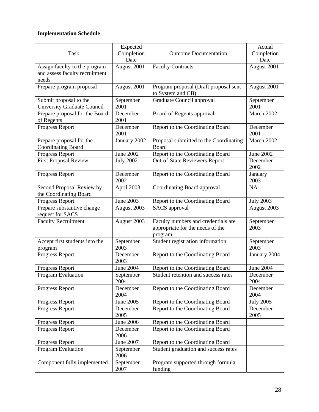|                                                              | Expected                 |                                                                                    | Actual                   |
|--------------------------------------------------------------|--------------------------|------------------------------------------------------------------------------------|--------------------------|
| <b>Task</b>                                                  | Completion               | <b>Outcome Documentation</b>                                                       | Completion               |
|                                                              | Date                     |                                                                                    | Date                     |
| Assign faculty to the program                                | August 2001              | <b>Faculty Contracts</b>                                                           | August 2001              |
| and assess faculty recruitment                               |                          |                                                                                    |                          |
| needs                                                        |                          |                                                                                    |                          |
| Prepare program proposal                                     | August 2001              | Program proposal (Draft proposal sent<br>to System and CB)                         | August 2001              |
| Submit proposal to the<br><b>University Graduate Council</b> | September<br>2001        | Graduate Council approval                                                          | September<br>2001        |
| Prepare proposal for the Board<br>of Regents                 | December<br>2001         | Board of Regents approval                                                          | March 2002               |
| Progress Report                                              | December<br>2001         | Report to the Coordinating Board                                                   | December<br>2001         |
| Prepare proposal for the<br>Coordinating Board               | January 2002             | Proposal submitted to the Coordinating<br>Board                                    | March 2002               |
| Progress Report                                              | June 2002                | Report to the Coordinating Board                                                   | June 2002                |
| <b>First Proposal Review</b>                                 | <b>July 2002</b>         | <b>Out-of-State Reviewers Report</b>                                               | December<br>2002         |
| Progress Report                                              | December<br>2002         | Report to the Coordinating Board                                                   | January<br>2003          |
| Second Proposal Review by<br>the Coordinating Board          | April 2003               | Coordinating Board approval                                                        | NA                       |
| Progress Report                                              | <b>June 2003</b>         | Report to the Coordinating Board                                                   | <b>July 2003</b>         |
| Prepare substantive change<br>request for SACS               | August 2003              | SACS approval                                                                      | August 2003              |
| <b>Faculty Recruitment</b>                                   | August 2003              | Faculty numbers and credentials are<br>appropriate for the needs of the<br>program | September<br>2003        |
| Accept first students into the<br>program                    | September<br>2003        | Student registration information                                                   | September<br>2003        |
| Progress Report                                              | December<br>2003         | Report to the Coordinating Board                                                   | January 2004             |
| Progress Report                                              | <b>June 2004</b>         | Report to the Coordinating Board                                                   | June 2004                |
| Program Evaluation                                           | September                | Student retention and success rates                                                | December                 |
| Progress Report                                              | 2004<br>December<br>2004 | Report to the Coordinating Board                                                   | 2004<br>December<br>2004 |
| Progress Report                                              | June 2005                | Report to the Coordinating Board                                                   | <b>July 2005</b>         |
| Progress Report                                              | December<br>2005         | Report to the Coordinating Board                                                   | December<br>2005         |
| Progress Report                                              | June 2006                | Report to the Coordinating Board                                                   |                          |
| Progress Report                                              | December<br>2006         | Report to the Coordinating Board                                                   |                          |
| Progress Report                                              | June 2007                | Report to the Coordinating Board                                                   |                          |
| Program Evaluation                                           | September<br>2006        | Student graduation and success rates                                               |                          |
| Component fully implemented                                  | September<br>2007        | Program supported through formula<br>funding                                       |                          |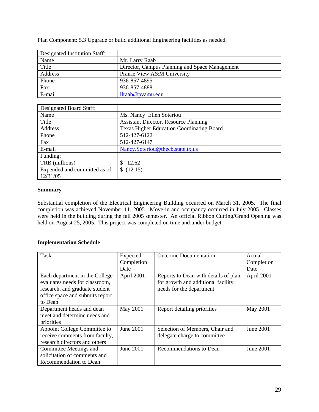| Designated Institution Staff: |                                                |
|-------------------------------|------------------------------------------------|
| Name                          | Mr. Larry Raab                                 |
| Title                         | Director, Campus Planning and Space Management |
| Address                       | Prairie View A&M University                    |
| Phone                         | 936-857-4895                                   |
| Fax                           | 936-857-4888                                   |
| E-mail                        | $llr$ aab $@p$ vamu.edu                        |

Plan Component: 5.3 Upgrade or build additional Engineering facilities as needed.

| <b>Designated Board Staff:</b> |                                                  |
|--------------------------------|--------------------------------------------------|
| Name                           | Ms. Nancy Ellen Soteriou                         |
| Title                          | <b>Assistant Director, Resource Planning</b>     |
| Address                        | <b>Texas Higher Education Coordinating Board</b> |
| Phone                          | 512-427-6122                                     |
| Fax                            | 512-427-6147                                     |
| E-mail                         | Nancy.Soteriou@thecb.state.tx.us                 |
| Funding:                       |                                                  |
| TRB (millions)                 | 12.62                                            |
| Expended and committed as of   | \$(12.15)                                        |
| 12/31/05                       |                                                  |

#### **Summary**

Substantial completion of the Electrical Engineering Building occurred on March 31, 2005. The final completion was achieved November 11, 2005. Move-in and occupancy occurred in July 2005. Classes were held in the building during the fall 2005 semester. An official Ribbon Cutting/Grand Opening was held on August 25, 2005. This project was completed on time and under budget.

| Task                            | Expected   | <b>Outcome Documentation</b>         | Actual     |
|---------------------------------|------------|--------------------------------------|------------|
|                                 | Completion |                                      | Completion |
|                                 | Date       |                                      | Date       |
| Each department in the College  | April 2001 | Reports to Dean with details of plan | April 2001 |
| evaluates needs for classroom,  |            | for growth and additional facility   |            |
| research, and graduate student  |            | needs for the department             |            |
| office space and submits report |            |                                      |            |
| to Dean                         |            |                                      |            |
| Department heads and dean       | May 2001   | Report detailing priorities          | May 2001   |
| meet and determine needs and    |            |                                      |            |
| priorities                      |            |                                      |            |
| Appoint College Committee to    | June 2001  | Selection of Members, Chair and      | June 2001  |
| receive comments from faculty,  |            | delegate charge to committee         |            |
| research directors and others   |            |                                      |            |
| Committee Meetings and          | June 2001  | Recommendations to Dean              | June 2001  |
| solicitation of comments and    |            |                                      |            |
| Recommendation to Dean          |            |                                      |            |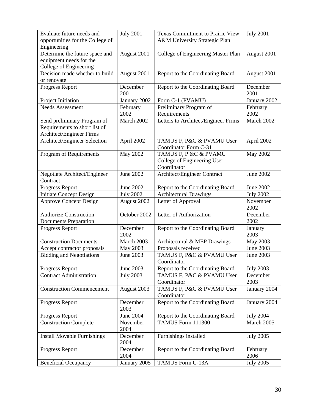| Evaluate future needs and<br>opportunities for the College of | <b>July 2001</b> | <b>Texas Commitment to Prairie View</b><br>A&M University Strategic Plan | <b>July 2001</b> |
|---------------------------------------------------------------|------------------|--------------------------------------------------------------------------|------------------|
| Engineering                                                   |                  |                                                                          |                  |
| Determine the future space and                                | August 2001      | College of Engineering Master Plan                                       | August 2001      |
| equipment needs for the                                       |                  |                                                                          |                  |
| College of Engineering                                        |                  |                                                                          |                  |
| Decision made whether to build                                | August 2001      | Report to the Coordinating Board                                         | August 2001      |
| or renovate                                                   |                  |                                                                          |                  |
| Progress Report                                               | December         | Report to the Coordinating Board                                         | December         |
|                                                               | 2001             |                                                                          | 2001             |
| Project Initiation                                            | January 2002     | Form C-1 (PVAMU)                                                         | January 2002     |
| <b>Needs Assessment</b>                                       | February         | Preliminary Program of                                                   | February         |
|                                                               | 2002             | Requirements                                                             | 2002             |
| Send preliminary Program of                                   | March 2002       | Letters to Architect/Engineer Firms                                      | March 2002       |
| Requirements to short list of                                 |                  |                                                                          |                  |
| Architect/Engineer Firms                                      |                  |                                                                          |                  |
| Architect/Engineer Selection                                  | April 2002       | TAMUS F, P&C & PVAMU User                                                | April 2002       |
|                                                               |                  | Coordinator Form C-31                                                    |                  |
| Program of Requirements                                       | May 2002         | TAMUS F, P &C & PVAMU                                                    | May 2002         |
|                                                               |                  | College of Engineering User                                              |                  |
|                                                               |                  | Coordinator                                                              |                  |
| Negotiate Architect/Engineer                                  | <b>June 2002</b> | Architect/Engineer Contract                                              | June 2002        |
| Contract                                                      |                  |                                                                          |                  |
| Progress Report                                               | <b>June 2002</b> | Report to the Coordinating Board                                         | June 2002        |
| <b>Initiate Concept Design</b>                                | <b>July 2002</b> | <b>Architectural Drawings</b>                                            | <b>July 2002</b> |
| <b>Approve Concept Design</b>                                 | August 2002      | Letter of Approval                                                       | November<br>2002 |
|                                                               |                  |                                                                          |                  |
| <b>Authorize Construction</b>                                 | October 2002     | Letter of Authorization                                                  | December         |
| <b>Documents Preparation</b>                                  |                  |                                                                          | 2002             |
| Progress Report                                               | December         | Report to the Coordinating Board                                         | January          |
|                                                               | 2002             |                                                                          | 2003             |
| <b>Construction Documents</b>                                 | March 2003       | Architectural & MEP Drawings                                             | May 2003         |
| Accept contractor proposals                                   | May 2003         | Proposals received                                                       | June 2003        |
| <b>Bidding and Negotiations</b>                               | June 2003        | TAMUS F, P&C & PVAMU User                                                | June 2003        |
|                                                               |                  | Coordinator                                                              |                  |
| Progress Report                                               | June 2003        | Report to the Coordinating Board                                         | <b>July 2003</b> |
| <b>Contract Administration</b>                                | <b>July 2003</b> | TAMUS F, P&C & PVAMU User                                                | December         |
|                                                               |                  | Coordinator                                                              | 2003             |
| <b>Construction Commencement</b>                              | August 2003      | TAMUS F, P&C & PVAMU User                                                | January 2004     |
|                                                               |                  | Coordinator                                                              |                  |
| Progress Report                                               | December<br>2003 | Report to the Coordinating Board                                         | January 2004     |
| Progress Report                                               | <b>June 2004</b> | Report to the Coordinating Board                                         | <b>July 2004</b> |
| <b>Construction Complete</b>                                  | November         | TAMUS Form 111300                                                        | March 2005       |
|                                                               | 2004<br>December |                                                                          |                  |
| <b>Install Movable Furnishings</b>                            | 2004             | Furnishings installed                                                    | <b>July 2005</b> |
| Progress Report                                               | December         | Report to the Coordinating Board                                         | February         |
|                                                               | 2004             | TAMUS Form C-13A                                                         | 2006             |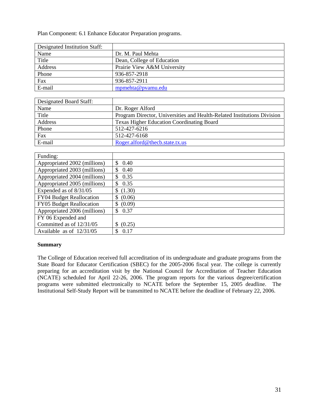Plan Component: 6.1 Enhance Educator Preparation programs.

| Designated Institution Staff: |                             |
|-------------------------------|-----------------------------|
| Name                          | Dr. M. Paul Mehta           |
| Title                         | Dean, College of Education  |
| Address                       | Prairie View A&M University |
| Phone                         | 936-857-2918                |
| Fax                           | 936-857-2911                |
| E-mail                        | mpmehta@pvamu.edu           |

| Designated Board Staff: |                                                                         |
|-------------------------|-------------------------------------------------------------------------|
| Name                    | Dr. Roger Alford                                                        |
| Title                   | Program Director, Universities and Health-Related Institutions Division |
| Address                 | <b>Texas Higher Education Coordinating Board</b>                        |
| Phone                   | 512-427-6216                                                            |
| Fax                     | 512-427-6168                                                            |
| E-mail                  | Roger.alford@thecb.state.tx.us                                          |

| Funding:                     |             |
|------------------------------|-------------|
| Appropriated 2002 (millions) | \$<br>0.40  |
| Appropriated 2003 (millions) | 0.40<br>\$  |
| Appropriated 2004 (millions) | 0.35<br>\$  |
| Appropriated 2005 (millions) | 0.35<br>S   |
| Expended as of 8/31/05       | \$(1.30)    |
| FY04 Budget Reallocation     | \$ (0.06)   |
| FY05 Budget Reallocation     | \$ (0.09)   |
| Appropriated 2006 (millions) | 0.37<br>\$. |
| FY 06 Expended and           |             |
| Committed as of 12/31/05     | (0.25)      |
| Available as of $12/31/05$   | 0.17<br>S   |

#### **Summary**

The College of Education received full accreditation of its undergraduate and graduate programs from the State Board for Educator Certification (SBEC) for the 2005-2006 fiscal year. The college is currently preparing for an accreditation visit by the National Council for Accreditation of Teacher Education (NCATE) scheduled for April 22-26, 2006. The program reports for the various degree/certification programs were submitted electronically to NCATE before the September 15, 2005 deadline. The Institutional Self-Study Report will be transmitted to NCATE before the deadline of February 22, 2006.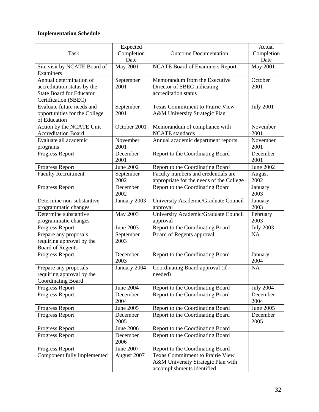|                                    | Expected              |                                                                      | Actual                       |
|------------------------------------|-----------------------|----------------------------------------------------------------------|------------------------------|
| <b>Task</b>                        | Completion            | <b>Outcome Documentation</b>                                         | Completion                   |
|                                    | Date                  |                                                                      | Date                         |
| Site visit by NCATE Board of       | <b>May 2001</b>       | <b>NCATE Board of Examiners Report</b>                               | <b>May 2001</b>              |
| Examiners                          |                       |                                                                      |                              |
| Annual determination of            | September             | Memorandum from the Executive                                        | October                      |
| accreditation status by the        | 2001                  | Director of SBEC indicating                                          | 2001                         |
| <b>State Board for Educator</b>    |                       | accreditation status                                                 |                              |
| Certification (SBEC)               |                       |                                                                      |                              |
| Evaluate future needs and          | September             | <b>Texas Commitment to Prairie View</b>                              | <b>July 2001</b>             |
| opportunities for the College      | 2001                  | A&M University Strategic Plan                                        |                              |
| of Education                       |                       |                                                                      |                              |
| Action by the NCATE Unit           | October 2001          | Memorandum of compliance with                                        | November                     |
| <b>Accreditation Board</b>         |                       | <b>NCATE</b> standards                                               | 2001                         |
| Evaluate all academic              | November              | Annual academic department reports                                   | November                     |
| programs                           | 2001                  |                                                                      | 2001                         |
| Progress Report                    | December              | Report to the Coordinating Board                                     | December                     |
|                                    | 2001                  |                                                                      | 2001                         |
| Progress Report                    | <b>June 2002</b>      | Report to the Coordinating Board                                     | <b>June 2002</b>             |
| <b>Faculty Recruitment</b>         | September             | Faculty numbers and credentials are                                  | August                       |
|                                    | 2002                  | appropriate for the needs of the College                             | 2002                         |
| Progress Report                    | December              | Report to the Coordinating Board                                     | January                      |
|                                    | 2002                  |                                                                      | 2003                         |
| Determine non-substantive          | January 2003          | University Academic/Graduate Council                                 | January                      |
| programmatic changes               |                       | approval                                                             | 2003                         |
| Determine substantive              | May 2003              | University Academic/Graduate Council                                 | February                     |
| programmatic changes               |                       | approval                                                             | 2003                         |
| Progress Report                    | June 2003             | Report to the Coordinating Board                                     | <b>July 2003</b>             |
| Prepare any proposals              | September             | Board of Regents approval                                            | <b>NA</b>                    |
| requiring approval by the          | 2003                  |                                                                      |                              |
| <b>Board of Regents</b>            |                       |                                                                      |                              |
| Progress Report                    | December              | Report to the Coordinating Board                                     | January                      |
|                                    | 2003                  |                                                                      | 2004                         |
| Prepare any proposals              | January 2004          | Coordinating Board approval (if                                      | <b>NA</b>                    |
| requiring approval by the          |                       | needed)                                                              |                              |
| Coordinating Board                 |                       |                                                                      |                              |
| Progress Report<br>Progress Report | June 2004<br>December | Report to the Coordinating Board<br>Report to the Coordinating Board | <b>July 2004</b><br>December |
|                                    | 2004                  |                                                                      | 2004                         |
| Progress Report                    | June 2005             | Report to the Coordinating Board                                     | June 2005                    |
| Progress Report                    | December              | Report to the Coordinating Board                                     | December                     |
|                                    | 2005                  |                                                                      | 2005                         |
| Progress Report                    | <b>June 2006</b>      | Report to the Coordinating Board                                     |                              |
| Progress Report                    | December<br>2006      | Report to the Coordinating Board                                     |                              |
| Progress Report                    | June 2007             | Report to the Coordinating Board                                     |                              |
| Component fully implemented        | August 2007           | <b>Texas Commitment to Prairie View</b>                              |                              |
|                                    |                       | A&M University Strategic Plan with                                   |                              |
|                                    |                       | accomplishments identified                                           |                              |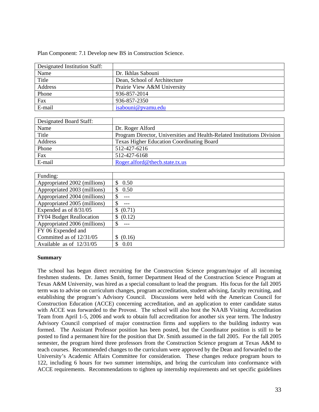Plan Component: 7.1 Develop new BS in Construction Science.

| Designated Institution Staff: |                              |
|-------------------------------|------------------------------|
| Name                          | Dr. Ikhlas Sabouni           |
| Title                         | Dean, School of Architecture |
| Address                       | Prairie View A&M University  |
| Phone                         | 936-857-2014                 |
| Fax                           | 936-857-2350                 |
| E-mail                        | isabouni@pyamu.edu           |

| Designated Board Staff: |                                                                         |
|-------------------------|-------------------------------------------------------------------------|
| Name                    | Dr. Roger Alford                                                        |
| Title                   | Program Director, Universities and Health-Related Institutions Division |
| Address                 | <b>Texas Higher Education Coordinating Board</b>                        |
| Phone                   | 512-427-6216                                                            |
| Fax                     | 512-427-6168                                                            |
| E-mail                  | Roger.alford@thecb.state.tx.us                                          |

| Funding:                     |                         |
|------------------------------|-------------------------|
| Appropriated 2002 (millions) | 0.50<br><sup>\$</sup>   |
| Appropriated 2003 (millions) | 0.50                    |
| Appropriated 2004 (millions) | \$<br>---               |
| Appropriated 2005 (millions) | \$                      |
| Expended as of $8/31/05$     | (0.71)                  |
| FY04 Budget Reallocation     | (0.12)<br><sup>\$</sup> |
| Appropriated 2006 (millions) | S                       |
| FY 06 Expended and           |                         |
| Committed as of 12/31/05     | (0.16)                  |
| Available as of $12/31/05$   | 0.01                    |

#### **Summary**

The school has begun direct recruiting for the Construction Science program/major of all incoming freshmen students. Dr. James Smith, former Department Head of the Construction Science Program at Texas A&M University, was hired as a special consultant to lead the program. His focus for the fall 2005 term was to advise on curriculum changes, program accreditation, student advising, faculty recruiting, and establishing the program's Advisory Council. Discussions were held with the American Council for Construction Education (ACCE) concerning accreditation, and an application to enter candidate status with ACCE was forwarded to the Provost. The school will also host the NAAB Visiting Accreditation Team from April 1-5, 2006 and work to obtain full accreditation for another six year term. The Industry Advisory Council comprised of major construction firms and suppliers to the building industry was formed. The Assistant Professor position has been posted, but the Coordinator position is still to be posted to find a permanent hire for the position that Dr. Smith assumed in the fall 2005. For the fall 2005 semester, the program hired three professors from the Construction Science program at Texas A&M to teach courses. Recommended changes to the curriculum were approved by the Dean and forwarded to the University's Academic Affairs Committee for consideration. These changes reduce program hours to 122, including 6 hours for two summer internships, and bring the curriculum into conformance with ACCE requirements. Recommendations to tighten up internship requirements and set specific guidelines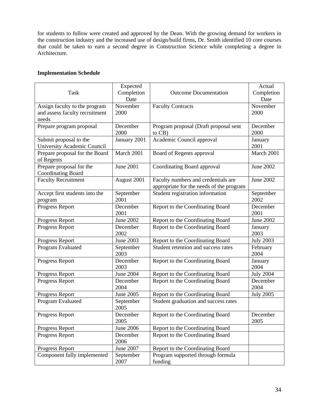for students to follow were created and approved by the Dean. With the growing demand for workers in the construction industry and the increased use of design/build firms, Dr. Smith identified 10 core courses that could be taken to earn a second degree in Construction Science while completing a degree in Architecture.

| <b>Task</b>                                                              | Expected<br>Completion<br>Date | <b>Outcome Documentation</b>                                                    | Actual<br>Completion<br>Date |
|--------------------------------------------------------------------------|--------------------------------|---------------------------------------------------------------------------------|------------------------------|
| Assign faculty to the program<br>and assess faculty recruitment<br>needs | November<br>2000               | <b>Faculty Contracts</b>                                                        | November<br>2000             |
| Prepare program proposal                                                 | December<br>2000               | Program proposal (Draft proposal sent<br>to CB)                                 | December<br>2000             |
| Submit proposal to the<br>University Academic Council                    | January 2001                   | Academic Council approval                                                       | January<br>2001              |
| Prepare proposal for the Board<br>of Regents                             | March 2001                     | Board of Regents approval                                                       | March 2001                   |
| Prepare proposal for the<br><b>Coordinating Board</b>                    | <b>June 2001</b>               | Coordinating Board approval                                                     | <b>June 2002</b>             |
| <b>Faculty Recruitment</b>                                               | August 2001                    | Faculty numbers and credentials are<br>appropriate for the needs of the program | June 2002                    |
| Accept first students into the<br>program                                | September<br>2001              | Student registration information                                                | September<br>2002            |
| Progress Report                                                          | December<br>2001               | Report to the Coordinating Board                                                | December<br>2001             |
| Progress Report                                                          | <b>June 2002</b>               | Report to the Coordinating Board                                                | <b>June 2002</b>             |
| Progress Report                                                          | December<br>2002               | Report to the Coordinating Board                                                | January<br>2003              |
| Progress Report                                                          | <b>June 2003</b>               | Report to the Coordinating Board                                                | <b>July 2003</b>             |
| Program Evaluated                                                        | September<br>2003              | Student retention and success rates                                             | February<br>2004             |
| Progress Report                                                          | December<br>2003               | Report to the Coordinating Board                                                | January<br>2004              |
| Progress Report                                                          | June 2004                      | Report to the Coordinating Board                                                | <b>July 2004</b>             |
| Progress Report                                                          | December<br>2004               | Report to the Coordinating Board                                                | December<br>2004             |
| Progress Report                                                          | June 2005                      | Report to the Coordinating Board                                                | <b>July 2005</b>             |
| Program Evaluated                                                        | September<br>2005              | Student graduation and success rates                                            |                              |
| Progress Report                                                          | December<br>2005               | Report to the Coordinating Board                                                | December<br>2005             |
| Progress Report                                                          | June 2006                      | Report to the Coordinating Board                                                |                              |
| Progress Report                                                          | December<br>2006               | Report to the Coordinating Board                                                |                              |
| Progress Report                                                          | June 2007                      | Report to the Coordinating Board                                                |                              |
| Component fully implemented                                              | September<br>2007              | Program supported through formula<br>funding                                    |                              |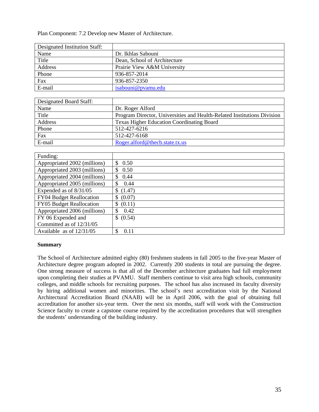Plan Component: 7.2 Develop new Master of Architecture.

| Designated Institution Staff: |                              |
|-------------------------------|------------------------------|
| Name                          | Dr. Ikhlas Sabouni           |
| Title                         | Dean, School of Architecture |
| Address                       | Prairie View A&M University  |
| Phone                         | 936-857-2014                 |
| Fax                           | 936-857-2350                 |
| E-mail                        | isabouni@pyamu.edu           |

| Designated Board Staff: |                                                                         |
|-------------------------|-------------------------------------------------------------------------|
| Name                    | Dr. Roger Alford                                                        |
| Title                   | Program Director, Universities and Health-Related Institutions Division |
| Address                 | <b>Texas Higher Education Coordinating Board</b>                        |
| Phone                   | 512-427-6216                                                            |
| Fax                     | 512-427-6168                                                            |
| E-mail                  | Roger.alford@thecb.state.tx.us                                          |

| Funding:                     |                       |
|------------------------------|-----------------------|
| Appropriated 2002 (millions) | 0.50<br><sup>\$</sup> |
| Appropriated 2003 (millions) | 0.50<br>S             |
| Appropriated 2004 (millions) | 0.44<br>\$            |
| Appropriated 2005 (millions) | 0.44<br>S.            |
| Expended as of 8/31/05       | \$(1.47)              |
| FY04 Budget Reallocation     | (0.07)<br>\$          |
| FY05 Budget Reallocation     | (0.11)<br>S           |
| Appropriated 2006 (millions) | -S<br>0.42            |
| FY 06 Expended and           | \$ (0.54)             |
| Committed as of 12/31/05     |                       |
| Available as of $12/31/05$   | 0.11<br>S             |

#### **Summary**

The School of Architecture admitted eighty (80) freshmen students in fall 2005 to the five-year Master of Architecture degree program adopted in 2002. Currently 200 students in total are pursuing the degree. One strong measure of success is that all of the December architecture graduates had full employment upon completing their studies at PVAMU. Staff members continue to visit area high schools, community colleges, and middle schools for recruiting purposes. The school has also increased its faculty diversity by hiring additional women and minorities. The school's next accreditation visit by the National Architectural Accreditation Board (NAAB) will be in April 2006, with the goal of obtaining full accreditation for another six-year term. Over the next six months, staff will work with the Construction Science faculty to create a capstone course required by the accreditation procedures that will strengthen the students' understanding of the building industry.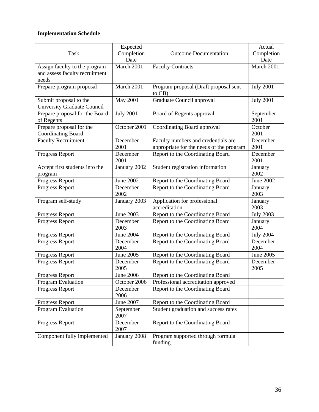| <b>Task</b>                                                  | Expected<br>Completion | <b>Outcome Documentation</b>                    | Actual<br>Completion |
|--------------------------------------------------------------|------------------------|-------------------------------------------------|----------------------|
|                                                              | Date                   |                                                 | Date                 |
| Assign faculty to the program                                | March 2001             | <b>Faculty Contracts</b>                        | March 2001           |
| and assess faculty recruitment                               |                        |                                                 |                      |
| needs                                                        |                        |                                                 |                      |
| Prepare program proposal                                     | March 2001             | Program proposal (Draft proposal sent<br>to CB) | <b>July 2001</b>     |
| Submit proposal to the<br><b>University Graduate Council</b> | May 2001               | Graduate Council approval                       | <b>July 2001</b>     |
| Prepare proposal for the Board<br>of Regents                 | <b>July 2001</b>       | Board of Regents approval                       | September<br>2001    |
| Prepare proposal for the                                     | October 2001           | Coordinating Board approval                     | October              |
| <b>Coordinating Board</b>                                    |                        |                                                 | 2001                 |
| <b>Faculty Recruitment</b>                                   | December               | Faculty numbers and credentials are             | December             |
|                                                              | 2001                   | appropriate for the needs of the program        | 2001                 |
| Progress Report                                              | December<br>2001       | Report to the Coordinating Board                | December<br>2001     |
| Accept first students into the<br>program                    | January 2002           | Student registration information                | January<br>2002      |
| Progress Report                                              | <b>June 2002</b>       | Report to the Coordinating Board                | <b>June 2002</b>     |
| Progress Report                                              | December<br>2002       | Report to the Coordinating Board                | January<br>2003      |
| Program self-study                                           | January 2003           | Application for professional<br>accreditation   | January<br>2003      |
| Progress Report                                              | June 2003              | Report to the Coordinating Board                | <b>July 2003</b>     |
| Progress Report                                              | December<br>2003       | Report to the Coordinating Board                | January<br>2004      |
| Progress Report                                              | <b>June 2004</b>       | Report to the Coordinating Board                | <b>July 2004</b>     |
| Progress Report                                              | December<br>2004       | Report to the Coordinating Board                | December<br>2004     |
| Progress Report                                              | June 2005              | Report to the Coordinating Board                | June 2005            |
| Progress Report                                              | December<br>2005       | Report to the Coordinating Board                | December<br>2005     |
| Progress Report                                              | <b>June 2006</b>       | Report to the Coordinating Board                |                      |
| Program Evaluation                                           | October 2006           | Professional accreditation approved             |                      |
| Progress Report                                              | December<br>2006       | Report to the Coordinating Board                |                      |
| Progress Report                                              | June 2007              | Report to the Coordinating Board                |                      |
| Program Evaluation                                           | September<br>2007      | Student graduation and success rates            |                      |
| Progress Report                                              | December<br>2007       | Report to the Coordinating Board                |                      |
| Component fully implemented                                  | January 2008           | Program supported through formula<br>funding    |                      |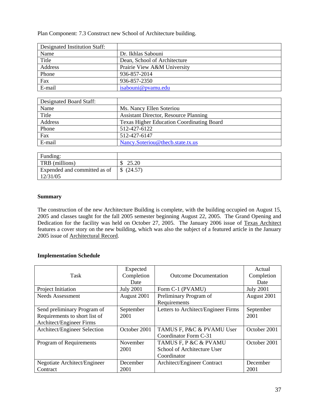Plan Component: 7.3 Construct new School of Architecture building.

| Designated Institution Staff: |                              |
|-------------------------------|------------------------------|
| Name                          | Dr. Ikhlas Sabouni           |
| Title                         | Dean, School of Architecture |
| Address                       | Prairie View A&M University  |
| Phone                         | 936-857-2014                 |
| Fax                           | 936-857-2350                 |
| E-mail                        | isabouni@pyamu.edu           |

| Designated Board Staff: |                                                  |
|-------------------------|--------------------------------------------------|
| Name                    | Ms. Nancy Ellen Soteriou                         |
| Title                   | <b>Assistant Director, Resource Planning</b>     |
| Address                 | <b>Texas Higher Education Coordinating Board</b> |
| Phone                   | 512-427-6122                                     |
| Fax                     | 512-427-6147                                     |
| E-mail                  | Nancy.Soteriou@thecb.state.tx.us                 |

| Funding:                     |         |
|------------------------------|---------|
| TRB (millions)               | 25.20   |
| Expended and committed as of | (24.57) |
| 12/31/05                     |         |

#### **Summary**

The construction of the new Architecture Building is complete, with the building occupied on August 15, 2005 and classes taught for the fall 2005 semester beginning August 22, 2005. The Grand Opening and Dedication for the facility was held on October 27, 2005. The January 2006 issue of Texas Architect features a cover story on the new building, which was also the subject of a featured article in the January 2005 issue of Architectural Record.

| Task                          | Expected<br>Completion | <b>Outcome Documentation</b>        | Actual<br>Completion |
|-------------------------------|------------------------|-------------------------------------|----------------------|
|                               | Date                   |                                     | Date                 |
| Project Initiation            | <b>July 2001</b>       | Form C-1 (PVAMU)                    | <b>July 2001</b>     |
| Needs Assessment              | August 2001            | Preliminary Program of              | August 2001          |
|                               |                        | Requirements                        |                      |
| Send preliminary Program of   | September              | Letters to Architect/Engineer Firms | September            |
| Requirements to short list of | 2001                   |                                     | 2001                 |
| Architect/Engineer Firms      |                        |                                     |                      |
| Architect/Engineer Selection  | October 2001           | TAMUS F, P&C & PVAMU User           | October 2001         |
|                               |                        | Coordinator Form C-31               |                      |
| Program of Requirements       | November               | TAMUS F, P &C & PVAMU               | October 2001         |
|                               | 2001                   | School of Architecture User         |                      |
|                               |                        | Coordinator                         |                      |
| Negotiate Architect/Engineer  | December               | Architect/Engineer Contract         | December             |
| Contract                      | 2001                   |                                     | 2001                 |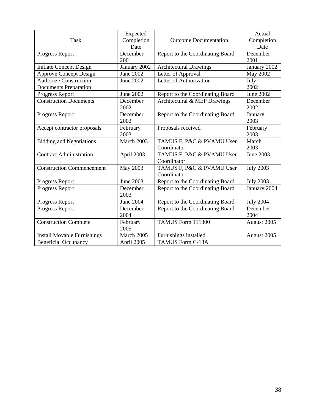| <b>Task</b>                                                   | Expected<br>Completion<br>Date | <b>Outcome Documentation</b>             | Actual<br>Completion<br>Date |
|---------------------------------------------------------------|--------------------------------|------------------------------------------|------------------------------|
| Progress Report                                               | December<br>2001               | Report to the Coordinating Board         | December<br>2001             |
| <b>Initiate Concept Design</b>                                | January 2002                   | <b>Architectural Drawings</b>            | January 2002                 |
| <b>Approve Concept Design</b>                                 | <b>June 2002</b>               | Letter of Approval                       | <b>May 2002</b>              |
| <b>Authorize Construction</b><br><b>Documents Preparation</b> | <b>June 2002</b>               | Letter of Authorization                  | July<br>2002                 |
| Progress Report                                               | <b>June 2002</b>               | Report to the Coordinating Board         | <b>June 2002</b>             |
| <b>Construction Documents</b>                                 | December<br>2002               | Architectural & MEP Drawings             | December<br>2002             |
| Progress Report                                               | December<br>2002               | Report to the Coordinating Board         | January<br>2003              |
| Accept contractor proposals                                   | February<br>2003               | Proposals received                       | February<br>2003             |
| <b>Bidding and Negotiations</b>                               | March 2003                     | TAMUS F, P&C & PVAMU User<br>Coordinator | March<br>2003                |
| <b>Contract Administration</b>                                | April 2003                     | TAMUS F, P&C & PVAMU User<br>Coordinator | <b>June 2003</b>             |
| <b>Construction Commencement</b>                              | May 2003                       | TAMUS F, P&C & PVAMU User<br>Coordinator | <b>July 2003</b>             |
| Progress Report                                               | <b>June 2003</b>               | Report to the Coordinating Board         | <b>July 2003</b>             |
| Progress Report                                               | December<br>2003               | Report to the Coordinating Board         | January 2004                 |
| Progress Report                                               | <b>June 2004</b>               | Report to the Coordinating Board         | <b>July 2004</b>             |
| Progress Report                                               | December<br>2004               | Report to the Coordinating Board         | December<br>2004             |
| <b>Construction Complete</b>                                  | February<br>2005               | TAMUS Form 111300                        | August 2005                  |
| <b>Install Movable Furnishings</b>                            | March 2005                     | Furnishings installed                    | August 2005                  |
| <b>Beneficial Occupancy</b>                                   | April 2005                     | TAMUS Form C-13A                         |                              |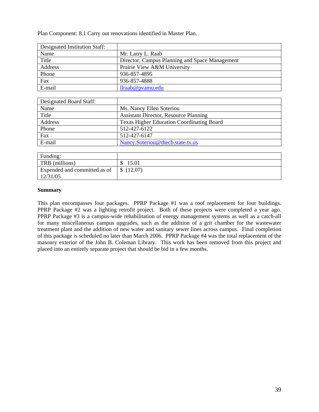Plan Component: 8.1 Carry out renovations identified in Master Plan.

| Designated Institution Staff: |                                                |
|-------------------------------|------------------------------------------------|
| Name                          | Mr. Larry L. Raab                              |
| Title                         | Director, Campus Planning and Space Management |
| Address                       | Prairie View A&M University                    |
| Phone                         | 936-857-4895                                   |
| Fax                           | 936-857-4888                                   |
| E-mail                        | llraab@pvamu.edu                               |

| Designated Board Staff: |                                                  |
|-------------------------|--------------------------------------------------|
| Name                    | Ms. Nancy Ellen Soteriou                         |
| Title                   | <b>Assistant Director, Resource Planning</b>     |
| Address                 | <b>Texas Higher Education Coordinating Board</b> |
| Phone                   | 512-427-6122                                     |
| Fax                     | 512-427-6147                                     |
| E-mail                  | Nancy.Soteriou@thecb.state.tx.us                 |

| Funding:                     |                           |
|------------------------------|---------------------------|
| TRB (millions)               | 15.01                     |
| Expended and committed as of | (12.07)<br>$\mathbb{S}^-$ |
| 12/31/05                     |                           |

#### **Summary**

This plan encompasses four packages. PPRP Package #1 was a roof replacement for four buildings. PPRP Package #2 was a lighting retrofit project. Both of these projects were completed a year ago. PPRP Package #3 is a campus-wide rehabilitation of energy management systems as well as a catch-all for many miscellaneous campus upgrades, such as the addition of a grit chamber for the wastewater treatment plant and the addition of new water and sanitary sewer lines across campus. Final completion of this package is scheduled no later than March 2006. PPRP Package #4 was the total replacement of the masonry exterior of the John B. Coleman Library. This work has been removed from this project and placed into an entirely separate project that should be bid in a few months.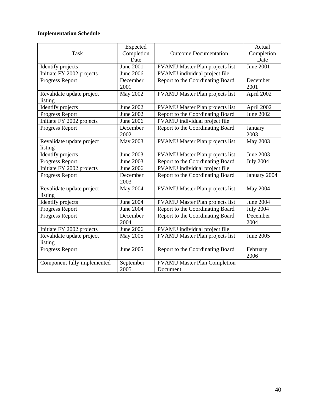|                             | Expected         |                                        | Actual           |
|-----------------------------|------------------|----------------------------------------|------------------|
| Task                        | Completion       | <b>Outcome Documentation</b>           | Completion       |
|                             | Date             |                                        | Date             |
| Identify projects           | <b>June 2001</b> | <b>PVAMU</b> Master Plan projects list | <b>June 2001</b> |
| Initiate FY 2002 projects   | <b>June 2006</b> | PVAMU individual project file          |                  |
| Progress Report             | December         | Report to the Coordinating Board       | December         |
|                             | 2001             |                                        | 2001             |
| Revalidate update project   | <b>May 2002</b>  | <b>PVAMU</b> Master Plan projects list | April 2002       |
| listing                     |                  |                                        |                  |
| Identify projects           | <b>June 2002</b> | <b>PVAMU</b> Master Plan projects list | April 2002       |
| Progress Report             | <b>June 2002</b> | Report to the Coordinating Board       | June 2002        |
| Initiate FY 2002 projects   | <b>June 2006</b> | PVAMU individual project file          |                  |
| Progress Report             | December         | Report to the Coordinating Board       | January          |
|                             | 2002             |                                        | 2003             |
| Revalidate update project   | May 2003         | PVAMU Master Plan projects list        | May 2003         |
| listing                     |                  |                                        |                  |
| Identify projects           | June 2003        | <b>PVAMU</b> Master Plan projects list | June 2003        |
| Progress Report             | <b>June 2003</b> | Report to the Coordinating Board       | <b>July 2004</b> |
| Initiate FY 2002 projects   | <b>June 2006</b> | PVAMU individual project file          |                  |
| Progress Report             | December         | Report to the Coordinating Board       | January 2004     |
|                             | 2003             |                                        |                  |
| Revalidate update project   | May 2004         | <b>PVAMU</b> Master Plan projects list | May 2004         |
| listing                     |                  |                                        |                  |
| Identify projects           | <b>June 2004</b> | <b>PVAMU</b> Master Plan projects list | <b>June 2004</b> |
| Progress Report             | <b>June 2004</b> | Report to the Coordinating Board       | <b>July 2004</b> |
| Progress Report             | December         | Report to the Coordinating Board       | December         |
|                             | 2004             |                                        | 2004             |
| Initiate FY 2002 projects   | <b>June 2006</b> | PVAMU individual project file          |                  |
| Revalidate update project   | May 2005         | PVAMU Master Plan projects list        | June 2005        |
| listing                     |                  |                                        |                  |
| Progress Report             | June 2005        | Report to the Coordinating Board       | February         |
|                             |                  |                                        | 2006             |
| Component fully implemented | September        | <b>PVAMU Master Plan Completion</b>    |                  |
|                             | 2005             | Document                               |                  |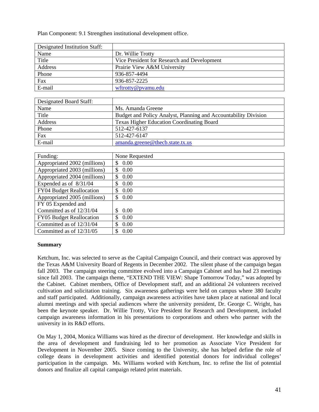Plan Component: 9.1 Strengthen institutional development office.

| Designated Institution Staff: |                                             |
|-------------------------------|---------------------------------------------|
| Name                          | Dr. Willie Trotty                           |
| Title                         | Vice President for Research and Development |
| Address                       | Prairie View A&M University                 |
| Phone                         | 936-857-4494                                |
| Fax                           | 936-857-2225                                |
| E-mail                        | wftrotty@pvamu.edu                          |

| Designated Board Staff: |                                                                 |
|-------------------------|-----------------------------------------------------------------|
| Name                    | Ms. Amanda Greene                                               |
| Title                   | Budget and Policy Analyst, Planning and Accountability Division |
| Address                 | <b>Texas Higher Education Coordinating Board</b>                |
| Phone                   | 512-427-6137                                                    |
| Fax                     | 512-427-6147                                                    |
| E-mail                  | amanda.greene@thecb.state.tx.us                                 |

| Funding:                        | None Requested  |
|---------------------------------|-----------------|
| Appropriated 2002 (millions)    | 0.00<br>S       |
| Appropriated 2003 (millions)    | $0.00\,$<br>\$. |
| Appropriated 2004 (millions)    | 0.00<br>\$.     |
| Expended as of $8/31/04$        | 0.00<br>S       |
| FY04 Budget Reallocation        | 0.00<br>S       |
| Appropriated 2005 (millions)    | 0.00<br>\$.     |
| FY 05 Expended and              |                 |
| Committed as of 12/31/04        | 0.00            |
| <b>FY05</b> Budget Reallocation | 0.00<br>S       |
| Committed as of 12/31/04        | 0.00<br>\$.     |
| Committed as of 12/31/05        | 0.00<br>S       |

#### **Summary**

Ketchum, Inc. was selected to serve as the Capital Campaign Council, and their contract was approved by the Texas A&M University Board of Regents in December 2002. The silent phase of the campaign began fall 2003. The campaign steering committee evolved into a Campaign Cabinet and has had 23 meetings since fall 2003. The campaign theme, "EXTEND THE VIEW: Shape Tomorrow Today," was adopted by the Cabinet. Cabinet members, Office of Development staff, and an additional 24 volunteers received cultivation and solicitation training. Six awareness gatherings were held on campus where 380 faculty and staff participated. Additionally, campaign awareness activities have taken place at national and local alumni meetings and with special audiences where the university president, Dr. George C. Wright, has been the keynote speaker. Dr. Willie Trotty, Vice President for Research and Development, included campaign awareness information in his presentations to corporations and others who partner with the university in its R&D efforts.

On May 1, 2004, Monica Williams was hired as the director of development. Her knowledge and skills in the area of development and fundraising led to her promotion as Associate Vice President for Development in November 2005. Since coming to the University, she has helped define the role of college deans in development activities and identified potential donors for individual colleges' participation in the campaign. Ms. Williams worked with Ketchum, Inc. to refine the list of potential donors and finalize all capital campaign related print materials.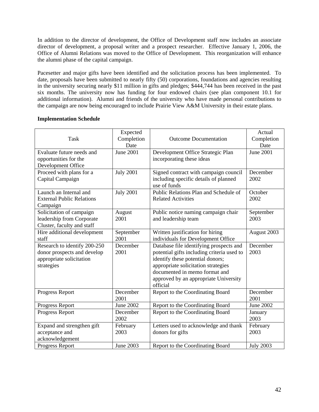In addition to the director of development, the Office of Development staff now includes an associate director of development, a proposal writer and a prospect researcher. Effective January 1, 2006, the Office of Alumni Relations was moved to the Office of Development. This reorganization will enhance the alumni phase of the capital campaign.

Pacesetter and major gifts have been identified and the solicitation process has been implemented. To date, proposals have been submitted to nearly fifty (50) corporations, foundations and agencies resulting in the university securing nearly \$11 million in gifts and pledges; \$444,744 has been received in the past six months. The university now has funding for four endowed chairs (see plan component 10.1 for additional information). Alumni and friends of the university who have made personal contributions to the campaign are now being encouraged to include Prairie View A&M University in their estate plans.

| <b>Task</b>                                                                                           | Expected<br>Completion<br>Date | <b>Outcome Documentation</b>                                                                                                                                                                                                                           | Actual<br>Completion<br>Date |
|-------------------------------------------------------------------------------------------------------|--------------------------------|--------------------------------------------------------------------------------------------------------------------------------------------------------------------------------------------------------------------------------------------------------|------------------------------|
| Evaluate future needs and<br>opportunities for the<br>Development Office                              | <b>June 2001</b>               | Development Office Strategic Plan<br>incorporating these ideas                                                                                                                                                                                         | <b>June 2001</b>             |
| Proceed with plans for a<br>Capital Campaign                                                          | <b>July 2001</b>               | Signed contract with campaign council<br>including specific details of planned<br>use of funds                                                                                                                                                         | December<br>2002             |
| Launch an Internal and<br><b>External Public Relations</b><br>Campaign                                | <b>July 2001</b>               | Public Relations Plan and Schedule of<br><b>Related Activities</b>                                                                                                                                                                                     | October<br>2002              |
| Solicitation of campaign<br>leadership from Corporate<br>Cluster, faculty and staff                   | August<br>2001                 | Public notice naming campaign chair<br>and leadership team                                                                                                                                                                                             | September<br>2003            |
| Hire additional development<br>staff                                                                  | September<br>2001              | Written justification for hiring<br>individuals for Development Office                                                                                                                                                                                 | August 2003                  |
| Research to identify 200-250<br>donor prospects and develop<br>appropriate solicitation<br>strategies | December<br>2001               | Database file identifying prospects and<br>potential gifts including criteria used to<br>identify these potential donors;<br>appropriate solicitation strategies<br>documented in memo format and<br>approved by an appropriate University<br>official | December<br>2003             |
| Progress Report                                                                                       | December<br>2001               | Report to the Coordinating Board                                                                                                                                                                                                                       | December<br>2001             |
| Progress Report                                                                                       | June 2002                      | Report to the Coordinating Board                                                                                                                                                                                                                       | <b>June 2002</b>             |
| Progress Report                                                                                       | December<br>2002               | Report to the Coordinating Board                                                                                                                                                                                                                       | January<br>2003              |
| Expand and strengthen gift<br>acceptance and<br>acknowledgement                                       | February<br>2003               | Letters used to acknowledge and thank<br>donors for gifts                                                                                                                                                                                              | February<br>2003             |
| Progress Report                                                                                       | June 2003                      | Report to the Coordinating Board                                                                                                                                                                                                                       | <b>July 2003</b>             |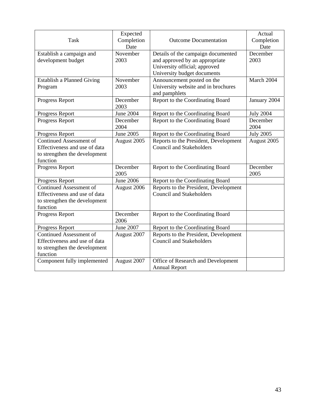| <b>Task</b>                                                                                                  | Expected<br>Completion<br>Date | <b>Outcome Documentation</b>                                                                                                         | Actual<br>Completion<br>Date |
|--------------------------------------------------------------------------------------------------------------|--------------------------------|--------------------------------------------------------------------------------------------------------------------------------------|------------------------------|
| Establish a campaign and<br>development budget                                                               | November<br>2003               | Details of the campaign documented<br>and approved by an appropriate<br>University official; approved<br>University budget documents | December<br>2003             |
| Establish a Planned Giving<br>Program                                                                        | November<br>2003               | Announcement posted on the<br>University website and in brochures<br>and pamphlets                                                   | March 2004                   |
| Progress Report                                                                                              | December<br>2003               | Report to the Coordinating Board                                                                                                     | January 2004                 |
| Progress Report                                                                                              | <b>June 2004</b>               | Report to the Coordinating Board                                                                                                     | <b>July 2004</b>             |
| Progress Report                                                                                              | December<br>2004               | Report to the Coordinating Board                                                                                                     | December<br>2004             |
| Progress Report                                                                                              | <b>June 2005</b>               | Report to the Coordinating Board                                                                                                     | <b>July 2005</b>             |
| <b>Continued Assessment of</b><br>Effectiveness and use of data<br>to strengthen the development<br>function | August 2005                    | Reports to the President, Development<br><b>Council and Stakeholders</b>                                                             | August 2005                  |
| Progress Report                                                                                              | December<br>2005               | Report to the Coordinating Board                                                                                                     | December<br>2005             |
| Progress Report                                                                                              | <b>June 2006</b>               | Report to the Coordinating Board                                                                                                     |                              |
| <b>Continued Assessment of</b><br>Effectiveness and use of data<br>to strengthen the development<br>function | August 2006                    | Reports to the President, Development<br><b>Council and Stakeholders</b>                                                             |                              |
| Progress Report                                                                                              | December<br>2006               | Report to the Coordinating Board                                                                                                     |                              |
| Progress Report                                                                                              | <b>June 2007</b>               | Report to the Coordinating Board                                                                                                     |                              |
| <b>Continued Assessment of</b><br>Effectiveness and use of data<br>to strengthen the development<br>function | August 2007                    | Reports to the President, Development<br><b>Council and Stakeholders</b>                                                             |                              |
| Component fully implemented                                                                                  | August 2007                    | Office of Research and Development<br><b>Annual Report</b>                                                                           |                              |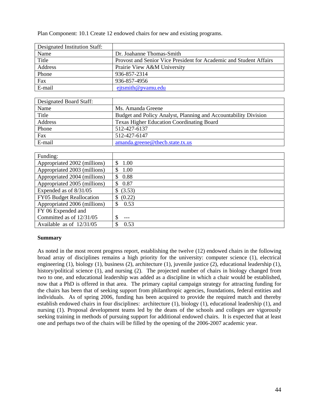Plan Component: 10.1 Create 12 endowed chairs for new and existing programs.

| Designated Institution Staff: |                                                                    |
|-------------------------------|--------------------------------------------------------------------|
| Name                          | Dr. Joahanne Thomas-Smith                                          |
| Title                         | Provost and Senior Vice President for Academic and Student Affairs |
| Address                       | Prairie View A&M University                                        |
| Phone                         | 936-857-2314                                                       |
| Fax                           | 936-857-4956                                                       |
| E-mail                        | $e^{i\sin\theta}$ eyemu edu                                        |

| Designated Board Staff: |                                                                 |
|-------------------------|-----------------------------------------------------------------|
| Name                    | Ms. Amanda Greene                                               |
| Title                   | Budget and Policy Analyst, Planning and Accountability Division |
| Address                 | <b>Texas Higher Education Coordinating Board</b>                |
| Phone                   | 512-427-6137                                                    |
| Fax                     | 512-427-6147                                                    |
| E-mail                  | amanda.greene@thecb.state.tx.us                                 |

| Funding:                     |              |
|------------------------------|--------------|
| Appropriated 2002 (millions) | 1.00<br>\$   |
| Appropriated 2003 (millions) | 1.00<br>\$.  |
| Appropriated 2004 (millions) | 0.88<br>\$.  |
| Appropriated 2005 (millions) | 0.87         |
| Expended as of 8/31/05       | (3.53)<br>\$ |
| FY05 Budget Reallocation     | (0.22)<br>\$ |
| Appropriated 2006 (millions) | 0.53<br>\$.  |
| FY 06 Expended and           |              |
| Committed as of 12/31/05     | \$           |
| Available as of $12/31/05$   | 0.53<br>S    |

#### **Summary**

As noted in the most recent progress report, establishing the twelve (12) endowed chairs in the following broad array of disciplines remains a high priority for the university: computer science (1), electrical engineering (1), biology (1), business (2), architecture (1), juvenile justice (2), educational leadership (1), history/political science (1), and nursing (2). The projected number of chairs in biology changed from two to one, and educational leadership was added as a discipline in which a chair would be established, now that a PhD is offered in that area. The primary capital campaign strategy for attracting funding for the chairs has been that of seeking support from philanthropic agencies, foundations, federal entities and individuals. As of spring 2006, funding has been acquired to provide the required match and thereby establish endowed chairs in four disciplines: architecture (1), biology (1), educational leadership (1), and nursing (1). Proposal development teams led by the deans of the schools and colleges are vigorously seeking training in methods of pursuing support for additional endowed chairs. It is expected that at least one and perhaps two of the chairs will be filled by the opening of the 2006-2007 academic year.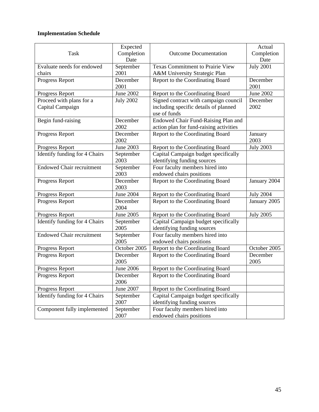| <b>Task</b>                                  | Expected<br>Completion<br>Date | <b>Outcome Documentation</b>                                                                   | Actual<br>Completion<br>Date |
|----------------------------------------------|--------------------------------|------------------------------------------------------------------------------------------------|------------------------------|
| Evaluate needs for endowed<br>chairs         | September<br>2001              | <b>Texas Commitment to Prairie View</b><br>A&M University Strategic Plan                       | <b>July 2001</b>             |
| Progress Report                              | December<br>2001               | Report to the Coordinating Board                                                               | December<br>2001             |
| Progress Report                              | <b>June 2002</b>               | Report to the Coordinating Board                                                               | <b>June 2002</b>             |
| Proceed with plans for a<br>Capital Campaign | <b>July 2002</b>               | Signed contract with campaign council<br>including specific details of planned<br>use of funds | December<br>2002             |
| Begin fund-raising                           | December<br>2002               | Endowed Chair Fund-Raising Plan and<br>action plan for fund-raising activities                 |                              |
| Progress Report                              | December<br>2002               | Report to the Coordinating Board                                                               | January<br>2003              |
| Progress Report                              | <b>June 2003</b>               | Report to the Coordinating Board                                                               | <b>July 2003</b>             |
| Identify funding for 4 Chairs                | September<br>2003              | Capital Campaign budget specifically<br>identifying funding sources                            |                              |
| <b>Endowed Chair recruitment</b>             | September<br>2003              | Four faculty members hired into<br>endowed chairs positions                                    |                              |
| Progress Report                              | December<br>2003               | Report to the Coordinating Board                                                               | January 2004                 |
| Progress Report                              | <b>June 2004</b>               | Report to the Coordinating Board                                                               | <b>July 2004</b>             |
| Progress Report                              | December<br>2004               | Report to the Coordinating Board                                                               | January 2005                 |
| Progress Report                              | June 2005                      | Report to the Coordinating Board                                                               | <b>July 2005</b>             |
| Identify funding for 4 Chairs                | September<br>2005              | Capital Campaign budget specifically<br>identifying funding sources                            |                              |
| <b>Endowed Chair recruitment</b>             | September<br>2005              | Four faculty members hired into<br>endowed chairs positions                                    |                              |
| Progress Report                              | October 2005                   | Report to the Coordinating Board                                                               | October 2005                 |
| Progress Report                              | December<br>2005               | Report to the Coordinating Board                                                               | December<br>2005             |
| Progress Report                              | <b>June 2006</b>               | Report to the Coordinating Board                                                               |                              |
| Progress Report                              | December<br>2006               | Report to the Coordinating Board                                                               |                              |
| Progress Report                              | June 2007                      | Report to the Coordinating Board                                                               |                              |
| Identify funding for 4 Chairs                | September<br>2007              | Capital Campaign budget specifically<br>identifying funding sources                            |                              |
| Component fully implemented                  | September<br>2007              | Four faculty members hired into<br>endowed chairs positions                                    |                              |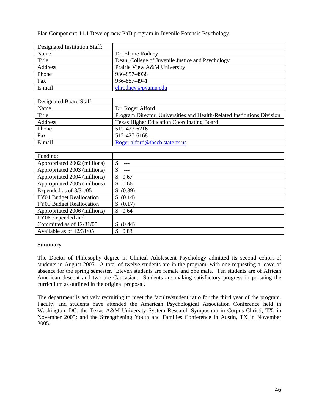Plan Component: 11.1 Develop new PhD program in Juvenile Forensic Psychology.

| Designated Institution Staff: |                                                  |
|-------------------------------|--------------------------------------------------|
| Name                          | Dr. Elaine Rodney                                |
| Title                         | Dean, College of Juvenile Justice and Psychology |
| Address                       | Prairie View A&M University                      |
| Phone                         | 936-857-4938                                     |
| Fax                           | 936-857-4941                                     |
| E-mail                        | ehrodney@pvamu.edu                               |

| Designated Board Staff: |                                                                         |
|-------------------------|-------------------------------------------------------------------------|
| Name                    | Dr. Roger Alford                                                        |
| Title                   | Program Director, Universities and Health-Related Institutions Division |
| Address                 | <b>Texas Higher Education Coordinating Board</b>                        |
| Phone                   | 512-427-6216                                                            |
| Fax                     | 512-427-6168                                                            |
| E-mail                  | Roger.alford@thecb.state.tx.us                                          |

| Funding:                        |              |
|---------------------------------|--------------|
| Appropriated 2002 (millions)    | \$           |
| Appropriated 2003 (millions)    | \$           |
| Appropriated 2004 (millions)    | S<br>0.67    |
| Appropriated 2005 (millions)    | S.<br>0.66   |
| Expended as of 8/31/05          | (0.39)<br>\$ |
| FY04 Budget Reallocation        | (0.14)<br>S  |
| <b>FY05 Budget Reallocation</b> | (0.17)<br>\$ |
| Appropriated 2006 (millions)    | \$.<br>0.64  |
| FY06 Expended and               |              |
| Committed as of 12/31/05        | (0.44)       |
| Available as of 12/31/05        | 0.83         |

#### **Summary**

The Doctor of Philosophy degree in Clinical Adolescent Psychology admitted its second cohort of students in August 2005. A total of twelve students are in the program, with one requesting a leave of absence for the spring semester. Eleven students are female and one male. Ten students are of African American descent and two are Caucasian. Students are making satisfactory progress in pursuing the curriculum as outlined in the original proposal.

The department is actively recruiting to meet the faculty/student ratio for the third year of the program. Faculty and students have attended the American Psychological Association Conference held in Washington, DC; the Texas A&M University System Research Symposium in Corpus Christi, TX, in November 2005; and the Strengthening Youth and Families Conference in Austin, TX in November 2005.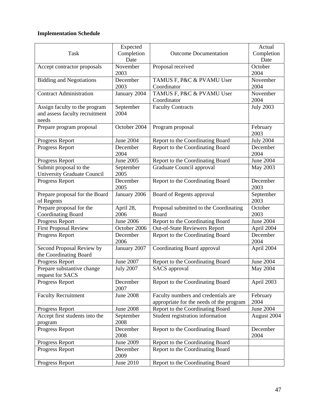|                                    | Expected         |                                          | Actual           |
|------------------------------------|------------------|------------------------------------------|------------------|
| <b>Task</b>                        | Completion       | <b>Outcome Documentation</b>             | Completion       |
|                                    | Date             |                                          | Date             |
| Accept contractor proposals        | November         | Proposal received                        | October          |
|                                    | 2003             |                                          | 2004             |
| <b>Bidding and Negotiations</b>    | December         | TAMUS F, P&C & PVAMU User                | November         |
|                                    | 2003             | Coordinator                              | 2004             |
| <b>Contract Administration</b>     | January 2004     | TAMUS F, P&C & PVAMU User                | November         |
|                                    |                  | Coordinator                              | 2004             |
| Assign faculty to the program      | September        | <b>Faculty Contracts</b>                 | <b>July 2003</b> |
| and assess faculty recruitment     | 2004             |                                          |                  |
| needs                              |                  |                                          |                  |
| Prepare program proposal           | October 2004     | Program proposal                         | February         |
|                                    |                  |                                          | 2003             |
| Progress Report                    | June 2004        | Report to the Coordinating Board         | <b>July 2004</b> |
| Progress Report                    | December         | Report to the Coordinating Board         | December         |
|                                    | 2004             |                                          | 2004             |
| Progress Report                    | June 2005        | Report to the Coordinating Board         | <b>June 2004</b> |
| Submit proposal to the             | September        | Graduate Council approval                | May 2003         |
| <b>University Graduate Council</b> | 2005             |                                          |                  |
| <b>Progress Report</b>             | December         | Report to the Coordinating Board         | December         |
|                                    | 2005             |                                          | 2003             |
| Prepare proposal for the Board     | January 2006     | Board of Regents approval                | September        |
| of Regents                         |                  |                                          | 2003             |
| Prepare proposal for the           | April 28,        | Proposal submitted to the Coordinating   | October          |
| <b>Coordinating Board</b>          | 2006             | Board                                    | 2003             |
| Progress Report                    | <b>June 2006</b> | Report to the Coordinating Board         | <b>June 2004</b> |
| <b>First Proposal Review</b>       | October 2006     | <b>Out-of-State Reviewers Report</b>     | April 2004       |
| Progress Report                    | December         | Report to the Coordinating Board         | December         |
|                                    | 2006             |                                          | 2004             |
| Second Proposal Review by          | January 2007     | Coordinating Board approval              | April 2004       |
| the Coordinating Board             |                  |                                          |                  |
| Progress Report                    | June 2007        | Report to the Coordinating Board         | <b>June 2004</b> |
| Prepare substantive change         | <b>July 2007</b> | <b>SACS</b> approval                     | May 2004         |
| request for SACS                   |                  |                                          |                  |
| Progress Report                    | December         | Report to the Coordinating Board         | April 2003       |
|                                    | 2007             |                                          |                  |
| <b>Faculty Recruitment</b>         | <b>June 2008</b> | Faculty numbers and credentials are      | February         |
|                                    |                  | appropriate for the needs of the program | 2004             |
| Progress Report                    | <b>June 2008</b> | Report to the Coordinating Board         | <b>June 2004</b> |
| Accept first students into the     | September        | Student registration information         | August 2004      |
| program                            | 2008             |                                          |                  |
| Progress Report                    | December         | Report to the Coordinating Board         | December         |
|                                    | 2008             |                                          | 2004             |
| Progress Report                    | <b>June 2009</b> | Report to the Coordinating Board         |                  |
| Progress Report                    | December         | Report to the Coordinating Board         |                  |
|                                    | 2009             |                                          |                  |
| Progress Report                    | June 2010        | Report to the Coordinating Board         |                  |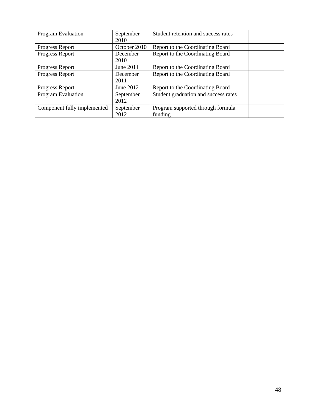| Program Evaluation          | September<br>2010 | Student retention and success rates          |  |
|-----------------------------|-------------------|----------------------------------------------|--|
| Progress Report             | October 2010      | Report to the Coordinating Board             |  |
| Progress Report             | December<br>2010  | Report to the Coordinating Board             |  |
| Progress Report             | June 2011         | Report to the Coordinating Board             |  |
| Progress Report             | December<br>2011  | Report to the Coordinating Board             |  |
| Progress Report             | June 2012         | Report to the Coordinating Board             |  |
| <b>Program Evaluation</b>   | September<br>2012 | Student graduation and success rates         |  |
| Component fully implemented | September<br>2012 | Program supported through formula<br>funding |  |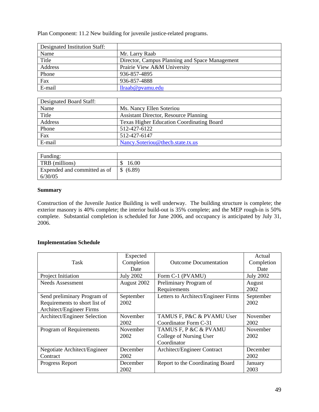Plan Component: 11.2 New building for juvenile justice-related programs.

| Designated Institution Staff: |                                                |
|-------------------------------|------------------------------------------------|
| Name                          | Mr. Larry Raab                                 |
| Title                         | Director, Campus Planning and Space Management |
| Address                       | Prairie View A&M University                    |
| Phone                         | 936-857-4895                                   |
| Fax                           | 936-857-4888                                   |
| E-mail                        | $llr$ raab@pvamu.edu                           |

| Designated Board Staff: |                                                  |
|-------------------------|--------------------------------------------------|
| Name                    | Ms. Nancy Ellen Soteriou                         |
| Title                   | <b>Assistant Director, Resource Planning</b>     |
| Address                 | <b>Texas Higher Education Coordinating Board</b> |
| Phone                   | 512-427-6122                                     |
| Fax                     | 512-427-6147                                     |
| E-mail                  | Nancy.Soteriou@thecb.state.tx.us                 |

| Funding:                     |                        |
|------------------------------|------------------------|
| TRB (millions)               | 16.00                  |
| Expended and committed as of | (6.89)<br>$\mathbb{S}$ |
| 6/30/05                      |                        |

## **Summary**

Construction of the Juvenile Justice Building is well underway. The building structure is complete; the exterior masonry is 40% complete; the interior build-out is 35% complete; and the MEP rough-in is 50% complete. Substantial completion is scheduled for June 2006, and occupancy is anticipated by July 31,  $2006.$ 

| Task                                                                                     | Expected<br>Completion<br>Date | <b>Outcome Documentation</b>                                    | Actual<br>Completion<br>Date |
|------------------------------------------------------------------------------------------|--------------------------------|-----------------------------------------------------------------|------------------------------|
| Project Initiation                                                                       | <b>July 2002</b>               | Form C-1 (PVAMU)                                                | <b>July 2002</b>             |
| Needs Assessment                                                                         | August 2002                    | Preliminary Program of<br>Requirements                          | August<br>2002               |
| Send preliminary Program of<br>Requirements to short list of<br>Architect/Engineer Firms | September<br>2002              | Letters to Architect/Engineer Firms                             | September<br>2002            |
| Architect/Engineer Selection                                                             | November<br>2002               | TAMUS F, P&C & PVAMU User<br>Coordinator Form C-31              | November<br>2002             |
| Program of Requirements                                                                  | November<br>2002               | TAMUS F, P &C & PVAMU<br>College of Nursing User<br>Coordinator | November<br>2002             |
| Negotiate Architect/Engineer<br>Contract                                                 | December<br>2002               | Architect/Engineer Contract                                     | December<br>2002             |
| Progress Report                                                                          | December<br>2002               | Report to the Coordinating Board                                | January<br>2003              |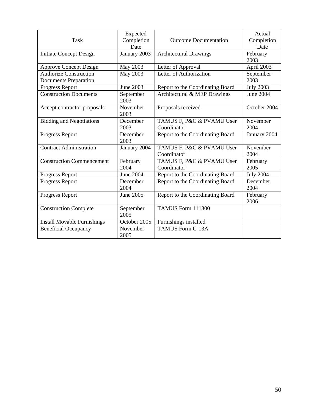| <b>Task</b>                                                   | Expected<br>Completion<br>Date | <b>Outcome Documentation</b>             | Actual<br>Completion<br>Date |
|---------------------------------------------------------------|--------------------------------|------------------------------------------|------------------------------|
| <b>Initiate Concept Design</b>                                | January 2003                   | <b>Architectural Drawings</b>            | February<br>2003             |
| <b>Approve Concept Design</b>                                 | May 2003                       | Letter of Approval                       | April 2003                   |
| <b>Authorize Construction</b><br><b>Documents Preparation</b> | May 2003                       | Letter of Authorization                  | September<br>2003            |
| Progress Report                                               | June 2003                      | Report to the Coordinating Board         | <b>July 2003</b>             |
| <b>Construction Documents</b>                                 | September<br>2003              | Architectural & MEP Drawings             | <b>June 2004</b>             |
| Accept contractor proposals                                   | November<br>2003               | Proposals received                       | October 2004                 |
| <b>Bidding and Negotiations</b>                               | December<br>2003               | TAMUS F, P&C & PVAMU User<br>Coordinator | November<br>2004             |
| Progress Report                                               | December<br>2003               | Report to the Coordinating Board         | January 2004                 |
| <b>Contract Administration</b>                                | January 2004                   | TAMUS F, P&C & PVAMU User<br>Coordinator | November<br>2004             |
| <b>Construction Commencement</b>                              | February<br>2004               | TAMUS F, P&C & PVAMU User<br>Coordinator | February<br>2005             |
| Progress Report                                               | <b>June 2004</b>               | Report to the Coordinating Board         | <b>July 2004</b>             |
| <b>Progress Report</b>                                        | December<br>2004               | Report to the Coordinating Board         | December<br>2004             |
| Progress Report                                               | June 2005                      | Report to the Coordinating Board         | February<br>2006             |
| <b>Construction Complete</b>                                  | September<br>2005              | TAMUS Form 111300                        |                              |
| <b>Install Movable Furnishings</b>                            | October 2005                   | Furnishings installed                    |                              |
| <b>Beneficial Occupancy</b>                                   | November<br>2005               | <b>TAMUS Form C-13A</b>                  |                              |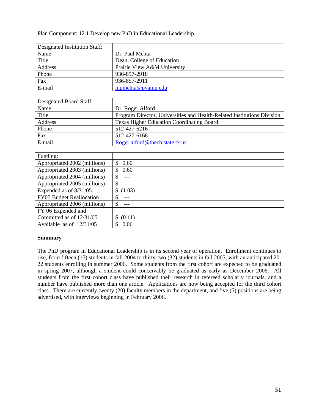Plan Component: 12.1 Develop new PhD in Educational Leadership.

| Designated Institution Staff: |                             |
|-------------------------------|-----------------------------|
| Name                          | Dr. Paul Mehta              |
| Title                         | Dean, College of Education  |
| Address                       | Prairie View A&M University |
| Phone                         | 936-857-2918                |
| Fax                           | 936-857-2911                |
| E-mail                        | mpmehta@pvamu.edu           |

| Designated Board Staff: |                                                                         |
|-------------------------|-------------------------------------------------------------------------|
| Name                    | Dr. Roger Alford                                                        |
| Title                   | Program Director, Universities and Health-Related Institutions Division |
| Address                 | <b>Texas Higher Education Coordinating Board</b>                        |
| Phone                   | 512-427-6216                                                            |
| Fax                     | 512-427-6168                                                            |
| E-mail                  | Roger.alford@thecb.state.tx.us                                          |

| Funding:                     |               |
|------------------------------|---------------|
| Appropriated 2002 (millions) | \$.<br>0.60   |
| Appropriated 2003 (millions) | 0.60          |
| Appropriated 2004 (millions) | <sup>\$</sup> |
| Appropriated 2005 (millions) | \$            |
| Expended as of 8/31/05       | (1.03)        |
| FY05 Budget Reallocation     | ---           |
| Appropriated 2006 (millions) | \$            |
| FY 06 Expended and           |               |
| Committed as of 12/31/05     | (0.11)        |
| Available as of $12/31/05$   | 0.06          |

### **Summary**

The PhD program in Educational Leadership is in its second year of operation. Enrollment continues to rise, from fifteen (15) students in fall 2004 to thirty-two (32) students in fall 2005, with an anticipated 20- 22 students enrolling in summer 2006. Some students from the first cohort are expected to be graduated in spring 2007, although a student could conceivably be graduated as early as December 2006. All students from the first cohort class have published their research in refereed scholarly journals, and a number have published more than one article. Applications are now being accepted for the third cohort class. There are currently twenty (20) faculty members in the department, and five (5) positions are being advertised, with interviews beginning in February 2006.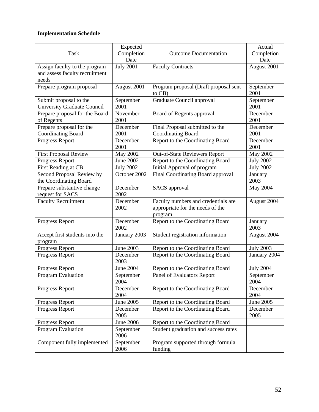|                                    | Expected         |                                       | Actual           |
|------------------------------------|------------------|---------------------------------------|------------------|
| Task                               | Completion       | <b>Outcome Documentation</b>          | Completion       |
|                                    | Date             |                                       | Date             |
| Assign faculty to the program      | <b>July 2001</b> | <b>Faculty Contracts</b>              | August 2001      |
| and assess faculty recruitment     |                  |                                       |                  |
| needs                              |                  |                                       |                  |
| Prepare program proposal           | August 2001      | Program proposal (Draft proposal sent | September        |
|                                    |                  | to CB)                                | 2001             |
| Submit proposal to the             | September        | Graduate Council approval             | September        |
| <b>University Graduate Council</b> | 2001             |                                       | 2001             |
| Prepare proposal for the Board     | November         | Board of Regents approval             | December         |
| of Regents                         | 2001             |                                       | 2001             |
| Prepare proposal for the           | December         | Final Proposal submitted to the       | December         |
| <b>Coordinating Board</b>          | 2001             | <b>Coordinating Board</b>             | 2001             |
| Progress Report                    | December         | Report to the Coordinating Board      | December         |
|                                    | 2001             |                                       | 2001             |
| <b>First Proposal Review</b>       | <b>May 2002</b>  | Out-of-State Reviewers Report         | <b>May 2002</b>  |
| Progress Report                    | <b>June 2002</b> | Report to the Coordinating Board      | <b>July 2002</b> |
| First Reading at CB                | <b>July 2002</b> | Initial Approval of program           | <b>July 2002</b> |
| Second Proposal Review by          | October 2002     | Final Coordinating Board approval     | January          |
| the Coordinating Board             |                  |                                       | 2003             |
| Prepare substantive change         | December         | SACS approval                         | May 2004         |
| request for SACS                   | 2002             |                                       |                  |
| <b>Faculty Recruitment</b>         | December         | Faculty numbers and credentials are   | August 2004      |
|                                    | 2002             | appropriate for the needs of the      |                  |
|                                    |                  | program                               |                  |
| Progress Report                    | December         | Report to the Coordinating Board      | January          |
|                                    | 2002             |                                       | 2003             |
| Accept first students into the     | January 2003     | Student registration information      | August 2004      |
| program                            |                  |                                       |                  |
| Progress Report                    | <b>June 2003</b> | Report to the Coordinating Board      | <b>July 2003</b> |
| Progress Report                    | December         | Report to the Coordinating Board      | January 2004     |
|                                    | 2003             |                                       |                  |
| Progress Report                    | <b>June 2004</b> | Report to the Coordinating Board      | <b>July 2004</b> |
| Program Evaluation                 | September        | Panel of Evaluators Report            | September        |
|                                    | 2004             |                                       | 2004             |
| Progress Report                    | December         | Report to the Coordinating Board      | December         |
|                                    | 2004             |                                       | 2004             |
| Progress Report                    | June 2005        | Report to the Coordinating Board      | June 2005        |
| Progress Report                    | December         | Report to the Coordinating Board      | December         |
|                                    | 2005             |                                       | 2005             |
| Progress Report                    | June 2006        | Report to the Coordinating Board      |                  |
| Program Evaluation                 | September        | Student graduation and success rates  |                  |
|                                    | 2006             |                                       |                  |
|                                    |                  |                                       |                  |
| Component fully implemented        | September        | Program supported through formula     |                  |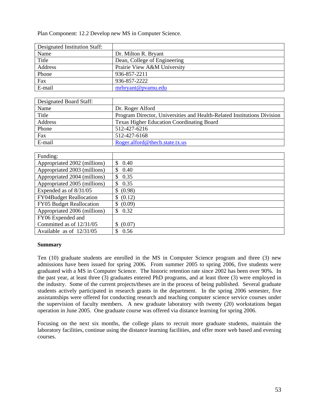Plan Component: 12.2 Develop new MS in Computer Science.

| Designated Institution Staff: |                              |
|-------------------------------|------------------------------|
| Name                          | Dr. Milton R. Bryant         |
| Title                         | Dean, College of Engineering |
| Address                       | Prairie View A&M University  |
| Phone                         | 936-857-2211                 |
| Fax                           | 936-857-2222                 |
| E-mail                        | mrbryant@pvamu.edu           |

| Designated Board Staff: |                                                                         |
|-------------------------|-------------------------------------------------------------------------|
| Name                    | Dr. Roger Alford                                                        |
| Title                   | Program Director, Universities and Health-Related Institutions Division |
| Address                 | <b>Texas Higher Education Coordinating Board</b>                        |
| Phone                   | 512-427-6216                                                            |
| Fax                     | 512-427-6168                                                            |
| E-mail                  | Roger.alford@thecb.state.tx.us                                          |

| Funding:                        |                      |
|---------------------------------|----------------------|
| Appropriated 2002 (millions)    | $\mathbb{S}$<br>0.40 |
| Appropriated 2003 (millions)    | 0.40<br>\$           |
| Appropriated 2004 (millions)    | 0.35<br>\$.          |
| Appropriated 2005 (millions)    | 0.35<br>\$           |
| Expended as of 8/31/05          | \$ (0.98)            |
| <b>FY04Budget Reallocation</b>  | \$ (0.12)            |
| <b>FY05</b> Budget Reallocation | \$ (0.09)            |
| Appropriated 2006 (millions)    | 0.32<br>\$.          |
| FY06 Expended and               |                      |
| Committed as of 12/31/05        | (0.07)               |
| Available as of $12/31/05$      | 0.56                 |

#### **Summary**

Ten (10) graduate students are enrolled in the MS in Computer Science program and three (3) new admissions have been issued for spring 2006. From summer 2005 to spring 2006, five students were graduated with a MS in Computer Science. The historic retention rate since 2002 has been over 90%. In the past year, at least three (3) graduates entered PhD programs, and at least three (3) were employed in the industry. Some of the current projects/theses are in the process of being published. Several graduate students actively participated in research grants in the department. In the spring 2006 semester, five assistantships were offered for conducting research and teaching computer science service courses under the supervision of faculty members. A new graduate laboratory with twenty (20) workstations began operation in June 2005. One graduate course was offered via distance learning for spring 2006.

Focusing on the next six months, the college plans to recruit more graduate students, maintain the laboratory facilities, continue using the distance learning facilities, and offer more web based and evening courses.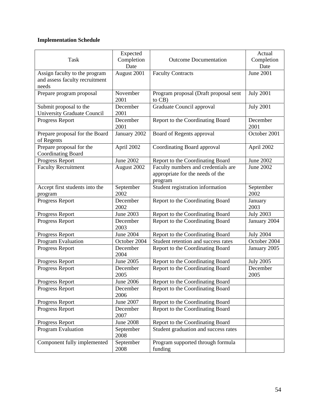| <b>Task</b>                                                              | Expected<br>Completion<br>Date | <b>Outcome Documentation</b>                                                       | Actual<br>Completion<br>Date |
|--------------------------------------------------------------------------|--------------------------------|------------------------------------------------------------------------------------|------------------------------|
| Assign faculty to the program<br>and assess faculty recruitment<br>needs | August 2001                    | <b>Faculty Contracts</b>                                                           | <b>June 2001</b>             |
| Prepare program proposal                                                 | November<br>2001               | Program proposal (Draft proposal sent<br>to $CB$ )                                 | <b>July 2001</b>             |
| Submit proposal to the<br><b>University Graduate Council</b>             | December<br>2001               | Graduate Council approval                                                          | <b>July 2001</b>             |
| Progress Report                                                          | December<br>2001               | Report to the Coordinating Board                                                   | December<br>2001             |
| Prepare proposal for the Board<br>of Regents                             | January 2002                   | Board of Regents approval                                                          | October 2001                 |
| Prepare proposal for the<br><b>Coordinating Board</b>                    | April 2002                     | Coordinating Board approval                                                        | April 2002                   |
| Progress Report                                                          | June 2002                      | Report to the Coordinating Board                                                   | June 2002                    |
| <b>Faculty Recruitment</b>                                               | August 2002                    | Faculty numbers and credentials are<br>appropriate for the needs of the<br>program | June 2002                    |
| Accept first students into the<br>program                                | September<br>2002              | Student registration information                                                   | September<br>2002            |
| Progress Report                                                          | December<br>2002               | Report to the Coordinating Board                                                   | January<br>2003              |
| Progress Report                                                          | June 2003                      | Report to the Coordinating Board                                                   | <b>July 2003</b>             |
| Progress Report                                                          | December<br>2003               | Report to the Coordinating Board                                                   | January 2004                 |
| Progress Report                                                          | <b>June 2004</b>               | Report to the Coordinating Board                                                   | <b>July 2004</b>             |
| Program Evaluation                                                       | October 2004                   | Student retention and success rates                                                | October 2004                 |
| Progress Report                                                          | December<br>2004               | Report to the Coordinating Board                                                   | January 2005                 |
| Progress Report                                                          | June 2005                      | Report to the Coordinating Board                                                   | <b>July 2005</b>             |
| Progress Report                                                          | December<br>2005               | Report to the Coordinating Board                                                   | December<br>2005             |
| Progress Report                                                          | <b>June 2006</b>               | Report to the Coordinating Board                                                   |                              |
| Progress Report                                                          | December<br>2006               | Report to the Coordinating Board                                                   |                              |
| Progress Report                                                          | <b>June 2007</b>               | Report to the Coordinating Board                                                   |                              |
| Progress Report                                                          | December<br>2007               | Report to the Coordinating Board                                                   |                              |
| Progress Report                                                          | <b>June 2008</b>               | Report to the Coordinating Board                                                   |                              |
| Program Evaluation                                                       | September<br>2008              | Student graduation and success rates                                               |                              |
| Component fully implemented                                              | September<br>2008              | Program supported through formula<br>funding                                       |                              |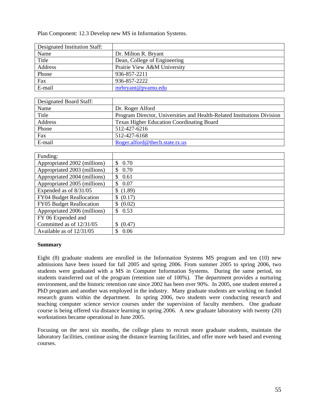Plan Component: 12.3 Develop new MS in Information Systems.

| Designated Institution Staff: |                              |
|-------------------------------|------------------------------|
| Name                          | Dr. Milton R. Bryant         |
| Title                         | Dean, College of Engineering |
| Address                       | Prairie View A&M University  |
| Phone                         | 936-857-2211                 |
| Fax                           | 936-857-2222                 |
| E-mail                        | mrbryant@pvamu.edu           |

| Designated Board Staff: |                                                                         |
|-------------------------|-------------------------------------------------------------------------|
| Name                    | Dr. Roger Alford                                                        |
| Title                   | Program Director, Universities and Health-Related Institutions Division |
| Address                 | <b>Texas Higher Education Coordinating Board</b>                        |
| Phone                   | 512-427-6216                                                            |
| Fax                     | 512-427-6168                                                            |
| E-mail                  | Roger.alford@thecb.state.tx.us                                          |

| Funding:                        |             |
|---------------------------------|-------------|
| Appropriated 2002 (millions)    | \$<br>0.70  |
| Appropriated 2003 (millions)    | 0.70<br>\$  |
| Appropriated 2004 (millions)    | 0.61<br>\$  |
| Appropriated 2005 (millions)    | 0.07<br>\$. |
| Expended as of 8/31/05          | \$(1.89)    |
| <b>FY04 Budget Reallocation</b> | \$ (0.17)   |
| FY05 Budget Reallocation        | \$ (0.02)   |
| Appropriated 2006 (millions)    | 0.53<br>\$. |
| FY 06 Expended and              |             |
| Committed as of 12/31/05        | (0.47)      |
| Available as of 12/31/05        | 0.06        |

#### **Summary**

Eight (8) graduate students are enrolled in the Information Systems MS program and ten (10) new admissions have been issued for fall 2005 and spring 2006. From summer 2005 to spring 2006, two students were graduated with a MS in Computer Information Systems. During the same period, no students transferred out of the program (retention rate of 100%). The department provides a nurturing environment, and the historic retention rate since 2002 has been over 90%. In 2005, one student entered a PhD program and another was employed in the industry. Many graduate students are working on funded research grants within the department. In spring 2006, two students were conducting research and teaching computer science service courses under the supervision of faculty members. One graduate course is being offered via distance learning in spring 2006. A new graduate laboratory with twenty (20) workstations became operational in June 2005.

Focusing on the next six months, the college plans to recruit more graduate students, maintain the laboratory facilities, continue using the distance learning facilities, and offer more web based and evening courses.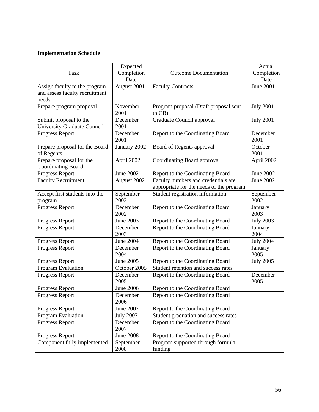| <b>Task</b>                                                              | Expected<br>Completion<br>Date | <b>Outcome Documentation</b>                                                    | Actual<br>Completion<br>Date |
|--------------------------------------------------------------------------|--------------------------------|---------------------------------------------------------------------------------|------------------------------|
| Assign faculty to the program<br>and assess faculty recruitment<br>needs | August 2001                    | <b>Faculty Contracts</b>                                                        | <b>June 2001</b>             |
| Prepare program proposal                                                 | November<br>2001               | Program proposal (Draft proposal sent<br>to $CB$ )                              | <b>July 2001</b>             |
| Submit proposal to the<br><b>University Graduate Council</b>             | December<br>2001               | Graduate Council approval                                                       | <b>July 2001</b>             |
| Progress Report                                                          | December<br>2001               | Report to the Coordinating Board                                                | December<br>2001             |
| Prepare proposal for the Board<br>of Regents                             | January 2002                   | Board of Regents approval                                                       | October<br>2001              |
| Prepare proposal for the<br><b>Coordinating Board</b>                    | April 2002                     | Coordinating Board approval                                                     | April 2002                   |
| Progress Report                                                          | June 2002                      | Report to the Coordinating Board                                                | June 2002                    |
| <b>Faculty Recruitment</b>                                               | August 2002                    | Faculty numbers and credentials are<br>appropriate for the needs of the program | <b>June 2002</b>             |
| Accept first students into the<br>program                                | September<br>2002              | Student registration information                                                | September<br>2002            |
| Progress Report                                                          | December<br>2002               | Report to the Coordinating Board                                                | January<br>2003              |
| Progress Report                                                          | <b>June 2003</b>               | Report to the Coordinating Board                                                | <b>July 2003</b>             |
| Progress Report                                                          | December<br>2003               | Report to the Coordinating Board                                                | January<br>2004              |
| Progress Report                                                          | June 2004                      | Report to the Coordinating Board                                                | <b>July 2004</b>             |
| Progress Report                                                          | December<br>2004               | Report to the Coordinating Board                                                | January<br>2005              |
| Progress Report                                                          | June 2005                      | Report to the Coordinating Board                                                | <b>July 2005</b>             |
| Program Evaluation                                                       | October 2005                   | Student retention and success rates                                             |                              |
| Progress Report                                                          | December<br>2005               | Report to the Coordinating Board                                                | December<br>2005             |
| Progress Report                                                          | June 2006                      | Report to the Coordinating Board                                                |                              |
| Progress Report                                                          | December<br>2006               | Report to the Coordinating Board                                                |                              |
| Progress Report                                                          | June 2007                      | Report to the Coordinating Board                                                |                              |
| Program Evaluation                                                       | <b>July 2007</b>               | Student graduation and success rates                                            |                              |
| Progress Report                                                          | December<br>2007               | Report to the Coordinating Board                                                |                              |
| Progress Report                                                          | <b>June 2008</b>               | Report to the Coordinating Board                                                |                              |
| Component fully implemented                                              | September<br>2008              | Program supported through formula<br>funding                                    |                              |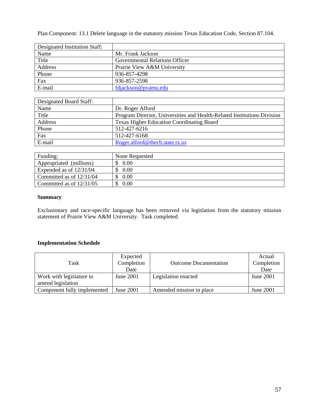Plan Component: 13.1 Delete language in the statutory mission Texas Education Code, Section 87.104.

| Designated Institution Staff: |                                       |
|-------------------------------|---------------------------------------|
| Name                          | Mr. Frank Jackson                     |
| Title                         | <b>Governmental Relations Officer</b> |
| Address                       | Prairie View A&M University           |
| Phone                         | 936-857-4298                          |
| Fax                           | 936-857-2598                          |
| E-mail                        | fdjackson@pyamu.edu                   |

| Designated Board Staff: |                                                                         |
|-------------------------|-------------------------------------------------------------------------|
| Name                    | Dr. Roger Alford                                                        |
| Title                   | Program Director, Universities and Health-Related Institutions Division |
| Address                 | <b>Texas Higher Education Coordinating Board</b>                        |
| Phone                   | 512-427-6216                                                            |
| Fax                     | 512-427-6168                                                            |
| E-mail                  | Roger.alford@thecb.state.tx.us                                          |

| Funding:                   | None Requested |
|----------------------------|----------------|
| Appropriated (millions)    | 0.00           |
| Expended as of $12/31/04$  | 0.00           |
| Committed as of 12/31/04   | 0.00           |
| Committed as of $12/31/05$ | 0.00           |

## **Summary**

Exclusionary and race-specific language has been removed via legislation from the statutory mission statement of Prairie View A&M University. Task completed.

| Task                                          | Expected<br>Completion<br>Date | <b>Outcome Documentation</b> | Actual<br>Completion<br>Date |
|-----------------------------------------------|--------------------------------|------------------------------|------------------------------|
| Work with legislature to<br>amend legislation | June 2001                      | Legislation enacted          | <b>June 2001</b>             |
| Component fully implemented                   | June 2001                      | Amended mission in place     | June 2001                    |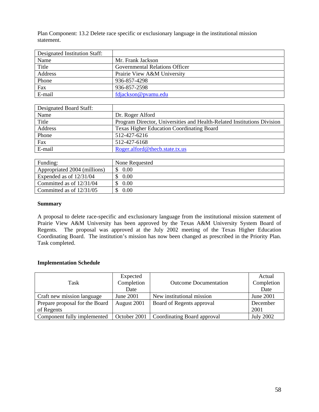Plan Component: 13.2 Delete race specific or exclusionary language in the institutional mission statement.

| Designated Institution Staff: |                                |
|-------------------------------|--------------------------------|
| Name                          | Mr. Frank Jackson              |
| Title                         | Governmental Relations Officer |
| Address                       | Prairie View A&M University    |
| Phone                         | 936-857-4298                   |
| Fax                           | 936-857-2598                   |
| E-mail                        | fdjackson@pyamu.edu            |

| Designated Board Staff: |                                                                         |
|-------------------------|-------------------------------------------------------------------------|
| Name                    | Dr. Roger Alford                                                        |
| Title                   | Program Director, Universities and Health-Related Institutions Division |
| Address                 | Texas Higher Education Coordinating Board                               |
| Phone                   | 512-427-6216                                                            |
| Fax                     | 512-427-6168                                                            |
| E-mail                  | Roger.alford@thecb.state.tx.us                                          |

| Funding:                     | None Requested |
|------------------------------|----------------|
| Appropriated 2004 (millions) | 0.00           |
| Expended as of $12/31/04$    | 0.00           |
| Committed as of $12/31/04$   | 0.00           |
| Committed as of $12/31/05$   | 0.00           |

#### **Summary**

A proposal to delete race-specific and exclusionary language from the institutional mission statement of Prairie View A&M University has been approved by the Texas A&M University System Board of Regents. The proposal was approved at the July 2002 meeting of the Texas Higher Education Coordinating Board. The institution's mission has now been changed as prescribed in the Priority Plan. Task completed.

| Task                           | Expected<br>Completion<br>Date | <b>Outcome Documentation</b> | Actual<br>Completion<br>Date |
|--------------------------------|--------------------------------|------------------------------|------------------------------|
| Craft new mission language     | June 2001                      | New institutional mission    | June 2001                    |
| Prepare proposal for the Board | August 2001                    | Board of Regents approval    | December                     |
| of Regents                     |                                |                              | 2001                         |
| Component fully implemented    | October 2001                   | Coordinating Board approval  | <b>July 2002</b>             |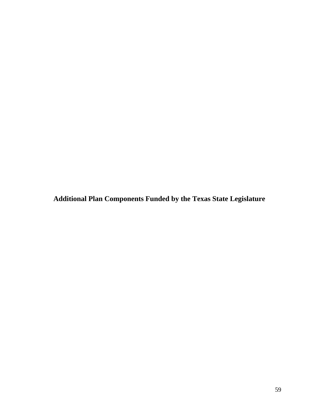**Additional Plan Components Funded by the Texas State Legislature**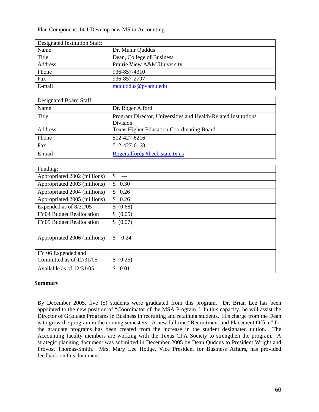Plan Component: 14.1 Develop new MS in Accounting.

| Designated Institution Staff: |                             |
|-------------------------------|-----------------------------|
| Name                          | Dr. Munir Quddus            |
| Title                         | Dean, College of Business   |
| Address                       | Prairie View A&M University |
| Phone                         | 936-857-4310                |
| Fax                           | 936-857-2797                |
| E-mail                        | muquddus@pvamu.edu          |

| Designated Board Staff: |                                                                            |
|-------------------------|----------------------------------------------------------------------------|
| Name                    | Dr. Roger Alford                                                           |
| Title                   | Program Director, Universities and Health-Related Institutions<br>Division |
| Address                 | <b>Texas Higher Education Coordinating Board</b>                           |
| Phone                   | 512-427-6216                                                               |
| Fax                     | 512-427-6168                                                               |
| E-mail                  | Roger.alford@thecb.state.tx.us                                             |

| Funding:                     |             |
|------------------------------|-------------|
| Appropriated 2002 (millions) | \$<br>$---$ |
| Appropriated 2003 (millions) | \$<br>0.30  |
| Appropriated 2004 (millions) | 0.26<br>\$  |
| Appropriated 2005 (millions) | 0.26<br>\$. |
| Expended as of 8/31/05       | \$ (0.68)   |
| FY04 Budget Reallocation     | \$ (0.05)   |
| FY05 Budget Reallocation     | \$ (0.07)   |
| Appropriated 2006 (millions) | 0.24<br>\$. |
| FY 06 Expended and           |             |
| Committed as of 12/31/05     | \$ (0.25)   |
| Available as of $12/31/05$   | 0.01<br>\$  |

#### **Summary**

By December 2005, five (5) students were graduated from this program. Dr. Brian Lee has been appointed to the new position of "Coordinator of the MSA Program." In this capacity, he will assist the Director of Graduate Programs in Business in recruiting and retaining students. His charge from the Dean is to grow the program in the coming semesters. A new fulltime "Recruitment and Placement Office" for the graduate programs has been created from the increase in the student designated tuition. The Accounting faculty members are working with the Texas CPA Society to strengthen the program. A strategic planning document was submitted in December 2005 by Dean Quddus to President Wright and Provost Thomas-Smith. Mrs. Mary Lee Hodge, Vice President for Business Affairs, has provided feedback on this document.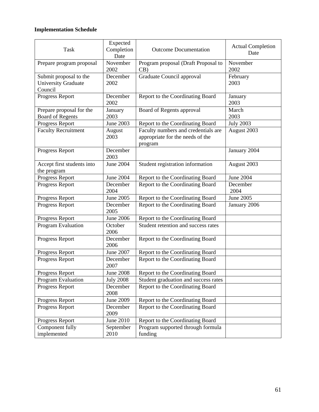| Task                                                            | Expected<br>Completion<br>Date | <b>Outcome Documentation</b>                                                       | <b>Actual Completion</b><br>Date |
|-----------------------------------------------------------------|--------------------------------|------------------------------------------------------------------------------------|----------------------------------|
| Prepare program proposal                                        | November<br>2002               | Program proposal (Draft Proposal to<br>CB)                                         | November<br>2002                 |
| Submit proposal to the<br><b>University Graduate</b><br>Council | December<br>2002               | Graduate Council approval                                                          | February<br>2003                 |
| Progress Report                                                 | December<br>2002               | Report to the Coordinating Board                                                   | January<br>2003                  |
| Prepare proposal for the<br><b>Board of Regents</b>             | January<br>2003                | Board of Regents approval                                                          | March<br>2003                    |
| Progress Report                                                 | June 2003                      | Report to the Coordinating Board                                                   | <b>July 2003</b>                 |
| <b>Faculty Recruitment</b>                                      | August<br>2003                 | Faculty numbers and credentials are<br>appropriate for the needs of the<br>program | August 2003                      |
| Progress Report                                                 | December<br>2003               |                                                                                    | January 2004                     |
| Accept first students into<br>the program                       | <b>June 2004</b>               | Student registration information                                                   | August 2003                      |
| Progress Report                                                 | <b>June 2004</b>               | Report to the Coordinating Board                                                   | June 2004                        |
| Progress Report                                                 | December<br>2004               | Report to the Coordinating Board                                                   | December<br>2004                 |
| Progress Report                                                 | <b>June 2005</b>               | Report to the Coordinating Board                                                   | <b>June 2005</b>                 |
| Progress Report                                                 | December<br>2005               | Report to the Coordinating Board                                                   | January 2006                     |
| Progress Report                                                 | <b>June 2006</b>               | Report to the Coordinating Board                                                   |                                  |
| Program Evaluation                                              | October<br>2006                | Student retention and success rates                                                |                                  |
| Progress Report                                                 | December<br>2006               | Report to the Coordinating Board                                                   |                                  |
| Progress Report                                                 | June 2007                      | Report to the Coordinating Board                                                   |                                  |
| Progress Report                                                 | December<br>2007               | Report to the Coordinating Board                                                   |                                  |
| Progress Report                                                 | <b>June 2008</b>               | Report to the Coordinating Board                                                   |                                  |
| Program Evaluation                                              | <b>July 2008</b>               | Student graduation and success rates                                               |                                  |
| Progress Report                                                 | December<br>2008               | Report to the Coordinating Board                                                   |                                  |
| Progress Report                                                 | June 2009                      | Report to the Coordinating Board                                                   |                                  |
| Progress Report                                                 | December<br>2009               | Report to the Coordinating Board                                                   |                                  |
| Progress Report                                                 | June 2010                      | Report to the Coordinating Board                                                   |                                  |
| Component fully<br>implemented                                  | September<br>2010              | Program supported through formula<br>funding                                       |                                  |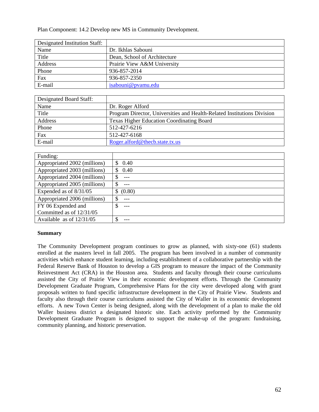Plan Component: 14.2 Develop new MS in Community Development.

| Designated Institution Staff: |                              |
|-------------------------------|------------------------------|
| Name                          | Dr. Ikhlas Sabouni           |
| Title                         | Dean, School of Architecture |
| Address                       | Prairie View A&M University  |
| Phone                         | 936-857-2014                 |
| Fax                           | 936-857-2350                 |
| E-mail                        | isabouni@pyamu.edu           |

| Designated Board Staff: |                                                                         |
|-------------------------|-------------------------------------------------------------------------|
| Name                    | Dr. Roger Alford                                                        |
| Title                   | Program Director, Universities and Health-Related Institutions Division |
| Address                 | <b>Texas Higher Education Coordinating Board</b>                        |
| Phone                   | 512-427-6216                                                            |
| Fax                     | 512-427-6168                                                            |
| E-mail                  | Roger.alford@thecb.state.tx.us                                          |

| Funding:                     |             |
|------------------------------|-------------|
| Appropriated 2002 (millions) | 0.40        |
| Appropriated 2003 (millions) | 0.40<br>S   |
| Appropriated 2004 (millions) | \$          |
| Appropriated 2005 (millions) | \$          |
| Expended as of 8/31/05       | (0.80)<br>S |
| Appropriated 2006 (millions) | \$          |
| FY 06 Expended and           | \$          |
| Committed as of 12/31/05     |             |
| Available as of $12/31/05$   | S           |

#### **Summary**

The Community Development program continues to grow as planned, with sixty-one (61) students enrolled at the masters level in fall 2005. The program has been involved in a number of community activities which enhance student learning, including establishment of a collaborative partnership with the Federal Reserve Bank of Houston to develop a GIS program to measure the impact of the Community Reinvestment Act (CRA) in the Houston area. Students and faculty through their course curriculums assisted the City of Prairie View in their economic development efforts. Through the Community Development Graduate Program, Comprehensive Plans for the city were developed along with grant proposals written to fund specific infrastructure development in the City of Prairie View. Students and faculty also through their course curriculums assisted the City of Waller in its economic development efforts. A new Town Center is being designed, along with the development of a plan to make the old Waller business district a designated historic site. Each activity preformed by the Community Development Graduate Program is designed to support the make-up of the program: fundraising, community planning, and historic preservation.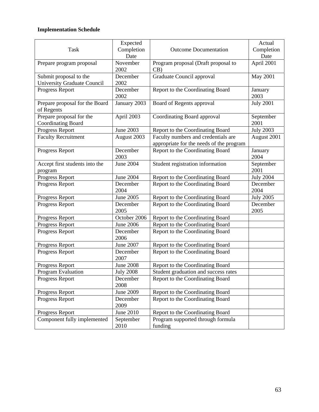|                                    | Expected         |                                          | Actual           |
|------------------------------------|------------------|------------------------------------------|------------------|
| Task                               | Completion       | <b>Outcome Documentation</b>             | Completion       |
|                                    | Date             |                                          | Date             |
| Prepare program proposal           | November         | Program proposal (Draft proposal to      | April 2001       |
|                                    | 2002             | CB)                                      |                  |
| Submit proposal to the             | December         | Graduate Council approval                | <b>May 2001</b>  |
| <b>University Graduate Council</b> | 2002             |                                          |                  |
| Progress Report                    | December         | Report to the Coordinating Board         | January          |
|                                    | 2002             |                                          | 2003             |
| Prepare proposal for the Board     | January 2003     | Board of Regents approval                | <b>July 2001</b> |
| of Regents                         |                  |                                          |                  |
| Prepare proposal for the           | April 2003       | Coordinating Board approval              | September        |
| <b>Coordinating Board</b>          |                  |                                          | 2001             |
| Progress Report                    | June 2003        | Report to the Coordinating Board         | <b>July 2003</b> |
| <b>Faculty Recruitment</b>         | August 2003      | Faculty numbers and credentials are      | August 2001      |
|                                    |                  | appropriate for the needs of the program |                  |
| Progress Report                    | December         | Report to the Coordinating Board         | January          |
|                                    | 2003             |                                          | 2004             |
| Accept first students into the     | June 2004        | Student registration information         | September        |
| program                            |                  |                                          | 2001             |
| Progress Report                    | <b>June 2004</b> | Report to the Coordinating Board         | <b>July 2004</b> |
| Progress Report                    | December         | Report to the Coordinating Board         | December         |
|                                    | 2004             |                                          | 2004             |
| Progress Report                    | June 2005        | Report to the Coordinating Board         | <b>July 2005</b> |
| Progress Report                    | December         | Report to the Coordinating Board         | December         |
|                                    | 2005             |                                          | 2005             |
| Progress Report                    | October 2006     | Report to the Coordinating Board         |                  |
| Progress Report                    | <b>June 2006</b> | Report to the Coordinating Board         |                  |
| Progress Report                    | December         | Report to the Coordinating Board         |                  |
|                                    | 2006             |                                          |                  |
| Progress Report                    | June 2007        | Report to the Coordinating Board         |                  |
| Progress Report                    | December         | Report to the Coordinating Board         |                  |
|                                    | 2007             |                                          |                  |
| Progress Report                    | <b>June 2008</b> | Report to the Coordinating Board         |                  |
| Program Evaluation                 | <b>July 2008</b> | Student graduation and success rates     |                  |
| Progress Report                    | December         | Report to the Coordinating Board         |                  |
|                                    | 2008             |                                          |                  |
| Progress Report                    | June 2009        | Report to the Coordinating Board         |                  |
| Progress Report                    | December         | Report to the Coordinating Board         |                  |
|                                    | 2009             |                                          |                  |
| Progress Report                    | June 2010        | Report to the Coordinating Board         |                  |
| Component fully implemented        | September        | Program supported through formula        |                  |
|                                    | 2010             | funding                                  |                  |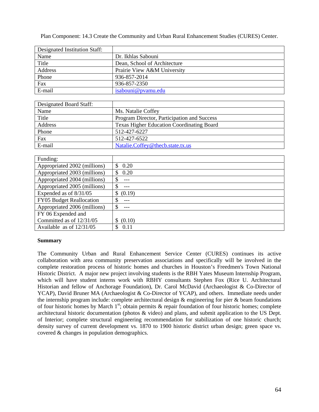Plan Component: 14.3 Create the Community and Urban Rural Enhancement Studies (CURES) Center.

| Designated Institution Staff: |                              |
|-------------------------------|------------------------------|
| Name                          | Dr. Ikhlas Sabouni           |
| Title                         | Dean, School of Architecture |
| Address                       | Prairie View A&M University  |
| Phone                         | 936-857-2014                 |
| Fax                           | 936-857-2350                 |
| E-mail                        | isabouni@pyamu.edu           |

| Designated Board Staff: |                                                  |
|-------------------------|--------------------------------------------------|
| Name                    | Ms. Natalie Coffey                               |
| Title                   | Program Director, Participation and Success      |
| Address                 | <b>Texas Higher Education Coordinating Board</b> |
| Phone                   | 512-427-6227                                     |
| Fax                     | 512-427-6522                                     |
| E-mail                  | Natalie.Coffey@thecb.state.tx.us                 |

| Funding:                     |             |
|------------------------------|-------------|
| Appropriated 2002 (millions) | 0.20<br>\$. |
| Appropriated 2003 (millions) | 0.20<br>S.  |
| Appropriated 2004 (millions) | \$          |
| Appropriated 2005 (millions) | S           |
| Expended as of $8/31/05$     | (0.19)      |
| FY05 Budget Reallocation     | S           |
| Appropriated 2006 (millions) | \$          |
| FY 06 Expended and           |             |
| Committed as of 12/31/05     | (0.10)      |
| Available as of $12/31/05$   | 0.11        |

#### **Summary**

The Community Urban and Rural Enhancement Service Center (CURES) continues its active collaboration with area community preservation associations and specifically will be involved in the complete restoration process of historic homes and churches in Houston's Freedmen's Town National Historic District. A major new project involving students is the RBH Yates Museum Internship Program, which will have student interns work with RBHY consultants Stephen Fox (Rice U. Architectural Historian and fellow of Anchorage Foundation), Dr. Carol McDavid (Archaeologist & Co-Director of YCAP), David Bruner MA (Archaeologist & Co-Director of YCAP), and others. Immediate needs under the internship program include: complete architectural design  $\&$  engineering for pier  $\&$  beam foundations of four historic homes by March  $1<sup>st</sup>$ ; obtain permits & repair foundation of four historic homes; complete architectural historic documentation (photos & video) and plans, and submit application to the US Dept. of Interior; complete structural engineering recommendation for stabilization of one historic church; density survey of current development vs. 1870 to 1900 historic district urban design; green space vs. covered & changes in population demographics.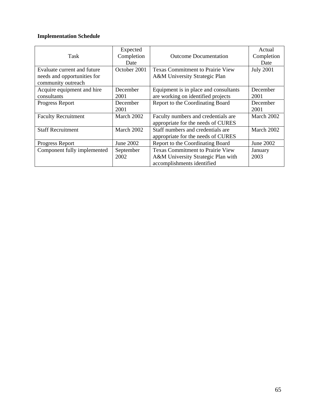| Task                                                                             | Expected<br>Completion<br>Date | <b>Outcome Documentation</b>                                                                                | Actual<br>Completion<br>Date |
|----------------------------------------------------------------------------------|--------------------------------|-------------------------------------------------------------------------------------------------------------|------------------------------|
| Evaluate current and future<br>needs and opportunities for<br>community outreach | October 2001                   | <b>Texas Commitment to Prairie View</b><br>A&M University Strategic Plan                                    | <b>July 2001</b>             |
| Acquire equipment and hire<br>consultants                                        | December<br>2001               | Equipment is in place and consultants<br>are working on identified projects                                 | December<br>2001             |
| Progress Report                                                                  | December<br>2001               | Report to the Coordinating Board                                                                            | December<br>2001             |
| <b>Faculty Recruitment</b>                                                       | March 2002                     | Faculty numbers and credentials are<br>appropriate for the needs of CURES                                   | March 2002                   |
| <b>Staff Recruitment</b>                                                         | March 2002                     | Staff numbers and credentials are<br>appropriate for the needs of CURES                                     | March 2002                   |
| Progress Report                                                                  | June 2002                      | Report to the Coordinating Board                                                                            | June 2002                    |
| Component fully implemented                                                      | September<br>2002              | <b>Texas Commitment to Prairie View</b><br>A&M University Strategic Plan with<br>accomplishments identified | January<br>2003              |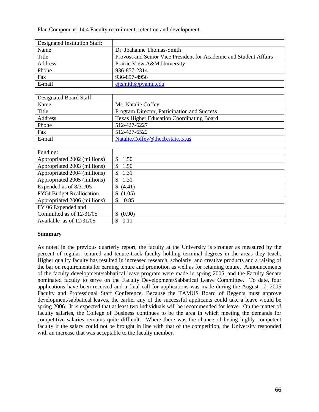Plan Component: 14.4 Faculty recruitment, retention and development.

| Designated Institution Staff: |                                                                    |
|-------------------------------|--------------------------------------------------------------------|
| Name                          | Dr. Joahanne Thomas-Smith                                          |
| Title                         | Provost and Senior Vice President for Academic and Student Affairs |
| Address                       | Prairie View A&M University                                        |
| Phone                         | 936-857-2314                                                       |
| Fax                           | 936-857-4956                                                       |
| E-mail                        | $e^{itsmith@pvanu.edu}$                                            |

| Designated Board Staff: |                                                  |
|-------------------------|--------------------------------------------------|
| Name                    | Ms. Natalie Coffey                               |
| Title                   | Program Director, Participation and Success      |
| Address                 | <b>Texas Higher Education Coordinating Board</b> |
| Phone                   | 512-427-6227                                     |
| Fax                     | 512-427-6522                                     |
| E-mail                  | Natalie.Coffey@thecb.state.tx.us                 |

| Funding:                        |              |
|---------------------------------|--------------|
| Appropriated 2002 (millions)    | 1.50<br>\$.  |
| Appropriated 2003 (millions)    | 1.50<br>\$.  |
| Appropriated 2004 (millions)    | \$.<br>1.31  |
| Appropriated 2005 (millions)    | 1.31<br>S    |
| Expended as of $8/31/05$        | \$(4.41)     |
| <b>FY04 Budget Reallocation</b> | (1.05)<br>\$ |
| Appropriated 2006 (millions)    | 0.85<br>S    |
| FY 06 Expended and              |              |
| Committed as of 12/31/05        | \$ (0.90)    |
| Available as of $12/31/05$      | 0.11<br>S    |

#### **Summary**

As noted in the previous quarterly report, the faculty at the University is stronger as measured by the percent of regular, tenured and tenure-track faculty holding terminal degrees in the areas they teach. Higher quality faculty has resulted in increased research, scholarly, and creative products and a raising of the bar on requirements for earning tenure and promotion as well as for retaining tenure. Announcements of the faculty development/sabbatical leave program were made in spring 2005, and the Faculty Senate nominated faculty to serve on the Faculty Development/Sabbatical Leave Committee. To date, four applications have been received and a final call for applications was made during the August 17, 2005 Faculty and Professional Staff Conference. Because the TAMUS Board of Regents must approve development/sabbatical leaves, the earlier any of the successful applicants could take a leave would be spring 2006. It is expected that at least two individuals will be recommended for leave. On the matter of faculty salaries, the College of Business continues to be the area in which meeting the demands for competitive salaries remains quite difficult. Where there was the chance of losing highly competent faculty if the salary could not be brought in line with that of the competition, the University responded with an increase that was acceptable to the faculty member.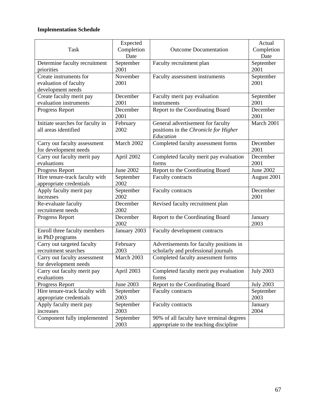|                                  | Expected         |                                          | Actual           |
|----------------------------------|------------------|------------------------------------------|------------------|
| <b>Task</b>                      | Completion       | <b>Outcome Documentation</b>             | Completion       |
|                                  | Date             |                                          | Date             |
| Determine faculty recruitment    | September        | Faculty recruitment plan                 | September        |
| priorities                       | 2001             |                                          | 2001             |
| Create instruments for           | November         | Faculty assessment instruments           | September        |
| evaluation of faculty            | 2001             |                                          | 2001             |
| development needs                |                  |                                          |                  |
| Create faculty merit pay         | December         | Faculty merit pay evaluation             | September        |
| evaluation instruments           | 2001             | instruments                              | 2001             |
| Progress Report                  | December         | Report to the Coordinating Board         | December         |
|                                  | 2001             |                                          | 2001             |
|                                  |                  |                                          | March 2001       |
| Initiate searches for faculty in | February         | General advertisement for faculty        |                  |
| all areas identified             | 2002             | positions in the Chronicle for Higher    |                  |
|                                  |                  | Education                                |                  |
| Carry out faculty assessment     | March 2002       | Completed faculty assessment forms       | December         |
| for development needs            |                  |                                          | 2001             |
| Carry out faculty merit pay      | April 2002       | Completed faculty merit pay evaluation   | December         |
| evaluations                      |                  | forms                                    | 2001             |
| Progress Report                  | <b>June 2002</b> | Report to the Coordinating Board         | <b>June 2002</b> |
| Hire tenure-track faculty with   | September        | <b>Faculty contracts</b>                 | August 2001      |
| appropriate credentials          | 2002             |                                          |                  |
| Apply faculty merit pay          | September        | Faculty contracts                        | December         |
| increases                        | 2002             |                                          | 2001             |
| Re-evaluate faculty              | December         | Revised faculty recruitment plan         |                  |
| recruitment needs                | 2002             |                                          |                  |
| Progress Report                  | December         | Report to the Coordinating Board         | January          |
|                                  | 2002             |                                          | 2003             |
| Enroll three faculty members     | January 2003     | Faculty development contracts            |                  |
| in PhD programs                  |                  |                                          |                  |
| Carry out targeted faculty       | February         | Advertisements for faculty positions in  |                  |
| recruitment searches             | 2003             | scholarly and professional journals      |                  |
| Carry out faculty assessment     | March 2003       | Completed faculty assessment forms       |                  |
| for development needs            |                  |                                          |                  |
| Carry out faculty merit pay      | April 2003       | Completed faculty merit pay evaluation   | <b>July 2003</b> |
| evaluations                      |                  | forms                                    |                  |
| Progress Report                  | June 2003        | Report to the Coordinating Board         | <b>July 2003</b> |
| Hire tenure-track faculty with   | September        | <b>Faculty contracts</b>                 | September        |
| appropriate credentials          | 2003             |                                          | 2003             |
| Apply faculty merit pay          | September        | Faculty contracts                        | January          |
| increases                        | 2003             |                                          | 2004             |
| Component fully implemented      | September        | 90% of all faculty have terminal degrees |                  |
|                                  | 2003             | appropriate to the teaching discipline   |                  |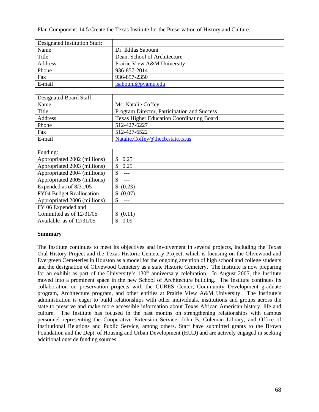Plan Component: 14.5 Create the Texas Institute for the Preservation of History and Culture.

| Designated Institution Staff: |                              |
|-------------------------------|------------------------------|
| Name                          | Dr. Ikhlas Sabouni           |
| Title                         | Dean, School of Architecture |
| Address                       | Prairie View A&M University  |
| Phone                         | 936-857-2014                 |
| Fax                           | 936-857-2350                 |
| E-mail                        | isabouni@pyamu.edu           |

| Designated Board Staff: |                                                  |
|-------------------------|--------------------------------------------------|
| Name                    | Ms. Natalie Coffey                               |
| Title                   | Program Director, Participation and Success      |
| Address                 | <b>Texas Higher Education Coordinating Board</b> |
| Phone                   | 512-427-6227                                     |
| Fax                     | 512-427-6522                                     |
| E-mail                  | Natalie.Coffey@thecb.state.tx.us                 |

| Funding:                     |             |
|------------------------------|-------------|
| Appropriated 2002 (millions) | 0.25<br>\$. |
| Appropriated 2003 (millions) | 0.25<br>S   |
| Appropriated 2004 (millions) | \$          |
| Appropriated 2005 (millions) | \$          |
| Expended as of $8/31/05$     | (0.23)      |
| FY04 Budget Reallocation     | (0.07)<br>S |
| Appropriated 2006 (millions) | \$          |
| FY 06 Expended and           |             |
| Committed as of 12/31/05     | (0.11)      |
| Available as of $12/31/05$   | 0.09<br>S.  |

#### **Summary**

The Institute continues to meet its objectives and involvement in several projects, including the Texas Oral History Project and the Texas Historic Cemetery Project, which is focusing on the Olivewood and Evergreen Cemeteries in Houston as a model for the ongoing attention of high school and college students and the designation of Olivewood Cemetery as a state Historic Cemetery. The Institute is now preparing for an exhibit as part of the University's 130<sup>th</sup> anniversary celebration. In August 2005, the Institute moved into a prominent space in the new School of Architecture building. The Institute continues its collaboration on preservation projects with the CURES Center, Community Development graduate program, Architecture program, and other entities at Prairie View A&M University. The Institute's administration is eager to build relationships with other individuals, institutions and groups across the state to preserve and make more accessible information about Texas African American history, life and culture. The Institute has focused in the past months on strengthening relationships with campus personnel representing the Cooperative Extension Service, John B. Coleman Library, and Office of Institutional Relations and Public Service, among others. Staff have submitted grants to the Brown Foundation and the Dept. of Housing and Urban Development (HUD) and are actively engaged in seeking additional outside funding sources.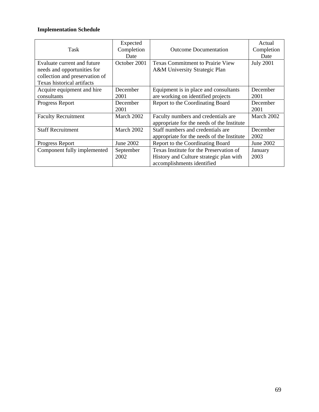|                                | Expected     |                                            | Actual           |
|--------------------------------|--------------|--------------------------------------------|------------------|
| Task                           | Completion   | <b>Outcome Documentation</b>               | Completion       |
|                                | Date         |                                            | Date             |
| Evaluate current and future    | October 2001 | <b>Texas Commitment to Prairie View</b>    | <b>July 2001</b> |
| needs and opportunities for    |              | A&M University Strategic Plan              |                  |
| collection and preservation of |              |                                            |                  |
| Texas historical artifacts     |              |                                            |                  |
| Acquire equipment and hire     | December     | Equipment is in place and consultants      | December         |
| consultants                    | 2001         | are working on identified projects         | 2001             |
| Progress Report                | December     | Report to the Coordinating Board           | December         |
|                                | 2001         |                                            | 2001             |
| <b>Faculty Recruitment</b>     | March 2002   | Faculty numbers and credentials are        | March 2002       |
|                                |              | appropriate for the needs of the Institute |                  |
| <b>Staff Recruitment</b>       | March 2002   | Staff numbers and credentials are          | December         |
|                                |              | appropriate for the needs of the Institute | 2002             |
| Progress Report                | June 2002    | Report to the Coordinating Board           | June 2002        |
| Component fully implemented    | September    | Texas Institute for the Preservation of    | January          |
|                                | 2002         | History and Culture strategic plan with    | 2003             |
|                                |              | accomplishments identified                 |                  |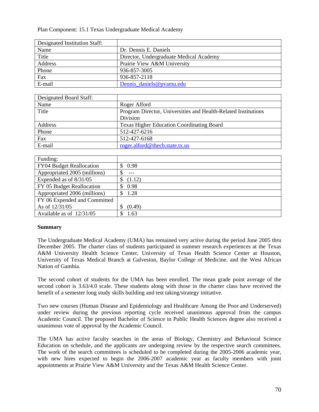Plan Component: 15.1 Texas Undergraduate Medical Academy

| Designated Institution Staff: |                                         |
|-------------------------------|-----------------------------------------|
| Name                          | Dr. Dennis E. Daniels                   |
| Title                         | Director, Undergraduate Medical Academy |
| Address                       | Prairie View A&M University             |
| Phone                         | 936-857-3005                            |
| Fax                           | 936-857-2118                            |
| E-mail                        | Dennis daniels@pvamu.edu                |

| Designated Board Staff: |                                                                |
|-------------------------|----------------------------------------------------------------|
| Name                    | Roger Alford                                                   |
| Title                   | Program Director, Universities and Health-Related Institutions |
|                         | Division                                                       |
| Address                 | <b>Texas Higher Education Coordinating Board</b>               |
| Phone                   | 512-427-6216                                                   |
| Fax                     | 512-427-6168                                                   |
| E-mail                  | roger.alford@thecb.state.tx.us                                 |

| Funding:                        |             |
|---------------------------------|-------------|
| <b>FY04 Budget Reallocation</b> | 0.98<br>S   |
| Appropriated 2005 (millions)    | \$          |
| Expended as of 8/31/05          | (1.12)<br>S |
| FY 05 Budget Reallocation       | 0.98<br>S   |
| Appropriated 2006 (millions)    | 1.28<br>S   |
| FY 06 Expended and Committed    |             |
| As of 12/31/05                  | (0.49)<br>S |
| Available as of $12/31/05$      | 1.63        |

#### **Summary**

The Undergraduate Medical Academy (UMA) has remained very active during the period June 2005 thru December 2005. The charter class of students participated in summer research experiences at the Texas A&M University Health Science Center, University of Texas Health Science Center at Houston, University of Texas Medical Branch at Galveston, Baylor College of Medicine, and the West African Nation of Gambia.

The second cohort of students for the UMA has been enrolled. The mean grade point average of the second cohort is 3.63/4.0 scale. These students along with those in the charter class have received the benefit of a semester long study skills building and test taking/strategy initiative.

Two new courses (Human Disease and Epidemiology and Healthcare Among the Poor and Underserved) under review during the previous reporting cycle received unanimous approval from the campus Academic Council. The proposed Bachelor of Science in Public Health Sciences degree also received a unanimous vote of approval by the Academic Council.

The UMA has active faculty searches in the areas of Biology, Chemistry and Behavioral Science Education on schedule, and the applicants are undergoing review by the respective search committees. The work of the search committees is scheduled to be completed during the 2005-2006 academic year, with new hires expected to begin the 2006-2007 academic year as faculty members with joint appointments at Prairie View A&M University and the Texas A&M Health Science Center.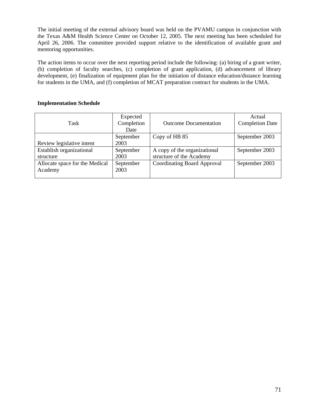The initial meeting of the external advisory board was held on the PVAMU campus in conjunction with the Texas A&M Health Science Center on October 12, 2005. The next meeting has been scheduled for April 26, 2006. The committee provided support relative to the identification of available grant and mentoring opportunities.

The action items to occur over the next reporting period include the following: (a) hiring of a grant writer, (b) completion of faculty searches, (c) completion of grant application, (d) advancement of library development, (e) finalization of equipment plan for the initiation of distance education/distance learning for students in the UMA, and (f) completion of MCAT preparation contract for students in the UMA.

| Task                           | Expected<br>Completion | <b>Outcome Documentation</b>       | Actual<br><b>Completion Date</b> |
|--------------------------------|------------------------|------------------------------------|----------------------------------|
|                                | Date                   |                                    |                                  |
|                                | September              | Copy of HB 85                      | September 2003                   |
| Review legislative intent      | 2003                   |                                    |                                  |
| Establish organizational       | September              | A copy of the organizational       | September 2003                   |
| structure                      | 2003                   | structure of the Academy           |                                  |
| Allocate space for the Medical | September              | <b>Coordinating Board Approval</b> | September 2003                   |
| Academy                        | 2003                   |                                    |                                  |
|                                |                        |                                    |                                  |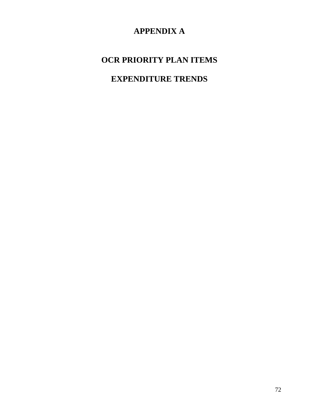# **APPENDIX A**

# **OCR PRIORITY PLAN ITEMS**

# **EXPENDITURE TRENDS**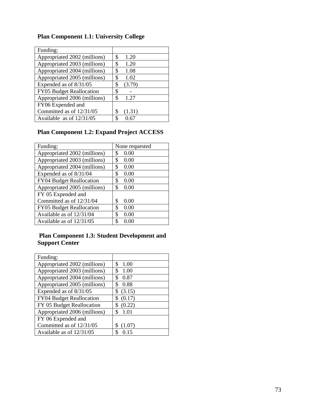| Funding:                     |              |
|------------------------------|--------------|
| Appropriated 2002 (millions) | \$<br>1.20   |
| Appropriated 2003 (millions) | 1.20<br>\$   |
| Appropriated 2004 (millions) | 1.08<br>\$   |
| Appropriated 2005 (millions) | \$<br>1.02   |
| Expended as of 8/31/05       | \$<br>(3.79) |
| FY05 Budget Reallocation     | \$           |
| Appropriated 2006 (millions) | \$<br>1.27   |
| FY06 Expended and            |              |
| Committed as of 12/31/05     | \$<br>(1.31) |
| Available as of 12/31/05     |              |

## **Plan Component 1.1: University College**

## **Plan Component 1.2: Expand Project ACCESS**

| Funding:                        | None requested |
|---------------------------------|----------------|
| Appropriated 2002 (millions)    | \$<br>0.00     |
| Appropriated 2003 (millions)    | 0.00<br>\$     |
| Appropriated 2004 (millions)    | 0.00<br>\$     |
| Expended as of 8/31/04          | 0.00<br>\$     |
| <b>FY04 Budget Reallocation</b> | \$<br>0.00     |
| Appropriated 2005 (millions)    | \$<br>0.00     |
| FY 05 Expended and              |                |
| Committed as of 12/31/04        | \$<br>0.00     |
| <b>FY05</b> Budget Reallocation | \$<br>0.00     |
| Available as of 12/31/04        | \$<br>0.00     |
| Available as of 12/31/05        | \$<br>0.00     |

## **Plan Component 1.3: Student Development and Support Center**

| Funding:                     |              |
|------------------------------|--------------|
| Appropriated 2002 (millions) | 1.00<br>\$   |
| Appropriated 2003 (millions) | \$<br>1.00   |
| Appropriated 2004 (millions) | 0.87<br>\$   |
| Appropriated 2005 (millions) | 0.88<br>\$   |
| Expended as of 8/31/05       | (3.15)<br>\$ |
| FY04 Budget Reallocation     | (0.17)<br>\$ |
| FY 05 Budget Reallocation    | \$<br>(0.22) |
| Appropriated 2006 (millions) | \$<br>1.01   |
| FY 06 Expended and           |              |
| Committed as of 12/31/05     | S<br>(1.07)  |
| Available as of 12/31/05     | S<br>0.15    |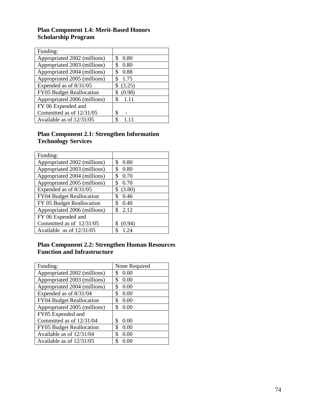### **Plan Component 1.4: Merit-Based Honors Scholarship Program**

| Funding:                        |              |
|---------------------------------|--------------|
| Appropriated 2002 (millions)    | 0.80<br>S    |
| Appropriated 2003 (millions)    | 0.80<br>\$   |
| Appropriated 2004 (millions)    | 0.88<br>S    |
| Appropriated 2005 (millions)    | 1.75<br>S    |
| Expended as of 8/31/05          | (3.25)<br>\$ |
| <b>FY05 Budget Reallocation</b> | (0.98)<br>S  |
| Appropriated 2006 (millions)    | \$<br>1.11   |
| FY 06 Expended and              |              |
| Committed as of 12/31/05        | \$           |
| Available as of 12/31/05        | \$           |

#### **Plan Component 2.1: Strengthen Information Technology Services**

| Funding:                        |              |
|---------------------------------|--------------|
| Appropriated 2002 (millions)    | \$<br>0.80   |
| Appropriated 2003 (millions)    | \$<br>0.80   |
| Appropriated 2004 (millions)    | \$<br>0.70   |
| Appropriated 2005 (millions)    | \$<br>0.70   |
| Expended as of 8/31/05          | \$<br>(3.80) |
| <b>FY04 Budget Reallocation</b> | \$<br>0.46   |
| FY 05 Budget Reallocation       | \$<br>0.40   |
| Appropriated 2006 (millions)    | \$<br>2.12   |
| FY 06 Expended and              |              |
| Committed as of 12/31/05        | S<br>(0.94)  |
| Available as of 12/31/05        | \$<br>1 24   |

## **Plan Component 2.2: Strengthen Human Resources Function and Infrastructure**

| Funding:                     | None Required |
|------------------------------|---------------|
| Appropriated 2002 (millions) | 0.00<br>\$    |
| Appropriated 2003 (millions) | \$<br>0.00    |
| Appropriated 2004 (millions) | \$<br>0.00    |
| Expended as of 8/31/04       | \$<br>0.00    |
| FY04 Budget Reallocation     | \$<br>0.00    |
| Appropriated 2005 (millions) | \$<br>0.00    |
| FY05 Expended and            |               |
| Committed as of 12/31/04     | \$<br>0.00    |
| FY05 Budget Reallocation     | \$<br>0.00    |
| Available as of 12/31/04     | \$<br>0.00    |
| Available as of 12/31/05     | S<br>0.00     |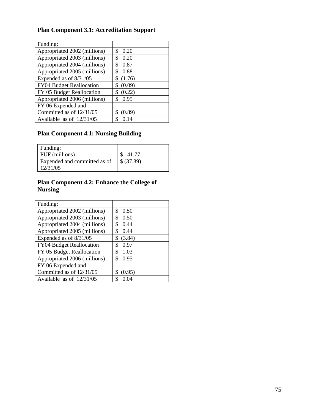# **Plan Component 3.1: Accreditation Support**

| Funding:                     |              |
|------------------------------|--------------|
| Appropriated 2002 (millions) | \$<br>0.20   |
| Appropriated 2003 (millions) | \$<br>0.20   |
| Appropriated 2004 (millions) | 0.87<br>\$   |
| Appropriated 2005 (millions) | 0.88<br>\$   |
| Expended as of 8/31/05       | (1.76)<br>\$ |
| FY04 Budget Reallocation     | (0.09)<br>\$ |
| FY 05 Budget Reallocation    | (0.22)<br>\$ |
| Appropriated 2006 (millions) | 0.95<br>\$   |
| FY 06 Expended and           |              |
| Committed as of 12/31/05     | (0.89)       |
| Available as of 12/31/05     | S<br>0.14    |

## **Plan Component 4.1: Nursing Building**

| Funding:                     |            |
|------------------------------|------------|
| PUF (millions)               | 41.77      |
| Expended and committed as of | \$ (37.89) |
| 12/31/05                     |            |

## **Plan Component 4.2: Enhance the College of Nursing**

| Funding:                     |              |
|------------------------------|--------------|
| Appropriated 2002 (millions) | \$<br>0.50   |
| Appropriated 2003 (millions) | \$<br>0.50   |
| Appropriated 2004 (millions) | \$<br>0.44   |
| Appropriated 2005 (millions) | \$<br>0.44   |
| Expended as of 8/31/05       | (3.84)<br>\$ |
| FY04 Budget Reallocation     | \$<br>0.97   |
| FY 05 Budget Reallocation    | \$<br>1.03   |
| Appropriated 2006 (millions) | \$<br>0.95   |
| FY 06 Expended and           |              |
| Committed as of 12/31/05     | S<br>(0.95)  |
| Available as of $12/31/05$   | \$           |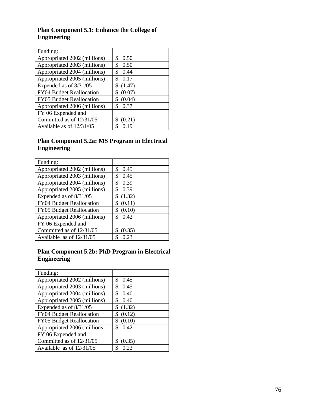## **Plan Component 5.1: Enhance the College of Engineering**

| Funding:                     |              |
|------------------------------|--------------|
| Appropriated 2002 (millions) | S<br>0.50    |
| Appropriated 2003 (millions) | \$<br>0.50   |
| Appropriated 2004 (millions) | \$<br>0.44   |
| Appropriated 2005 (millions) | 0.17<br>\$   |
| Expended as of $8/31/05$     | \$<br>(1.47) |
| FY04 Budget Reallocation     | (0.07)<br>\$ |
| FY05 Budget Reallocation     | (0.04)<br>\$ |
| Appropriated 2006 (millions) | 0.37<br>\$   |
| FY 06 Expended and           |              |
| Committed as of 12/31/05     | S<br>(0.21)  |
| Available as of 12/31/05     | S<br>በ 19    |

### **Plan Component 5.2a: MS Program in Electrical Engineering**

| Funding:                     |              |
|------------------------------|--------------|
| Appropriated 2002 (millions) | \$<br>0.45   |
| Appropriated 2003 (millions) | \$<br>0.45   |
| Appropriated 2004 (millions) | \$<br>0.39   |
| Appropriated 2005 (millions) | S<br>0.39    |
| Expended as of $8/31/05$     | \$<br>(1.32) |
| FY04 Budget Reallocation     | (0.11)       |
| FY05 Budget Reallocation     | (0.10)       |
| Appropriated 2006 (millions) | \$<br>0.42   |
| FY 06 Expended and           |              |
| Committed as of 12/31/05     | (0.35)       |
| Available as of $12/31/05$   | 0.23         |

### **Plan Component 5.2b: PhD Program in Electrical Engineering**

| Funding:                     |              |
|------------------------------|--------------|
| Appropriated 2002 (millions) | \$<br>0.45   |
| Appropriated 2003 (millions) | \$<br>0.45   |
| Appropriated 2004 (millions) | \$<br>0.40   |
| Appropriated 2005 (millions) | \$<br>0.40   |
| Expended as of 8/31/05       | \$<br>(1.32) |
| FY04 Budget Reallocation     | (0.12)<br>\$ |
| FY05 Budget Reallocation     | (0.10)<br>\$ |
| Appropriated 2006 (millions  | \$<br>0.42   |
| FY 06 Expended and           |              |
| Committed as of 12/31/05     | S<br>(0.35)  |
| Available as of 12/31/05     | \$<br>0.23   |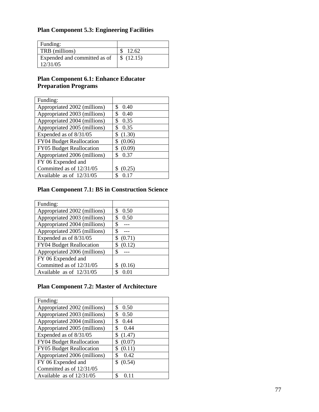## **Plan Component 5.3: Engineering Facilities**

| Funding:                     |           |
|------------------------------|-----------|
| TRB (millions)               | 12.62     |
| Expended and committed as of | \$(12.15) |
| 12/31/05                     |           |

## **Plan Component 6.1: Enhance Educator Preparation Programs**

| Funding:                        |              |
|---------------------------------|--------------|
| Appropriated 2002 (millions)    | \$<br>0.40   |
| Appropriated 2003 (millions)    | \$<br>0.40   |
| Appropriated 2004 (millions)    | 0.35<br>\$   |
| Appropriated 2005 (millions)    | 0.35<br>\$   |
| Expended as of 8/31/05          | (1.30)<br>S  |
| <b>FY04 Budget Reallocation</b> | (0.06)<br>\$ |
| FY05 Budget Reallocation        | \$<br>(0.09) |
| Appropriated 2006 (millions)    | \$<br>0.37   |
| FY 06 Expended and              |              |
| Committed as of 12/31/05        | (0.25)       |
| Available as of 12/31/05        | \$           |

## **Plan Component 7.1: BS in Construction Science**

| Funding:                        |              |
|---------------------------------|--------------|
| Appropriated 2002 (millions)    | \$<br>0.50   |
| Appropriated 2003 (millions)    | \$<br>0.50   |
| Appropriated 2004 (millions)    | S            |
| Appropriated 2005 (millions)    |              |
| Expended as of 8/31/05          | \$<br>(0.71) |
| <b>FY04 Budget Reallocation</b> | \$<br>(0.12) |
| Appropriated 2006 (millions)    | S            |
| FY 06 Expended and              |              |
| Committed as of 12/31/05        | (0.16)       |
| Available as of 12/31/05        |              |

## **Plan Component 7.2: Master of Architecture**

| Funding:                     |              |
|------------------------------|--------------|
| Appropriated 2002 (millions) | \$<br>0.50   |
| Appropriated 2003 (millions) | \$<br>0.50   |
| Appropriated 2004 (millions) | 0.44<br>\$   |
| Appropriated 2005 (millions) | \$<br>0.44   |
| Expended as of 8/31/05       | \$<br>(1.47) |
| FY04 Budget Reallocation     | (0.07)<br>\$ |
| FY05 Budget Reallocation     | \$<br>(0.11) |
| Appropriated 2006 (millions) | \$<br>0.42   |
| FY 06 Expended and           | \$<br>(0.54) |
| Committed as of 12/31/05     |              |
| Available as of 12/31/05     |              |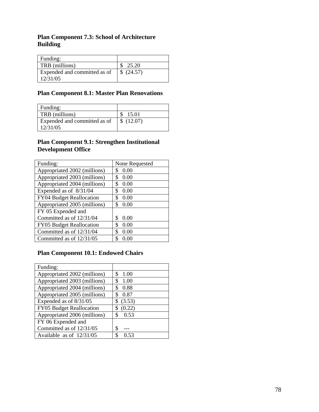## **Plan Component 7.3: School of Architecture Building**

| 25.20      |
|------------|
| \$ (24.57) |
|            |

## **Plan Component 8.1: Master Plan Renovations**

| Funding:                     |           |
|------------------------------|-----------|
| TRB (millions)               | -15.01    |
| Expended and committed as of | \$(12.07) |
| 12/31/05                     |           |

#### **Plan Component 9.1: Strengthen Institutional Development Office**

| Funding:                        | None Requested |
|---------------------------------|----------------|
| Appropriated 2002 (millions)    | 0.00<br>S      |
| Appropriated 2003 (millions)    | \$<br>0.00     |
| Appropriated 2004 (millions)    | 0.00<br>\$     |
| Expended as of 8/31/04          | \$<br>0.00     |
| FY04 Budget Reallocation        | 0.00<br>\$     |
| Appropriated 2005 (millions)    | \$<br>0.00     |
| FY 05 Expended and              |                |
| Committed as of $12/31/04$      | \$<br>0.00     |
| <b>FY05</b> Budget Reallocation | \$<br>0.00     |
| Committed as of 12/31/04        | \$<br>0.00     |
| Committed as of 12/31/05        | \$<br>0.00     |

## **Plan Component 10.1: Endowed Chairs**

| Funding:                        |              |
|---------------------------------|--------------|
| Appropriated 2002 (millions)    | \$<br>1.00   |
| Appropriated 2003 (millions)    | 1.00<br>\$   |
| Appropriated 2004 (millions)    | 0.88<br>S    |
| Appropriated 2005 (millions)    | 0.87<br>S    |
| Expended as of 8/31/05          | (3.53)<br>\$ |
| <b>FY05</b> Budget Reallocation | (0.22)<br>\$ |
| Appropriated 2006 (millions)    | \$<br>0.53   |
| FY 06 Expended and              |              |
| Committed as of 12/31/05        | \$           |
| Available as of $12/31/05$      | S<br>-53     |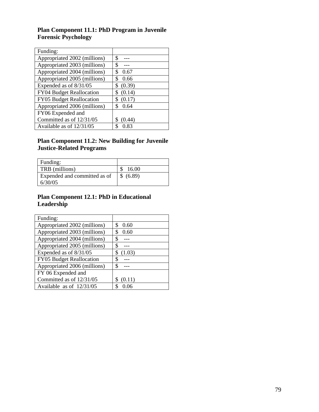## **Plan Component 11.1: PhD Program in Juvenile Forensic Psychology**

| Funding:                     |              |
|------------------------------|--------------|
| Appropriated 2002 (millions) | \$           |
| Appropriated 2003 (millions) | \$           |
| Appropriated 2004 (millions) | \$<br>0.67   |
| Appropriated 2005 (millions) | \$<br>0.66   |
| Expended as of $8/31/05$     | (0.39)<br>\$ |
| FY04 Budget Reallocation     | (0.14)<br>\$ |
| FY05 Budget Reallocation     | (0.17)<br>S  |
| Appropriated 2006 (millions) | \$<br>0.64   |
| FY06 Expended and            |              |
| Committed as of 12/31/05     | S<br>(0.44)  |
| Available as of 12/31/05     | \$<br>0.83   |

#### **Plan Component 11.2: New Building for Juvenile Justice-Related Programs**

| Funding:                                |           |
|-----------------------------------------|-----------|
| TRB (millions)                          | 16.00     |
| Expended and committed as of<br>6/30/05 | \$ (6.89) |

### **Plan Component 12.1: PhD in Educational Leadership**

| Funding:                        |              |
|---------------------------------|--------------|
| Appropriated 2002 (millions)    | \$<br>0.60   |
| Appropriated 2003 (millions)    | 0.60<br>S    |
| Appropriated 2004 (millions)    | S            |
| Appropriated 2005 (millions)    | \$           |
| Expended as of $8/31/05$        | (1.03)<br>\$ |
| <b>FY05 Budget Reallocation</b> | S            |
| Appropriated 2006 (millions)    | \$           |
| FY 06 Expended and              |              |
| Committed as of 12/31/05        | (0.11)       |
| Available as of $12/31/05$      | ς            |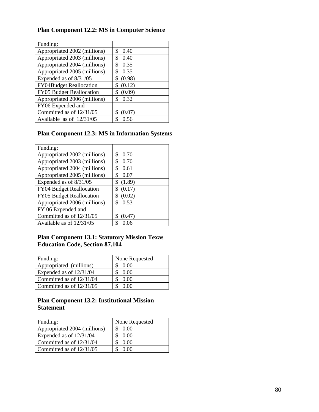## **Plan Component 12.2: MS in Computer Science**

| Funding:                       |              |
|--------------------------------|--------------|
| Appropriated 2002 (millions)   | \$<br>0.40   |
| Appropriated 2003 (millions)   | \$<br>0.40   |
| Appropriated 2004 (millions)   | \$<br>0.35   |
| Appropriated 2005 (millions)   | 0.35<br>\$   |
| Expended as of 8/31/05         | (0.98)<br>\$ |
| <b>FY04Budget Reallocation</b> | (0.12)<br>\$ |
| FY05 Budget Reallocation       | (0.09)<br>\$ |
| Appropriated 2006 (millions)   | \$<br>0.32   |
| FY06 Expended and              |              |
| Committed as of 12/31/05       | (0.07)       |
| Available as of 12/31/05       | 0.56         |

## **Plan Component 12.3: MS in Information Systems**

| Funding:                        |              |
|---------------------------------|--------------|
| Appropriated 2002 (millions)    | \$<br>0.70   |
| Appropriated 2003 (millions)    | \$<br>0.70   |
| Appropriated 2004 (millions)    | \$<br>0.61   |
| Appropriated 2005 (millions)    | S<br>0.07    |
| Expended as of $8/31/05$        | (1.89)<br>\$ |
| <b>FY04 Budget Reallocation</b> | \$<br>(0.17) |
| FY05 Budget Reallocation        | (0.02)<br>\$ |
| Appropriated 2006 (millions)    | \$<br>0.53   |
| FY 06 Expended and              |              |
| Committed as of $12/31/05$      | (0.47)       |
| Available as of 12/31/05        | S<br>0.06    |

## **Plan Component 13.1: Statutory Mission Texas Education Code, Section 87.104**

| Funding:                   | None Requested |
|----------------------------|----------------|
| Appropriated (millions)    | 0.00           |
| Expended as of $12/31/04$  | 0.00           |
| Committed as of 12/31/04   | 0.00           |
| Committed as of $12/31/05$ | 0. QQ          |

### **Plan Component 13.2: Institutional Mission Statement**

| Funding:                     | None Requested |
|------------------------------|----------------|
| Appropriated 2004 (millions) | 0.00           |
| Expended as of $12/31/04$    | 0.00           |
| Committed as of $12/31/04$   | 0.00           |
| Committed as of $12/31/05$   | 0. QQ          |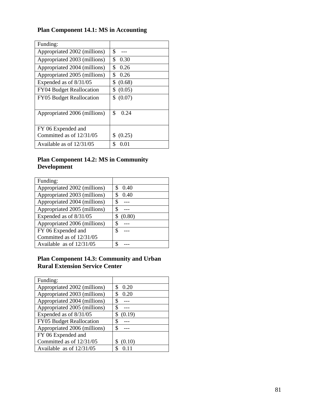# **Plan Component 14.1: MS in Accounting**

| Funding:                        |              |
|---------------------------------|--------------|
| Appropriated 2002 (millions)    | \$           |
| Appropriated 2003 (millions)    | \$<br>0.30   |
| Appropriated 2004 (millions)    | \$<br>0.26   |
| Appropriated 2005 (millions)    | \$<br>0.26   |
| Expended as of 8/31/05          | \$<br>(0.68) |
| <b>FY04 Budget Reallocation</b> | \$<br>(0.05) |
| <b>FY05</b> Budget Reallocation | S<br>(0.07)  |
|                                 |              |
| Appropriated 2006 (millions)    | \$<br>0.24   |
|                                 |              |
| FY 06 Expended and              |              |
| Committed as of 12/31/05        | (0.25)<br>S  |
| Available as of 12/31/05        | \$<br>0 01   |

## **Plan Component 14.2: MS in Community Development**

| Funding:                     |           |
|------------------------------|-----------|
| Appropriated 2002 (millions) | S<br>0.40 |
| Appropriated 2003 (millions) | S<br>0.40 |
| Appropriated 2004 (millions) | S         |
| Appropriated 2005 (millions) |           |
| Expended as of 8/31/05       | (0.80)    |
| Appropriated 2006 (millions) | \$        |
| FY 06 Expended and           | S         |
| Committed as of 12/31/05     |           |
| Available as of $12/31/05$   | Φ         |

#### **Plan Component 14.3: Community and Urban Rural Extension Service Center**

| Funding:                        |              |
|---------------------------------|--------------|
| Appropriated 2002 (millions)    | \$<br>0.20   |
| Appropriated 2003 (millions)    | \$<br>0.20   |
| Appropriated 2004 (millions)    | S            |
| Appropriated 2005 (millions)    |              |
| Expended as of 8/31/05          | \$<br>(0.19) |
| <b>FY05</b> Budget Reallocation | \$           |
| Appropriated 2006 (millions)    |              |
| FY 06 Expended and              |              |
| Committed as of 12/31/05        | (0.10)       |
| Available as of $12/31/05$      |              |